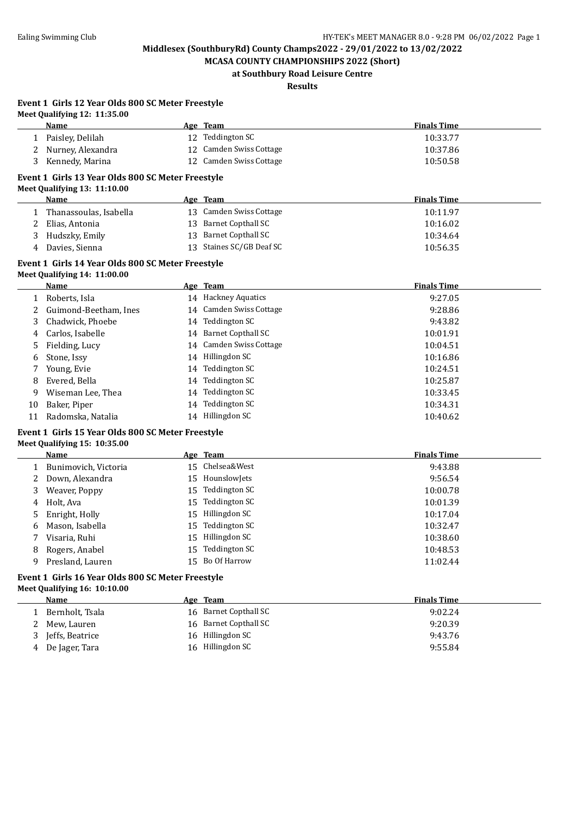**MCASA COUNTY CHAMPIONSHIPS 2022 (Short) at Southbury Road Leisure Centre**

## **Results**

#### **Event 1 Girls 12 Year Olds 800 SC Meter Freestyle Meet Qualifying 12: 11:35.00**

**Event 1 Girls 16 Year Olds 800 SC Meter Freestyle**

**Meet Qualifying 16: 10:10.00**

|    | Meet Qualifying $12: 11:33.00$<br>Name            |    | Age Team                  | <b>Finals Time</b> |
|----|---------------------------------------------------|----|---------------------------|--------------------|
|    | 1 Paisley, Delilah                                |    | 12 Teddington SC          | 10:33.77           |
| 2  | Nurney, Alexandra                                 |    | 12 Camden Swiss Cottage   | 10:37.86           |
| 3  | Kennedy, Marina                                   |    | 12 Camden Swiss Cottage   | 10:50.58           |
|    | Event 1 Girls 13 Year Olds 800 SC Meter Freestyle |    |                           |                    |
|    | Meet Qualifying 13: 11:10.00                      |    |                           |                    |
|    | <b>Name</b>                                       |    | Age Team                  | <b>Finals Time</b> |
|    | Thanassoulas, Isabella                            |    | 13 Camden Swiss Cottage   | 10:11.97           |
| 2  | Elias, Antonia                                    | 13 | <b>Barnet Copthall SC</b> | 10:16.02           |
| 3  | Hudszky, Emily                                    | 13 | <b>Barnet Copthall SC</b> | 10:34.64           |
| 4  | Davies, Sienna                                    | 13 | Staines SC/GB Deaf SC     | 10:56.35           |
|    | Event 1 Girls 14 Year Olds 800 SC Meter Freestyle |    |                           |                    |
|    | Meet Qualifying 14: 11:00.00                      |    |                           |                    |
|    | <b>Name</b>                                       |    | Age Team                  | <b>Finals Time</b> |
| 1  | Roberts, Isla                                     |    | 14 Hackney Aquatics       | 9:27.05            |
| 2  | Guimond-Beetham, Ines                             |    | 14 Camden Swiss Cottage   | 9:28.86            |
| 3  | Chadwick. Phoebe                                  |    | 14 Teddington SC          | 9:43.82            |
| 4  | Carlos, Isabelle                                  |    | 14 Barnet Copthall SC     | 10:01.91           |
| 5  | Fielding, Lucy                                    |    | 14 Camden Swiss Cottage   | 10:04.51           |
| 6  | Stone, Issy                                       |    | 14 Hillingdon SC          | 10:16.86           |
| 7  | Young, Evie                                       |    | 14 Teddington SC          | 10:24.51           |
| 8  | Evered, Bella                                     |    | 14 Teddington SC          | 10:25.87           |
| 9  | Wiseman Lee, Thea                                 | 14 | Teddington SC             | 10:33.45           |
| 10 | Baker, Piper                                      |    | 14 Teddington SC          | 10:34.31           |
| 11 | Radomska, Natalia                                 |    | 14 Hillingdon SC          | 10:40.62           |
|    | Event 1 Girls 15 Year Olds 800 SC Meter Freestyle |    |                           |                    |
|    | Meet Qualifying 15: 10:35.00                      |    |                           |                    |
|    | <b>Name</b>                                       |    | Age Team                  | <b>Finals Time</b> |
| 1  | Bunimovich, Victoria                              |    | 15 Chelsea&West           | 9:43.88            |
| 2  | Down, Alexandra                                   | 15 | HounslowJets              | 9:56.54            |
| 3  | Weaver, Poppy                                     |    | 15 Teddington SC          | 10:00.78           |

4 Holt, Ava 15 Teddington SC 10:01.39 Enright, Holly 15 Hillingdon SC 10:17.04 Mason, Isabella 15 Teddington SC 10:32.47 Visaria, Ruhi 15 Hillingdon SC 10:38.60 8 Rogers, Anabel 15 Teddington SC 10:48.53 Presland, Lauren 15 Bo Of Harrow 11:02.44

**Age Team Age Team Einals Time** 1 Bernholt, Tsala 16 Barnet Copthall SC 9:02.24 2 Mew, Lauren 16 Barnet Copthall SC 9:20.39 3 Jeffs, Beatrice 16 Hillingdon SC 9:43.76 4 De Jager, Tara  $16$  Hillingdon SC 9:55.84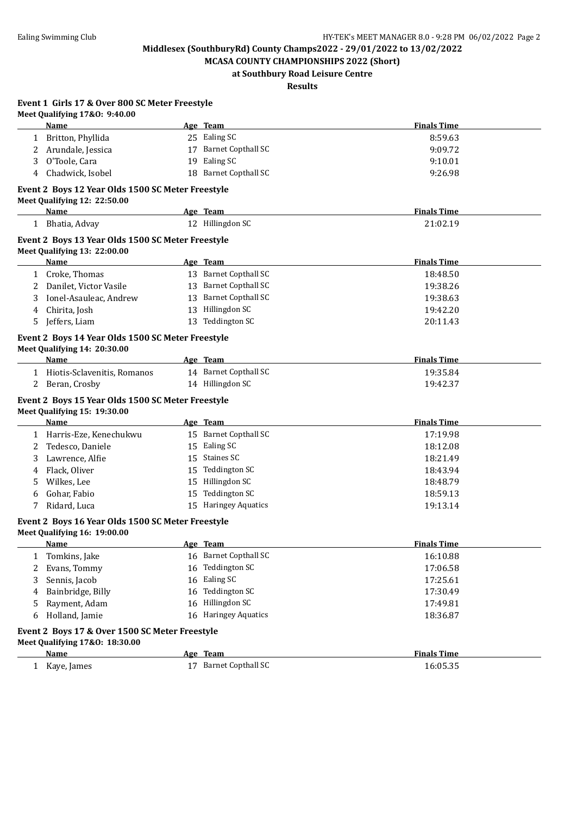**MCASA COUNTY CHAMPIONSHIPS 2022 (Short) at Southbury Road Leisure Centre**

**Results**

| Event 1 Girls 17 & Over 800 SC Meter Freestyle |
|------------------------------------------------|
| Meet Qualifying 17&0: 9:40.00                  |

| <b>Finals Time</b><br>Age Team<br>Name                                          |  |
|---------------------------------------------------------------------------------|--|
| 25 Ealing SC<br>8:59.63<br>Britton, Phyllida                                    |  |
| 17 Barnet Copthall SC<br>Arundale, Jessica<br>9:09.72<br>2                      |  |
| 19 Ealing SC<br>O'Toole, Cara<br>9:10.01<br>3                                   |  |
| 18 Barnet Copthall SC<br>Chadwick, Isobel<br>9:26.98<br>4                       |  |
| Event 2 Boys 12 Year Olds 1500 SC Meter Freestyle                               |  |
| Meet Qualifying 12: 22:50.00                                                    |  |
| Age Team<br><b>Finals Time</b><br><u>Name</u>                                   |  |
| 12 Hillingdon SC<br>21:02.19<br>1 Bhatia, Advay                                 |  |
| Event 2 Boys 13 Year Olds 1500 SC Meter Freestyle                               |  |
| Meet Qualifying 13: 22:00.00                                                    |  |
| <b>Finals Time</b><br><b>Name</b><br>Age Team                                   |  |
| 13 Barnet Copthall SC<br>1 Croke, Thomas<br>18:48.50                            |  |
| 13 Barnet Copthall SC<br>Danilet, Victor Vasile<br>19:38.26<br>2                |  |
| 13 Barnet Copthall SC<br>Ionel-Asauleac, Andrew<br>19:38.63<br>3                |  |
| 13 Hillingdon SC<br>Chirita, Josh<br>19:42.20<br>4                              |  |
| 13 Teddington SC<br>Jeffers, Liam<br>20:11.43<br>5                              |  |
| Event 2 Boys 14 Year Olds 1500 SC Meter Freestyle                               |  |
| Meet Qualifying 14: 20:30.00                                                    |  |
| <b>Finals Time</b><br>Name<br>Age Team                                          |  |
| 14 Barnet Copthall SC<br>1 Hiotis-Sclavenitis, Romanos<br>19:35.84              |  |
| 14 Hillingdon SC<br>Beran, Crosby<br>19:42.37<br>2                              |  |
| Event 2 Boys 15 Year Olds 1500 SC Meter Freestyle                               |  |
| Meet Qualifying 15: 19:30.00                                                    |  |
| <b>Finals Time</b><br>Age Team<br>Name                                          |  |
| 15 Barnet Copthall SC<br>1 Harris-Eze, Kenechukwu<br>17:19.98                   |  |
| 15 Ealing SC<br>Tedesco, Daniele<br>18:12.08<br>2                               |  |
| 15 Staines SC<br>Lawrence, Alfie<br>18:21.49<br>3                               |  |
| 15 Teddington SC<br>Flack, Oliver<br>18:43.94<br>4                              |  |
| 15 Hillingdon SC<br>Wilkes, Lee<br>18:48.79<br>5                                |  |
| <b>Teddington SC</b><br>Gohar, Fabio<br>15<br>18:59.13<br>6                     |  |
| Ridard, Luca<br>15 Haringey Aquatics<br>19:13.14<br>7                           |  |
| Event 2 Boys 16 Year Olds 1500 SC Meter Freestyle                               |  |
| Meet Qualifying 16: 19:00.00                                                    |  |
| Age Team<br><b>Finals Time</b><br>Name                                          |  |
| Tomkins, Jake<br>16 Barnet Copthall SC<br>16:10.88<br>1                         |  |
| 16 Teddington SC<br>Evans, Tommy<br>17:06.58<br>2                               |  |
| 16 Ealing SC<br>Sennis, Jacob<br>17:25.61<br>3                                  |  |
| Teddington SC<br>Bainbridge, Billy<br>17:30.49<br>16<br>4                       |  |
| 16 Hillingdon SC<br>Rayment, Adam<br>17:49.81<br>5                              |  |
| Holland, Jamie<br>16 Haringey Aquatics<br>18:36.87<br>6                         |  |
|                                                                                 |  |
|                                                                                 |  |
| Event 2 Boys 17 & Over 1500 SC Meter Freestyle                                  |  |
| Meet Qualifying 17&0: 18:30.00<br><b>Finals Time</b><br><b>Name</b><br>Age Team |  |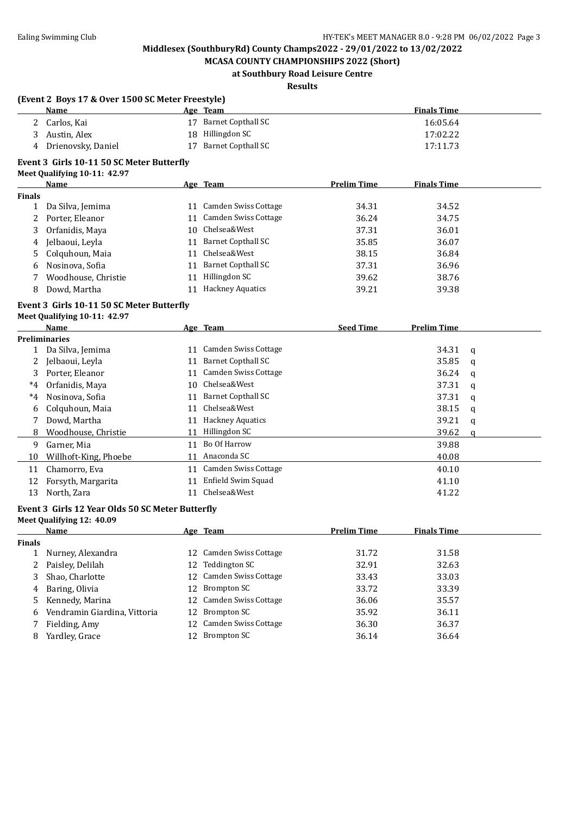**MCASA COUNTY CHAMPIONSHIPS 2022 (Short) at Southbury Road Leisure Centre**

### **Results**

|                      | (Event 2 Boys 17 & Over 1500 SC Meter Freestyle) |    |                                                  |                    |                    |                            |
|----------------------|--------------------------------------------------|----|--------------------------------------------------|--------------------|--------------------|----------------------------|
|                      | Name                                             |    | Age Team                                         |                    | <b>Finals Time</b> |                            |
| $\mathbf{2}^{\circ}$ | Carlos, Kai                                      |    | 17 Barnet Copthall SC                            |                    | 16:05.64           |                            |
| 3                    | Austin, Alex                                     |    | 18 Hillingdon SC                                 |                    | 17:02.22           |                            |
| 4                    | Drienovsky, Daniel                               |    | 17 Barnet Copthall SC                            |                    | 17:11.73           |                            |
|                      | Event 3 Girls 10-11 50 SC Meter Butterfly        |    |                                                  |                    |                    |                            |
|                      | Meet Qualifying 10-11: 42.97                     |    |                                                  |                    |                    |                            |
|                      | <b>Name</b>                                      |    | Age Team                                         | <b>Prelim Time</b> | <b>Finals Time</b> |                            |
| <b>Finals</b><br>1   | Da Silva, Jemima                                 |    | 11 Camden Swiss Cottage                          | 34.31              | 34.52              |                            |
| 2                    | Porter, Eleanor                                  |    | 11 Camden Swiss Cottage                          | 36.24              | 34.75              |                            |
| 3                    | Orfanidis, Maya                                  |    | 10 Chelsea&West                                  | 37.31              | 36.01              |                            |
| 4                    | Jelbaoui, Leyla                                  |    | 11 Barnet Copthall SC                            | 35.85              | 36.07              |                            |
| 5                    | Colquhoun, Maia                                  |    | 11 Chelsea&West                                  | 38.15              | 36.84              |                            |
| 6                    | Nosinova, Sofia                                  |    | 11 Barnet Copthall SC                            | 37.31              | 36.96              |                            |
| 7                    | Woodhouse, Christie                              |    | 11 Hillingdon SC                                 | 39.62              | 38.76              |                            |
| 8                    | Dowd, Martha                                     |    | 11 Hackney Aquatics                              | 39.21              | 39.38              |                            |
|                      |                                                  |    |                                                  |                    |                    |                            |
|                      | Event 3 Girls 10-11 50 SC Meter Butterfly        |    |                                                  |                    |                    |                            |
|                      | Meet Qualifying 10-11: 42.97                     |    |                                                  |                    |                    |                            |
|                      | Name<br><b>Preliminaries</b>                     |    | Age Team                                         | <b>Seed Time</b>   | <b>Prelim Time</b> |                            |
| $\mathbf{1}$         | Da Silva, Jemima                                 |    | 11 Camden Swiss Cottage                          |                    | 34.31              | q                          |
| $2^{\circ}$          | Jelbaoui, Leyla                                  |    | 11 Barnet Copthall SC                            |                    | 35.85              | q                          |
| 3                    | Porter, Eleanor                                  |    | 11 Camden Swiss Cottage                          |                    | 36.24              | q                          |
| *4                   | Orfanidis, Maya                                  |    | 10 Chelsea&West                                  |                    | 37.31              | q                          |
| $^{\ast}4$           | Nosinova, Sofia                                  |    | 11 Barnet Copthall SC                            |                    | 37.31              |                            |
| 6                    | Colquhoun, Maia                                  |    | 11 Chelsea&West                                  |                    | 38.15              | q                          |
| 7                    | Dowd, Martha                                     |    | 11 Hackney Aquatics                              |                    | 39.21              | q                          |
| 8                    | Woodhouse, Christie                              |    | 11 Hillingdon SC                                 |                    | 39.62              | $\mathbf q$<br>$\mathbf q$ |
|                      | Garner, Mia                                      |    | 11 Bo Of Harrow                                  |                    | 39.88              |                            |
| 9                    |                                                  |    | 11 Anaconda SC                                   |                    |                    |                            |
| 10                   | Willhoft-King, Phoebe                            |    |                                                  |                    | 40.08              |                            |
| 11                   | Chamorro, Eva                                    |    | 11 Camden Swiss Cottage<br>11 Enfield Swim Squad |                    | 40.10              |                            |
| 12                   | Forsyth, Margarita                               |    | 11 Chelsea&West                                  |                    | 41.10              |                            |
| 13                   | North, Zara                                      |    |                                                  |                    | 41.22              |                            |
|                      | Event 3 Girls 12 Year Olds 50 SC Meter Butterfly |    |                                                  |                    |                    |                            |
|                      | Meet Qualifying 12: 40.09                        |    |                                                  |                    |                    |                            |
|                      | <u>Name</u>                                      |    | Age Team                                         | <u>Prelim Time</u> | <b>Finals Time</b> |                            |
| Finals               |                                                  |    |                                                  |                    |                    |                            |
| 1                    | Nurney, Alexandra                                |    | 12 Camden Swiss Cottage<br><b>Teddington SC</b>  | 31.72              | 31.58              |                            |
| 2                    | Paisley, Delilah                                 | 12 |                                                  | 32.91              | 32.63              |                            |
| 3                    | Shao, Charlotte                                  | 12 | Camden Swiss Cottage                             | 33.43              | 33.03              |                            |
| 4                    | Baring, Olivia                                   | 12 | <b>Brompton SC</b>                               | 33.72              | 33.39              |                            |
| 5                    | Kennedy, Marina                                  | 12 | Camden Swiss Cottage                             | 36.06              | 35.57              |                            |
| 6                    | Vendramin Giardina, Vittoria                     | 12 | <b>Brompton SC</b>                               | 35.92              | 36.11              |                            |
| 7                    | Fielding, Amy                                    | 12 | Camden Swiss Cottage                             | 36.30              | 36.37              |                            |
| 8                    | Yardley, Grace                                   | 12 | <b>Brompton SC</b>                               | 36.14              | 36.64              |                            |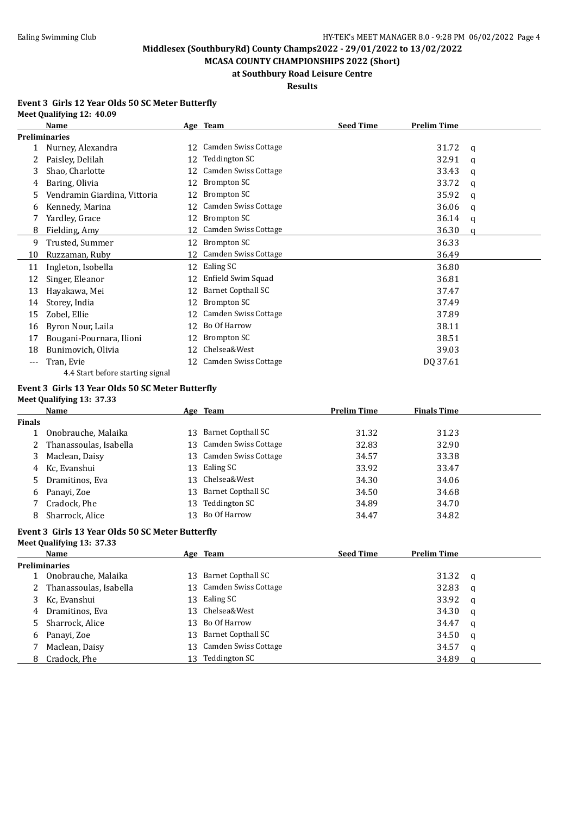**MCASA COUNTY CHAMPIONSHIPS 2022 (Short) at Southbury Road Leisure Centre**

#### **Results**

#### **Event 3 Girls 12 Year Olds 50 SC Meter Butterfly Meet Qualifying 12: 40.09**

|     | Name                             |    | Age Team                    | <b>Seed Time</b> | <b>Prelim Time</b> |   |
|-----|----------------------------------|----|-----------------------------|------------------|--------------------|---|
|     | <b>Preliminaries</b>             |    |                             |                  |                    |   |
|     | Nurney, Alexandra                | 12 | Camden Swiss Cottage        |                  | 31.72              | q |
| 2.  | Paisley, Delilah                 | 12 | Teddington SC               |                  | 32.91              | q |
| 3   | Shao, Charlotte                  | 12 | Camden Swiss Cottage        |                  | 33.43              | a |
| 4   | Baring, Olivia                   |    | Brompton SC                 |                  | 33.72              | q |
| 5   | Vendramin Giardina, Vittoria     | 12 | Brompton SC                 |                  | 35.92              | a |
| b   | Kennedy, Marina                  | 12 | <b>Camden Swiss Cottage</b> |                  | 36.06              | q |
|     | Yardley, Grace                   | 12 | Brompton SC                 |                  | 36.14              | a |
| 8   | Fielding, Amy                    | 12 | Camden Swiss Cottage        |                  | 36.30              | a |
| 9   | Trusted, Summer                  | 12 | Brompton SC                 |                  | 36.33              |   |
| 10  | Ruzzaman, Ruby                   | 12 | <b>Camden Swiss Cottage</b> |                  | 36.49              |   |
| 11  | Ingleton, Isobella               | 12 | Ealing SC                   |                  | 36.80              |   |
| 12  | Singer, Eleanor                  |    | Enfield Swim Squad          |                  | 36.81              |   |
| 13  | Hayakawa, Mei                    | 12 | <b>Barnet Copthall SC</b>   |                  | 37.47              |   |
| 14  | Storey, India                    | 12 | Brompton SC                 |                  | 37.49              |   |
| 15  | Zobel, Ellie                     |    | <b>Camden Swiss Cottage</b> |                  | 37.89              |   |
| 16  | Byron Nour, Laila                | 12 | Bo Of Harrow                |                  | 38.11              |   |
| 17  | Bougani-Pournara, Ilioni         | 12 | Brompton SC                 |                  | 38.51              |   |
| 18  | Bunimovich, Olivia               | 12 | Chelsea&West                |                  | 39.03              |   |
| --- | Tran, Evie                       | 12 | Camden Swiss Cottage        |                  | DQ 37.61           |   |
|     | 4.4 Start before starting signal |    |                             |                  |                    |   |
|     |                                  |    |                             |                  |                    |   |

#### **Event 3 Girls 13 Year Olds 50 SC Meter Butterfly**

**Meet Qualifying 13: 37.33**

|               | Name                     |     | Age Team                | <b>Prelim Time</b> | <b>Finals Time</b> |  |
|---------------|--------------------------|-----|-------------------------|--------------------|--------------------|--|
| <b>Finals</b> |                          |     |                         |                    |                    |  |
|               | Onobrauche, Malaika      | 13. | Barnet Copthall SC      | 31.32              | 31.23              |  |
|               | 2 Thanassoulas, Isabella |     | 13 Camden Swiss Cottage | 32.83              | 32.90              |  |
| 3             | Maclean, Daisy           | 13  | Camden Swiss Cottage    | 34.57              | 33.38              |  |
|               | 4 Kc, Evanshui           | 13  | Ealing SC               | 33.92              | 33.47              |  |
|               | 5 Dramitinos, Eva        | 13  | Chelsea&West            | 34.30              | 34.06              |  |
| 6             | Panayi, Zoe              | 13. | Barnet Copthall SC      | 34.50              | 34.68              |  |
|               | Cradock, Phe             | 13  | Teddington SC           | 34.89              | 34.70              |  |
| 8             | Sharrock, Alice          | 13  | Bo Of Harrow            | 34.47              | 34.82              |  |

#### **Event 3 Girls 13 Year Olds 50 SC Meter Butterfly Meet Qualifying 13: 37.33**

|   | <b>Name</b>              |     | Age Team                | <b>Seed Time</b> | <b>Prelim Time</b> |          |  |  |
|---|--------------------------|-----|-------------------------|------------------|--------------------|----------|--|--|
|   | <b>Preliminaries</b>     |     |                         |                  |                    |          |  |  |
|   | Onobrauche, Malaika      | 13. | Barnet Copthall SC      |                  | 31.32              | - q      |  |  |
|   | 2 Thanassoulas, Isabella |     | 13 Camden Swiss Cottage |                  | 32.83              | - a      |  |  |
|   | 3 Kc, Evanshui           | 13. | Ealing SC               |                  | 33.92              | <b>a</b> |  |  |
| 4 | Dramitinos, Eva          |     | 13 Chelsea&West         |                  | 34.30              | a        |  |  |
|   | 5 Sharrock, Alice        | 13  | Bo Of Harrow            |                  | 34.47              | a        |  |  |
| 6 | Panayi, Zoe              | 13. | Barnet Copthall SC      |                  | 34.50              | a        |  |  |
|   | Maclean, Daisy           | 13. | Camden Swiss Cottage    |                  | 34.57              | a        |  |  |
|   | 8 Cradock, Phe           | 13. | Teddington SC           |                  | 34.89              |          |  |  |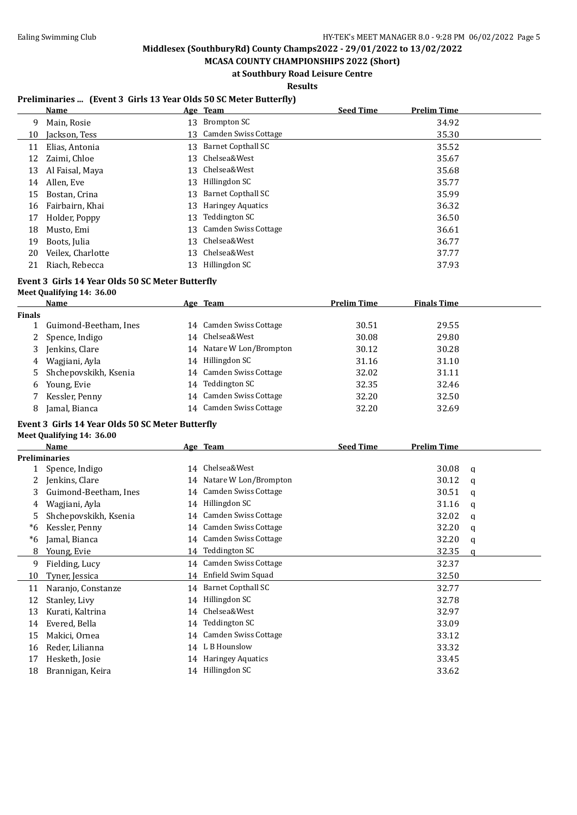**MCASA COUNTY CHAMPIONSHIPS 2022 (Short) at Southbury Road Leisure Centre**

**Results**

#### **Preliminaries ... (Event 3 Girls 13 Year Olds 50 SC Meter Butterfly)**

|    | <b>Name</b>       |    | Age Team                  | <b>Seed Time</b> | <b>Prelim Time</b> |
|----|-------------------|----|---------------------------|------------------|--------------------|
| 9  | Main, Rosie       | 13 | Brompton SC               |                  | 34.92              |
| 10 | Jackson, Tess     |    | 13 Camden Swiss Cottage   |                  | 35.30              |
| 11 | Elias, Antonia    | 13 | <b>Barnet Copthall SC</b> |                  | 35.52              |
| 12 | Zaimi, Chloe      | 13 | Chelsea&West              |                  | 35.67              |
| 13 | Al Faisal, Maya   | 13 | Chelsea&West              |                  | 35.68              |
| 14 | Allen, Eve        | 13 | Hillingdon SC             |                  | 35.77              |
| 15 | Bostan, Crina     | 13 | Barnet Copthall SC        |                  | 35.99              |
| 16 | Fairbairn, Khai   | 13 | <b>Haringey Aquatics</b>  |                  | 36.32              |
| 17 | Holder, Poppy     | 13 | Teddington SC             |                  | 36.50              |
| 18 | Musto, Emi        | 13 | Camden Swiss Cottage      |                  | 36.61              |
| 19 | Boots, Julia      | 13 | Chelsea&West              |                  | 36.77              |
| 20 | Veilex, Charlotte | 13 | Chelsea&West              |                  | 37.77              |
| 21 | Riach, Rebecca    | 13 | Hillingdon SC             |                  | 37.93              |

# **Event 3 Girls 14 Year Olds 50 SC Meter Butterfly**

## **Meet Qualifying 14: 36.00**

|        | <b>Name</b>           |    | Age Team                | <b>Prelim Time</b> | <b>Finals Time</b> |
|--------|-----------------------|----|-------------------------|--------------------|--------------------|
| Finals |                       |    |                         |                    |                    |
|        | Guimond-Beetham, Ines |    | 14 Camden Swiss Cottage | 30.51              | 29.55              |
| 2      | Spence, Indigo        |    | 14 Chelsea&West         | 30.08              | 29.80              |
| 3      | Jenkins, Clare        | 14 | Natare W Lon/Brompton   | 30.12              | 30.28              |
| 4      | Wagjiani, Ayla        | 14 | Hillingdon SC           | 31.16              | 31.10              |
| 5.     | Shchepovskikh, Ksenia |    | 14 Camden Swiss Cottage | 32.02              | 31.11              |
| 6      | Young, Evie           | 14 | Teddington SC           | 32.35              | 32.46              |
|        | Kessler, Penny        |    | 14 Camden Swiss Cottage | 32.20              | 32.50              |
| 8      | Jamal, Bianca         |    | 14 Camden Swiss Cottage | 32.20              | 32.69              |
|        |                       |    |                         |                    |                    |

## **Event 3 Girls 14 Year Olds 50 SC Meter Butterfly**

**Meet Qualifying 14: 36.00**

|    | <b>Name</b>           |    | Age Team                    | <b>Seed Time</b> | Prelim Time |   |
|----|-----------------------|----|-----------------------------|------------------|-------------|---|
|    | Preliminaries         |    |                             |                  |             |   |
|    | Spence, Indigo        | 14 | Chelsea&West                |                  | 30.08       | q |
| 2  | Jenkins, Clare        |    | 14 Natare W Lon/Brompton    |                  | 30.12       | a |
| 3  | Guimond-Beetham, Ines |    | 14 Camden Swiss Cottage     |                  | 30.51       | q |
| 4  | Wagjiani, Ayla        |    | 14 Hillingdon SC            |                  | 31.16       | q |
| 5  | Shchepovskikh, Ksenia | 14 | Camden Swiss Cottage        |                  | 32.02       | q |
| *6 | Kessler, Penny        |    | 14 Camden Swiss Cottage     |                  | 32.20       | a |
| *6 | Jamal, Bianca         | 14 | <b>Camden Swiss Cottage</b> |                  | 32.20       | q |
| 8  | Young, Evie           | 14 | <b>Teddington SC</b>        |                  | 32.35       | a |
| 9  | Fielding, Lucy        | 14 | Camden Swiss Cottage        |                  | 32.37       |   |
| 10 | Tyner, Jessica        | 14 | Enfield Swim Squad          |                  | 32.50       |   |
| 11 | Naranjo, Constanze    |    | 14 Barnet Copthall SC       |                  | 32.77       |   |
| 12 | Stanley, Livy         | 14 | Hillingdon SC               |                  | 32.78       |   |
| 13 | Kurati, Kaltrina      | 14 | Chelsea&West                |                  | 32.97       |   |
| 14 | Evered, Bella         | 14 | <b>Teddington SC</b>        |                  | 33.09       |   |
| 15 | Makici, Ornea         | 14 | <b>Camden Swiss Cottage</b> |                  | 33.12       |   |
| 16 | Reder, Lilianna       |    | 14 L B Hounslow             |                  | 33.32       |   |
| 17 | Hesketh, Josie        | 14 | <b>Haringey Aquatics</b>    |                  | 33.45       |   |
| 18 | Brannigan, Keira      |    | 14 Hillingdon SC            |                  | 33.62       |   |
|    |                       |    |                             |                  |             |   |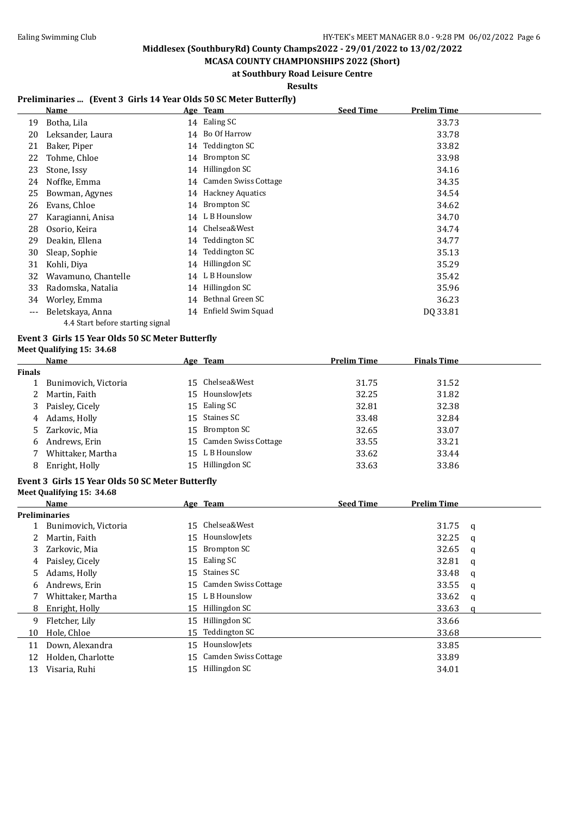**MCASA COUNTY CHAMPIONSHIPS 2022 (Short) at Southbury Road Leisure Centre**

**Results**

### **Preliminaries ... (Event 3 Girls 14 Year Olds 50 SC Meter Butterfly)**

|       | Name                |    | Age Team             | <b>Seed Time</b> | <b>Prelim Time</b> |
|-------|---------------------|----|----------------------|------------------|--------------------|
| 19    | Botha, Lila         |    | 14 Ealing SC         |                  | 33.73              |
| 20    | Leksander, Laura    | 14 | Bo Of Harrow         |                  | 33.78              |
| 21    | Baker, Piper        | 14 | Teddington SC        |                  | 33.82              |
| 22    | Tohme, Chloe        | 14 | Brompton SC          |                  | 33.98              |
| 23    | Stone, Issy         | 14 | Hillingdon SC        |                  | 34.16              |
| 24    | Noffke, Emma        | 14 | Camden Swiss Cottage |                  | 34.35              |
| 25    | Bowman, Agynes      | 14 | Hackney Aquatics     |                  | 34.54              |
| 26    | Evans, Chloe        | 14 | Brompton SC          |                  | 34.62              |
| 27    | Karagianni, Anisa   |    | 14 L B Hounslow      |                  | 34.70              |
| 28    | Osorio, Keira       |    | 14 Chelsea&West      |                  | 34.74              |
| 29    | Deakin, Ellena      |    | 14 Teddington SC     |                  | 34.77              |
| 30    | Sleap, Sophie       | 14 | Teddington SC        |                  | 35.13              |
| 31    | Kohli, Diya         | 14 | Hillingdon SC        |                  | 35.29              |
| 32    | Wavamuno, Chantelle | 14 | L B Hounslow         |                  | 35.42              |
| 33    | Radomska, Natalia   | 14 | Hillingdon SC        |                  | 35.96              |
| 34    | Worley, Emma        | 14 | Bethnal Green SC     |                  | 36.23              |
| $---$ | Beletskaya, Anna    | 14 | Enfield Swim Squad   |                  | DQ 33.81           |

# 4.4 Start before starting signal

#### **Event 3 Girls 15 Year Olds 50 SC Meter Butterfly Meet Qualifying 15: 34.68**

| Meet Qualifying 15: 3 |  |
|-----------------------|--|
|-----------------------|--|

**Meet Qualifying 15: 34.68**

|        | Name                 | Age Team                | <b>Prelim Time</b> | <b>Finals Time</b> |  |
|--------|----------------------|-------------------------|--------------------|--------------------|--|
| Finals |                      |                         |                    |                    |  |
|        | Bunimovich, Victoria | 15 Chelsea&West         | 31.75              | 31.52              |  |
| 2      | Martin, Faith        | 15 Hounslowlets         | 32.25              | 31.82              |  |
| 3      | Paisley, Cicely      | 15 Ealing SC            | 32.81              | 32.38              |  |
| 4      | Adams, Holly         | 15 Staines SC           | 33.48              | 32.84              |  |
|        | 5 Zarkovic, Mia      | 15 Brompton SC          | 32.65              | 33.07              |  |
| 6      | Andrews, Erin        | 15 Camden Swiss Cottage | 33.55              | 33.21              |  |
|        | Whittaker, Martha    | 15 L B Hounslow         | 33.62              | 33.44              |  |
| 8      | Enright, Holly       | 15 Hillingdon SC        | 33.63              | 33.86              |  |

#### **Event 3 Girls 15 Year Olds 50 SC Meter Butterfly**

|    | Name                 |    | Age Team                | <b>Seed Time</b> | <b>Prelim Time</b> |   |
|----|----------------------|----|-------------------------|------------------|--------------------|---|
|    | <b>Preliminaries</b> |    |                         |                  |                    |   |
|    | Bunimovich, Victoria |    | 15 Chelsea&West         |                  | 31.75              | a |
| 2  | Martin, Faith        |    | 15 Hounslowlets         |                  | 32.25              | a |
| 3  | Zarkovic, Mia        |    | 15 Brompton SC          |                  | 32.65              | a |
| 4  | Paisley, Cicely      | 15 | Ealing SC               |                  | 32.81              | a |
| 5. | Adams, Holly         | 15 | Staines SC              |                  | 33.48              | a |
| 6  | Andrews, Erin        |    | 15 Camden Swiss Cottage |                  | 33.55              | q |
|    | Whittaker, Martha    |    | 15 L B Hounslow         |                  | 33.62              | a |
| 8  | Enright, Holly       | 15 | Hillingdon SC           |                  | 33.63              |   |
| 9  | Fletcher, Lily       | 15 | Hillingdon SC           |                  | 33.66              |   |
| 10 | Hole, Chloe          | 15 | Teddington SC           |                  | 33.68              |   |
| 11 | Down, Alexandra      | 15 | HounslowJets            |                  | 33.85              |   |
| 12 | Holden, Charlotte    |    | 15 Camden Swiss Cottage |                  | 33.89              |   |
| 13 | Visaria, Ruhi        | 15 | Hillingdon SC           |                  | 34.01              |   |
|    |                      |    |                         |                  |                    |   |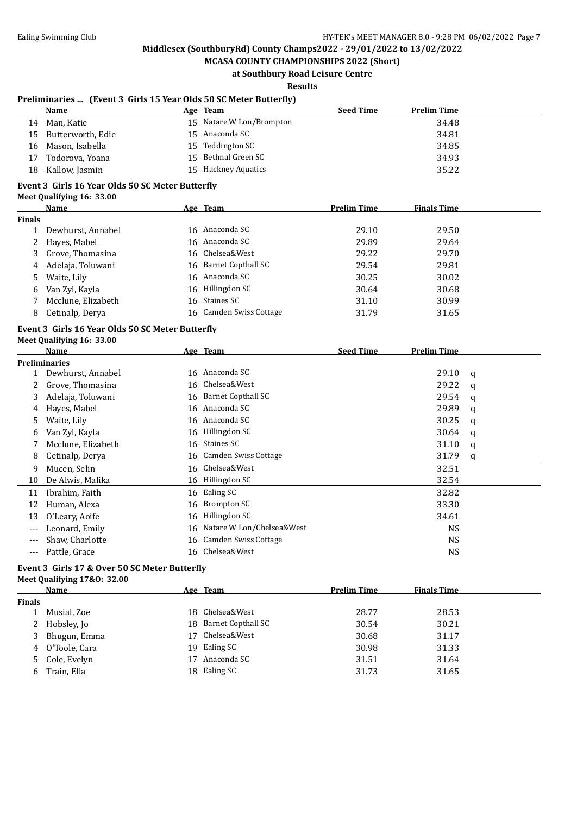**MCASA COUNTY CHAMPIONSHIPS 2022 (Short) at Southbury Road Leisure Centre**

**Results**

#### **Preliminaries ... (Event 3 Girls 15 Year Olds 50 SC Meter Butterfly)**

|     | Name                 | <u>Age Team</u>          | <b>Seed Time</b> | <b>Prelim Time</b> |
|-----|----------------------|--------------------------|------------------|--------------------|
| 14  | Man, Katie           | 15 Natare W Lon/Brompton |                  | 34.48              |
|     | 15 Butterworth, Edie | 15 Anaconda SC           |                  | 34.81              |
|     | 16 Mason, Isabella   | 15 Teddington SC         |                  | 34.85              |
|     | 17 Todorova, Yoana   | 15 Bethnal Green SC      |                  | 34.93              |
| 18. | Kallow, Jasmin       | 15 Hackney Aquatics      |                  | 35.22              |
|     |                      |                          |                  |                    |

#### **Event 3 Girls 16 Year Olds 50 SC Meter Butterfly**

| <b>Meet Qualifying 16: 33.00</b> |  |  |
|----------------------------------|--|--|
|----------------------------------|--|--|

|        | <b>Name</b>        | Age Team                | <b>Prelim Time</b> | <b>Finals Time</b> |
|--------|--------------------|-------------------------|--------------------|--------------------|
| Finals |                    |                         |                    |                    |
|        | Dewhurst, Annabel  | 16 Anaconda SC          | 29.10              | 29.50              |
|        | 2 Hayes, Mabel     | 16 Anaconda SC          | 29.89              | 29.64              |
|        | 3 Grove, Thomasina | 16 Chelsea&West         | 29.22              | 29.70              |
| 4      | Adelaja, Toluwani  | 16 Barnet Copthall SC   | 29.54              | 29.81              |
| 5.     | Waite, Lily        | 16 Anaconda SC          | 30.25              | 30.02              |
| 6      | Van Zyl, Kayla     | 16 Hillingdon SC        | 30.64              | 30.68              |
|        | Mcclune, Elizabeth | 16 Staines SC           | 31.10              | 30.99              |
| 8      | Cetinalp, Derya    | 16 Camden Swiss Cottage | 31.79              | 31.65              |
|        |                    |                         |                    |                    |

#### **Event 3 Girls 16 Year Olds 50 SC Meter Butterfly Meet Qualifying 16: 33.00**

|     | Name                 |    | Age Team                  | <b>Seed Time</b> | <b>Prelim Time</b> |   |
|-----|----------------------|----|---------------------------|------------------|--------------------|---|
|     | <b>Preliminaries</b> |    |                           |                  |                    |   |
|     | Dewhurst, Annabel    |    | 16 Anaconda SC            |                  | 29.10              | a |
|     | Grove, Thomasina     |    | 16 Chelsea&West           |                  | 29.22              | q |
| 3   | Adelaja, Toluwani    |    | 16 Barnet Copthall SC     |                  | 29.54              | a |
| 4   | Hayes, Mabel         |    | 16 Anaconda SC            |                  | 29.89              | q |
| 5.  | Waite, Lily          |    | 16 Anaconda SC            |                  | 30.25              | a |
| 6   | Van Zyl, Kayla       |    | 16 Hillingdon SC          |                  | 30.64              | q |
|     | Mcclune, Elizabeth   |    | 16 Staines SC             |                  | 31.10              | a |
| 8   | Cetinalp, Derya      |    | 16 Camden Swiss Cottage   |                  | 31.79              | a |
| 9   | Mucen, Selin         |    | 16 Chelsea&West           |                  | 32.51              |   |
| 10  | De Alwis, Malika     |    | 16 Hillingdon SC          |                  | 32.54              |   |
| 11  | Ibrahim, Faith       |    | 16 Ealing SC              |                  | 32.82              |   |
| 12  | Human, Alexa         | 16 | Brompton SC               |                  | 33.30              |   |
| 13  | O'Leary, Aoife       | 16 | Hillingdon SC             |                  | 34.61              |   |
| --- | Leonard, Emily       | 16 | Natare W Lon/Chelsea&West |                  | <b>NS</b>          |   |
| --- | Shaw, Charlotte      |    | 16 Camden Swiss Cottage   |                  | <b>NS</b>          |   |
| --- | Pattle, Grace        |    | 16 Chelsea&West           |                  | <b>NS</b>          |   |

#### **Event 3 Girls 17 & Over 50 SC Meter Butterfly Meet Qualifying 17&O: 32.00**

|               | Name            |     | Age Team              | <b>Prelim Time</b> | <b>Finals Time</b> |
|---------------|-----------------|-----|-----------------------|--------------------|--------------------|
| <b>Finals</b> |                 |     |                       |                    |                    |
|               | Musial, Zoe     | 18. | Chelsea&West          | 28.77              | 28.53              |
|               | 2 Hobsley, Jo   |     | 18 Barnet Copthall SC | 30.54              | 30.21              |
|               | 3 Bhugun, Emma  | 17  | Chelsea&West          | 30.68              | 31.17              |
|               | 4 O'Toole, Cara | 19. | Ealing SC             | 30.98              | 31.33              |
|               | 5 Cole, Evelyn  | 17  | Anaconda SC           | 31.51              | 31.64              |
| 6             | Train, Ella     |     | 18 Ealing SC          | 31.73              | 31.65              |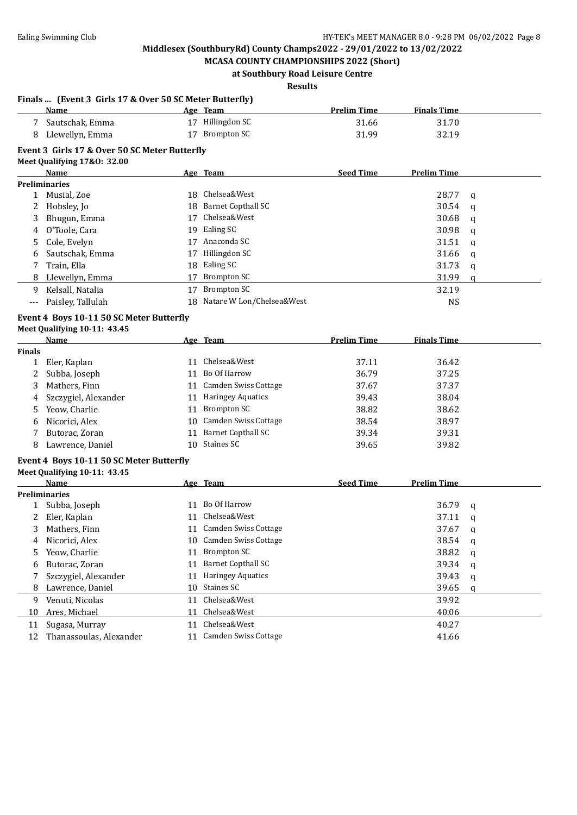**Finals ... (Event 3 Girls 17 & Over 50 SC Meter Butterfly)**

## **Middlesex (SouthburyRd) County Champs2022 - 29/01/2022 to 13/02/2022**

**MCASA COUNTY CHAMPIONSHIPS 2022 (Short) at Southbury Road Leisure Centre**

**Results**

|               | Name                                          |    | Age Team                     | <b>Prelim Time</b> | <b>Finals Time</b> |   |
|---------------|-----------------------------------------------|----|------------------------------|--------------------|--------------------|---|
| 7             | Sautschak, Emma                               |    | 17 Hillingdon SC             | 31.66              | 31.70              |   |
| 8             | Llewellyn, Emma                               |    | 17 Brompton SC               | 31.99              | 32.19              |   |
|               | Event 3 Girls 17 & Over 50 SC Meter Butterfly |    |                              |                    |                    |   |
|               | Meet Qualifying 17&0: 32.00                   |    |                              |                    |                    |   |
|               | Name                                          |    | Age Team                     | <b>Seed Time</b>   | <b>Prelim Time</b> |   |
|               | <b>Preliminaries</b>                          |    |                              |                    |                    |   |
| $\mathbf{1}$  | Musial, Zoe                                   | 18 | Chelsea&West                 |                    | 28.77              | q |
| 2             | Hobsley, Jo                                   | 18 | <b>Barnet Copthall SC</b>    |                    | 30.54              | q |
| 3             | Bhugun, Emma                                  | 17 | Chelsea&West                 |                    | 30.68              | q |
| 4             | O'Toole, Cara                                 | 19 | Ealing SC                    |                    | 30.98              | q |
| 5             | Cole, Evelyn                                  |    | 17 Anaconda SC               |                    | 31.51              | q |
| 6             | Sautschak, Emma                               | 17 | Hillingdon SC                |                    | 31.66              | q |
| 7             | Train, Ella                                   | 18 | Ealing SC                    |                    | 31.73              | q |
| 8             | Llewellyn, Emma                               | 17 | <b>Brompton SC</b>           |                    | 31.99              | q |
| 9             | Kelsall, Natalia                              | 17 | <b>Brompton SC</b>           |                    | 32.19              |   |
| $---$         | Paisley, Tallulah                             |    | 18 Natare W Lon/Chelsea&West |                    | <b>NS</b>          |   |
|               | Event 4 Boys 10-11 50 SC Meter Butterfly      |    |                              |                    |                    |   |
|               | Meet Qualifying 10-11: 43.45                  |    |                              |                    |                    |   |
|               | Name                                          |    | Age Team                     | <b>Prelim Time</b> | <b>Finals Time</b> |   |
| <b>Finals</b> |                                               |    |                              |                    |                    |   |
| $\mathbf{1}$  | Eler, Kaplan                                  |    | 11 Chelsea&West              | 37.11              | 36.42              |   |
| 2             | Subba, Joseph                                 |    | 11 Bo Of Harrow              | 36.79              | 37.25              |   |
| 3             | Mathers, Finn                                 |    | 11 Camden Swiss Cottage      | 37.67              | 37.37              |   |
| 4             | Szczygiel, Alexander                          |    | 11 Haringey Aquatics         | 39.43              | 38.04              |   |
| 5             | Yeow, Charlie                                 |    | 11 Brompton SC               | 38.82              | 38.62              |   |
| 6             | Nicorici, Alex                                |    | 10 Camden Swiss Cottage      | 38.54              | 38.97              |   |
| 7             | Butorac, Zoran                                |    | 11 Barnet Copthall SC        | 39.34              | 39.31              |   |
| 8             | Lawrence, Daniel                              | 10 | <b>Staines SC</b>            | 39.65              | 39.82              |   |
|               | Event 4 Boys 10-11 50 SC Meter Butterfly      |    |                              |                    |                    |   |
|               | Meet Qualifying 10-11: 43.45                  |    |                              |                    |                    |   |
|               | Name                                          |    | Age Team                     | <b>Seed Time</b>   | <b>Prelim Time</b> |   |
|               | <b>Preliminaries</b>                          |    |                              |                    |                    |   |
| $\mathbf{1}$  | Subba, Joseph                                 |    | 11 Bo Of Harrow              |                    | 36.79              | q |
| 2             | Eler, Kaplan                                  |    | 11 Chelsea&West              |                    | 37.11              | q |
| 3             | Mathers, Finn                                 |    | 11 Camden Swiss Cottage      |                    | 37.67              | q |
| 4             | Nicorici, Alex                                |    | 10 Camden Swiss Cottage      |                    | 38.54              | q |
| 5             | Yeow, Charlie                                 |    | 11 Brompton SC               |                    | 38.82              | q |
| 6             | Butorac, Zoran                                | 11 | <b>Barnet Copthall SC</b>    |                    | 39.34              | q |
| 7             | Szczygiel, Alexander                          |    | 11 Haringey Aquatics         |                    | 39.43              | q |
| 8             | Lawrence, Daniel                              |    | 10 Staines SC                |                    | 39.65              | a |
| 9             | Venuti, Nicolas                               |    | 11 Chelsea&West              |                    | 39.92              |   |
| 10            | Ares, Michael                                 |    | 11 Chelsea&West              |                    | 40.06              |   |
| 11            | Sugasa, Murray                                | 11 | Chelsea&West                 |                    | 40.27              |   |
| 12            | Thanassoulas, Alexander                       |    | 11 Camden Swiss Cottage      |                    | 41.66              |   |
|               |                                               |    |                              |                    |                    |   |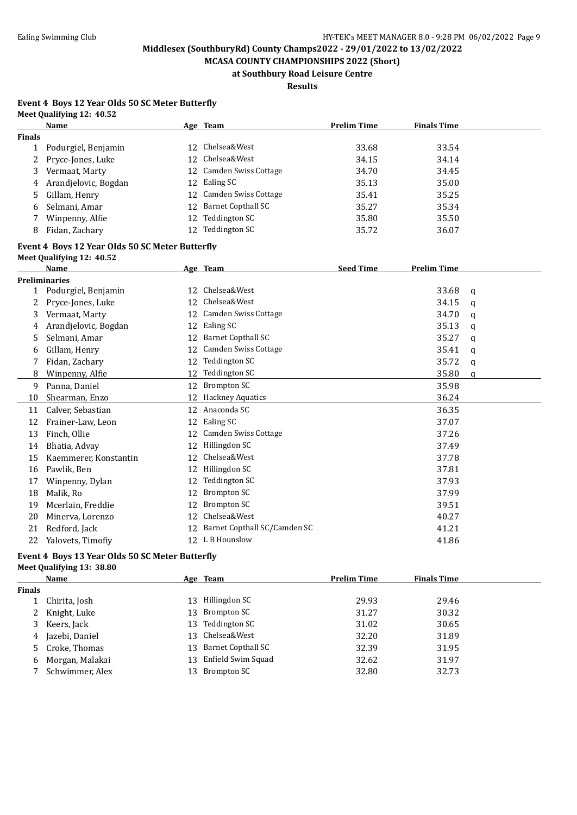**MCASA COUNTY CHAMPIONSHIPS 2022 (Short) at Southbury Road Leisure Centre**

**Results**

#### **Event 4 Boys 12 Year Olds 50 SC Meter Butterfly Meet Qualifying 12: 40.52**

|               | Name                                                                         |    | Age Team                        | <b>Prelim Time</b> | <b>Finals Time</b> |          |
|---------------|------------------------------------------------------------------------------|----|---------------------------------|--------------------|--------------------|----------|
| <b>Finals</b> |                                                                              |    |                                 |                    |                    |          |
| $\mathbf{1}$  | Podurgiel, Benjamin                                                          |    | 12 Chelsea&West                 | 33.68              | 33.54              |          |
| 2             | Pryce-Jones, Luke                                                            | 12 | Chelsea&West                    | 34.15              | 34.14              |          |
| 3             | Vermaat, Marty                                                               | 12 | Camden Swiss Cottage            | 34.70              | 34.45              |          |
| 4             | Arandjelovic, Bogdan                                                         |    | 12 Ealing SC                    | 35.13              | 35.00              |          |
| 5             | Gillam, Henry                                                                | 12 | Camden Swiss Cottage            | 35.41              | 35.25              |          |
| 6             | Selmani, Amar                                                                | 12 | <b>Barnet Copthall SC</b>       | 35.27              | 35.34              |          |
| 7             | Winpenny, Alfie                                                              |    | 12 Teddington SC                | 35.80              | 35.50              |          |
| 8             | Fidan, Zachary                                                               |    | 12 Teddington SC                | 35.72              | 36.07              |          |
|               | Event 4 Boys 12 Year Olds 50 SC Meter Butterfly<br>Meet Qualifying 12: 40.52 |    |                                 |                    |                    |          |
|               | Name                                                                         |    | Age Team                        | <b>Seed Time</b>   | <b>Prelim Time</b> |          |
|               | <b>Preliminaries</b>                                                         |    |                                 |                    |                    |          |
|               | 1 Podurgiel, Benjamin                                                        |    | 12 Chelsea&West                 |                    | 33.68              | q        |
| 2             | Pryce-Jones, Luke                                                            |    | 12 Chelsea&West                 |                    | 34.15              | a        |
| 3             | Vermaat, Marty                                                               | 12 | Camden Swiss Cottage            |                    | 34.70              | q        |
| 4             | Arandjelovic, Bogdan                                                         | 12 | Ealing SC                       |                    | 35.13              | a        |
| 5             | Selmani, Amar                                                                | 12 | <b>Barnet Copthall SC</b>       |                    | 35.27              | q        |
| 6             | Gillam, Henry                                                                | 12 | Camden Swiss Cottage            |                    | 35.41              | q        |
| 7             | Fidan, Zachary                                                               | 12 | Teddington SC                   |                    | 35.72              | q        |
| 8             | Winpenny, Alfie                                                              |    | 12 Teddington SC                |                    | 35.80              | $\alpha$ |
| 9             | Panna, Daniel                                                                |    | 12 Brompton SC                  |                    | 35.98              |          |
| 10            | Shearman, Enzo                                                               |    | 12 Hackney Aquatics             |                    | 36.24              |          |
| 11            | Calver, Sebastian                                                            |    | 12 Anaconda SC                  |                    | 36.35              |          |
| 12            | Frainer-Law, Leon                                                            |    | 12 Ealing SC                    |                    | 37.07              |          |
| 13            | Finch, Ollie                                                                 | 12 | Camden Swiss Cottage            |                    | 37.26              |          |
| 14            | Bhatia, Advay                                                                |    | 12 Hillingdon SC                |                    | 37.49              |          |
| 15            | Kaemmerer, Konstantin                                                        | 12 | Chelsea&West                    |                    | 37.78              |          |
| 16            | Pawlik, Ben                                                                  |    | 12 Hillingdon SC                |                    | 37.81              |          |
| 17            | Winpenny, Dylan                                                              | 12 | Teddington SC                   |                    | 37.93              |          |
| 18            | Malik, Ro                                                                    | 12 | <b>Brompton SC</b>              |                    | 37.99              |          |
| 19            | Mcerlain, Freddie                                                            | 12 | <b>Brompton SC</b>              |                    | 39.51              |          |
| 20            | Minerva, Lorenzo                                                             | 12 | Chelsea&West                    |                    | 40.27              |          |
| 21            | Redford, Jack                                                                |    | 12 Barnet Copthall SC/Camden SC |                    | 41.21              |          |
| 22            | Yalovets, Timofiy                                                            |    | 12 L B Hounslow                 |                    | 41.86              |          |

#### **Event 4 Boys 13 Year Olds 50 SC Meter Butterfly Meet Qualifying 13: 38.80**

|               | Name              |     | Age Team           | <b>Prelim Time</b> | <b>Finals Time</b> |
|---------------|-------------------|-----|--------------------|--------------------|--------------------|
| <b>Finals</b> |                   |     |                    |                    |                    |
|               | Chirita, Josh     | 13. | Hillingdon SC      | 29.93              | 29.46              |
| 2             | Knight, Luke      | 13  | Brompton SC        | 31.27              | 30.32              |
| 3             | Keers, Jack       | 13  | Teddington SC      | 31.02              | 30.65              |
| 4             | Jazebi, Daniel    |     | 13 Chelsea&West    | 32.20              | 31.89              |
|               | 5 Croke, Thomas   | 13  | Barnet Copthall SC | 32.39              | 31.95              |
|               | 6 Morgan, Malakai | 13  | Enfield Swim Squad | 32.62              | 31.97              |
|               | Schwimmer, Alex   | 13. | Brompton SC        | 32.80              | 32.73              |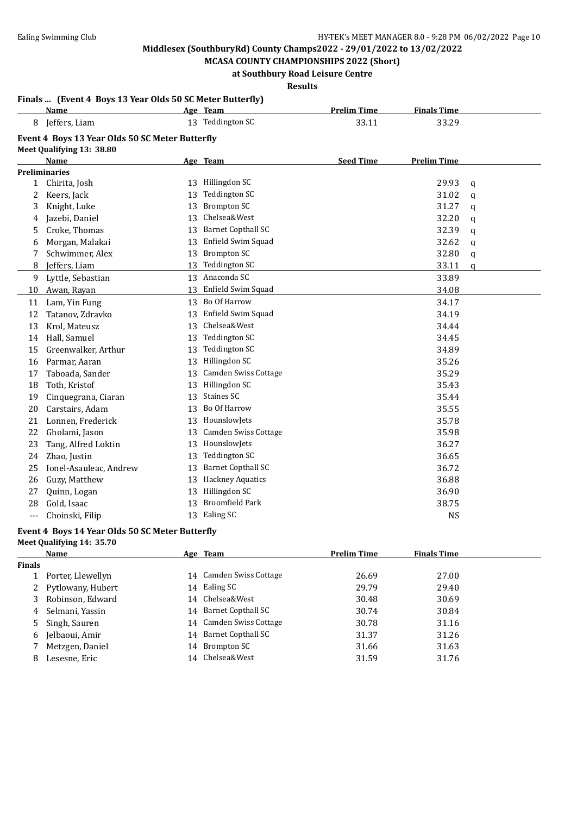**MCASA COUNTY CHAMPIONSHIPS 2022 (Short) at Southbury Road Leisure Centre**

## **Results**

#### **Finals ... (Event 4 Boys 13 Year Olds 50 SC Meter Butterfly)**

|              | Name                                            |    | Age Team                  | <b>Prelim Time</b> | <b>Finals Time</b> |              |
|--------------|-------------------------------------------------|----|---------------------------|--------------------|--------------------|--------------|
| 8            | Jeffers, Liam                                   |    | 13 Teddington SC          | 33.11              | 33.29              |              |
|              | Event 4 Boys 13 Year Olds 50 SC Meter Butterfly |    |                           |                    |                    |              |
|              | Meet Qualifying 13: 38.80                       |    |                           |                    |                    |              |
|              | <b>Name</b>                                     |    | Age Team                  | <b>Seed Time</b>   | <b>Prelim Time</b> |              |
|              | <b>Preliminaries</b>                            |    |                           |                    |                    |              |
| $\mathbf{1}$ | Chirita, Josh                                   |    | 13 Hillingdon SC          |                    | 29.93              | $\mathbf q$  |
| 2            | Keers, Jack                                     | 13 | <b>Teddington SC</b>      |                    | 31.02              | q            |
| 3            | Knight, Luke                                    | 13 | <b>Brompton SC</b>        |                    | 31.27              | a            |
| 4            | Jazebi, Daniel                                  | 13 | Chelsea&West              |                    | 32.20              | q            |
| 5            | Croke, Thomas                                   | 13 | <b>Barnet Copthall SC</b> |                    | 32.39              | q            |
| 6            | Morgan, Malakai                                 | 13 | Enfield Swim Squad        |                    | 32.62              | q            |
| 7            | Schwimmer, Alex                                 | 13 | <b>Brompton SC</b>        |                    | 32.80              | q            |
| 8            | Jeffers, Liam                                   | 13 | Teddington SC             |                    | 33.11              | $\mathbf{q}$ |
| 9            | Lyttle, Sebastian                               |    | 13 Anaconda SC            |                    | 33.89              |              |
| 10           | Awan, Rayan                                     | 13 | Enfield Swim Squad        |                    | 34.08              |              |
| 11           | Lam, Yin Fung                                   |    | 13 Bo Of Harrow           |                    | 34.17              |              |
| 12           | Tatanov, Zdravko                                | 13 | Enfield Swim Squad        |                    | 34.19              |              |
| 13           | Krol, Mateusz                                   | 13 | Chelsea&West              |                    | 34.44              |              |
| 14           | Hall, Samuel                                    | 13 | Teddington SC             |                    | 34.45              |              |
| 15           | Greenwalker, Arthur                             | 13 | <b>Teddington SC</b>      |                    | 34.89              |              |
| 16           | Parmar, Aaran                                   | 13 | Hillingdon SC             |                    | 35.26              |              |
| 17           | Taboada, Sander                                 | 13 | Camden Swiss Cottage      |                    | 35.29              |              |
| 18           | Toth, Kristof                                   | 13 | Hillingdon SC             |                    | 35.43              |              |
| 19           | Cinquegrana, Ciaran                             | 13 | Staines SC                |                    | 35.44              |              |
| 20           | Carstairs, Adam                                 | 13 | Bo Of Harrow              |                    | 35.55              |              |
| 21           | Lonnen, Frederick                               | 13 | HounslowJets              |                    | 35.78              |              |
| 22           | Gholami, Jason                                  | 13 | Camden Swiss Cottage      |                    | 35.98              |              |
| 23           | Tang, Alfred Loktin                             | 13 | HounslowJets              |                    | 36.27              |              |
| 24           | Zhao, Justin                                    | 13 | Teddington SC             |                    | 36.65              |              |
| 25           | Ionel-Asauleac, Andrew                          | 13 | <b>Barnet Copthall SC</b> |                    | 36.72              |              |
| 26           | Guzy, Matthew                                   | 13 | <b>Hackney Aquatics</b>   |                    | 36.88              |              |
| 27           | Quinn, Logan                                    | 13 | Hillingdon SC             |                    | 36.90              |              |
| 28           | Gold, Isaac                                     | 13 | <b>Broomfield Park</b>    |                    | 38.75              |              |
| ---          | Choinski, Filip                                 |    | 13 Ealing SC              |                    | <b>NS</b>          |              |

#### **Event 4 Boys 14 Year Olds 50 SC Meter Butterfly**

**Meet Qualifying 14: 35.70**

|               | Name                | Age Team                | <b>Prelim Time</b> | <b>Finals Time</b> |  |
|---------------|---------------------|-------------------------|--------------------|--------------------|--|
| <b>Finals</b> |                     |                         |                    |                    |  |
|               | Porter, Llewellyn   | 14 Camden Swiss Cottage | 26.69              | 27.00              |  |
|               | 2 Pytlowany, Hubert | 14 Ealing SC            | 29.79              | 29.40              |  |
|               | 3 Robinson, Edward  | 14 Chelsea&West         | 30.48              | 30.69              |  |
|               | 4 Selmani, Yassin   | 14 Barnet Copthall SC   | 30.74              | 30.84              |  |
|               | 5 Singh, Sauren     | 14 Camden Swiss Cottage | 30.78              | 31.16              |  |
|               | 6 Jelbaoui, Amir    | 14 Barnet Copthall SC   | 31.37              | 31.26              |  |
|               | Metzgen, Daniel     | 14 Brompton SC          | 31.66              | 31.63              |  |
| 8             | Lesesne, Eric       | 14 Chelsea&West         | 31.59              | 31.76              |  |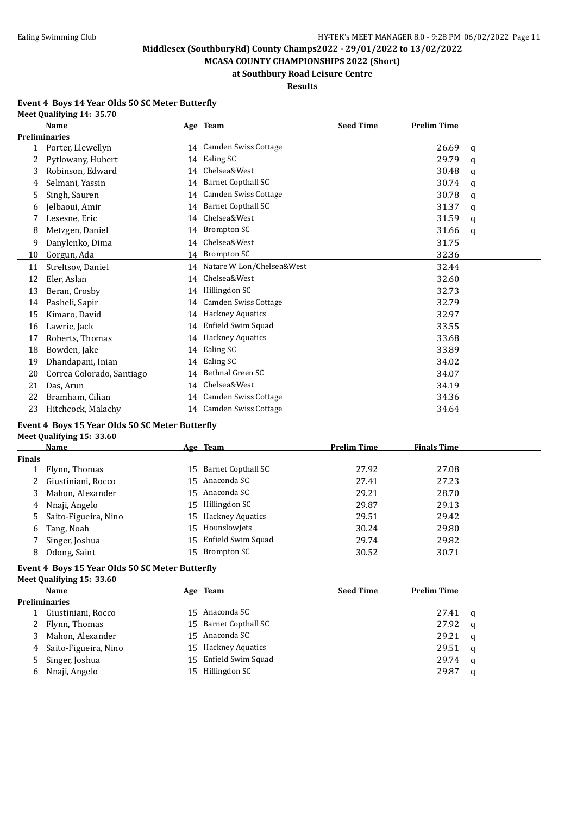**MCASA COUNTY CHAMPIONSHIPS 2022 (Short) at Southbury Road Leisure Centre**

#### **Results**

#### **Event 4 Boys 14 Year Olds 50 SC Meter Butterfly Meet Qualifying 14: 35.70**

|              | Name                      |    | Age Team                     | <b>Seed Time</b> | <b>Prelim Time</b> |   |
|--------------|---------------------------|----|------------------------------|------------------|--------------------|---|
|              | <b>Preliminaries</b>      |    |                              |                  |                    |   |
| $\mathbf{1}$ | Porter, Llewellyn         |    | 14 Camden Swiss Cottage      |                  | 26.69              | q |
| 2            | Pytlowany, Hubert         | 14 | Ealing SC                    |                  | 29.79              | q |
| 3            | Robinson, Edward          | 14 | Chelsea&West                 |                  | 30.48              | a |
| 4            | Selmani, Yassin           | 14 | <b>Barnet Copthall SC</b>    |                  | 30.74              | q |
| 5            | Singh, Sauren             | 14 | <b>Camden Swiss Cottage</b>  |                  | 30.78              | a |
| 6            | Jelbaoui, Amir            | 14 | <b>Barnet Copthall SC</b>    |                  | 31.37              | q |
|              | Lesesne, Eric             | 14 | Chelsea&West                 |                  | 31.59              | q |
| 8            | Metzgen, Daniel           |    | 14 Brompton SC               |                  | 31.66              | a |
| 9            | Danylenko, Dima           | 14 | Chelsea&West                 |                  | 31.75              |   |
| 10           | Gorgun, Ada               |    | 14 Brompton SC               |                  | 32.36              |   |
| 11           | Streltsov, Daniel         |    | 14 Natare W Lon/Chelsea&West |                  | 32.44              |   |
| 12           | Eler, Aslan               | 14 | Chelsea&West                 |                  | 32.60              |   |
| 13           | Beran, Crosby             | 14 | Hillingdon SC                |                  | 32.73              |   |
| 14           | Pasheli, Sapir            | 14 | Camden Swiss Cottage         |                  | 32.79              |   |
| 15           | Kimaro, David             | 14 | <b>Hackney Aquatics</b>      |                  | 32.97              |   |
| 16           | Lawrie, Jack              | 14 | Enfield Swim Squad           |                  | 33.55              |   |
| 17           | Roberts, Thomas           | 14 | <b>Hackney Aquatics</b>      |                  | 33.68              |   |
| 18           | Bowden, Jake              | 14 | Ealing SC                    |                  | 33.89              |   |
| 19           | Dhandapani, Inian         | 14 | Ealing SC                    |                  | 34.02              |   |
| 20           | Correa Colorado, Santiago | 14 | Bethnal Green SC             |                  | 34.07              |   |
| 21           | Das, Arun                 | 14 | Chelsea&West                 |                  | 34.19              |   |
| 22           | Bramham, Cilian           | 14 | Camden Swiss Cottage         |                  | 34.36              |   |
| 23           | Hitchcock, Malachy        | 14 | Camden Swiss Cottage         |                  | 34.64              |   |
|              |                           |    |                              |                  |                    |   |

### **Event 4 Boys 15 Year Olds 50 SC Meter Butterfly Meet Qualifying 15: 33.60**

|               | Name                   |     | Age Team              | <b>Prelim Time</b> | <b>Finals Time</b> |
|---------------|------------------------|-----|-----------------------|--------------------|--------------------|
| <b>Finals</b> |                        |     |                       |                    |                    |
|               | Flynn, Thomas          | 15. | Barnet Copthall SC    | 27.92              | 27.08              |
|               | 2 Giustiniani, Rocco   |     | 15 Anaconda SC        | 27.41              | 27.23              |
|               | 3 Mahon, Alexander     |     | 15 Anaconda SC        | 29.21              | 28.70              |
|               | 4 Nnaji, Angelo        |     | 15 Hillingdon SC      | 29.87              | 29.13              |
|               | 5 Saito-Figueira, Nino |     | 15 Hackney Aquatics   | 29.51              | 29.42              |
|               | 6 Tang, Noah           |     | 15 Hounslowlets       | 30.24              | 29.80              |
|               | Singer, Joshua         |     | 15 Enfield Swim Squad | 29.74              | 29.82              |
| 8             | Odong, Saint           |     | 15 Brompton SC        | 30.52              | 30.71              |

#### **Event 4 Boys 15 Year Olds 50 SC Meter Butterfly Meet Qualifying 15: 33.60**

|   | Name                   |     | Age Team                | <b>Seed Time</b> | <b>Prelim Time</b> |          |
|---|------------------------|-----|-------------------------|------------------|--------------------|----------|
|   | <b>Preliminaries</b>   |     |                         |                  |                    |          |
|   | Giustiniani, Rocco     |     | 15 Anaconda SC          |                  | 27.41              | <b>a</b> |
|   | 2 Flynn, Thomas        |     | 15 Barnet Copthall SC   |                  | 27.92              | - a      |
| 3 | Mahon, Alexander       |     | 15 Anaconda SC          |                  | 29.21              | - q      |
|   | 4 Saito-Figueira, Nino | 15. | <b>Hackney Aquatics</b> |                  | 29.51              | - a      |
|   | 5 Singer, Joshua       | 15  | Enfield Swim Squad      |                  | 29.74              | <b>a</b> |
|   | 6 Nnaji, Angelo        |     | 15 Hillingdon SC        |                  | 29.87              | a        |
|   |                        |     |                         |                  |                    |          |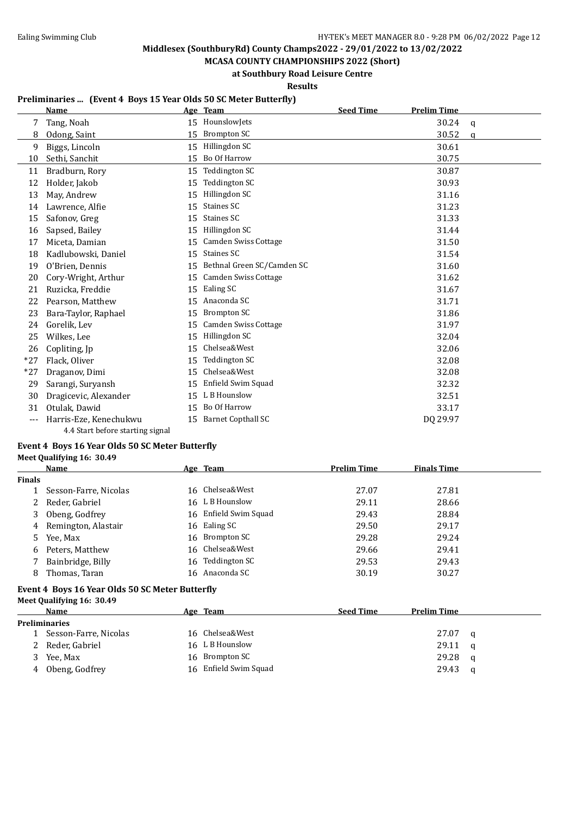**MCASA COUNTY CHAMPIONSHIPS 2022 (Short) at Southbury Road Leisure Centre**

**Results**

#### **Preliminaries ... (Event 4 Boys 15 Year Olds 50 SC Meter Butterfly)**

|       | <b>Name</b>                      |    | Age Team                    | <b>Seed Time</b> | <b>Prelim Time</b> |             |
|-------|----------------------------------|----|-----------------------------|------------------|--------------------|-------------|
| 7     | Tang, Noah                       | 15 | HounslowJets                |                  | 30.24              | $\mathbf q$ |
| 8     | Odong, Saint                     | 15 | <b>Brompton SC</b>          |                  | 30.52              | a           |
| 9     | Biggs, Lincoln                   | 15 | Hillingdon SC               |                  | 30.61              |             |
| 10    | Sethi, Sanchit                   | 15 | Bo Of Harrow                |                  | 30.75              |             |
| 11    | Bradburn, Rory                   | 15 | Teddington SC               |                  | 30.87              |             |
| 12    | Holder, Jakob                    | 15 | <b>Teddington SC</b>        |                  | 30.93              |             |
| 13    | May, Andrew                      | 15 | Hillingdon SC               |                  | 31.16              |             |
| 14    | Lawrence, Alfie                  | 15 | Staines SC                  |                  | 31.23              |             |
| 15    | Safonov, Greg                    | 15 | Staines SC                  |                  | 31.33              |             |
| 16    | Sapsed, Bailey                   | 15 | Hillingdon SC               |                  | 31.44              |             |
| 17    | Miceta, Damian                   | 15 | <b>Camden Swiss Cottage</b> |                  | 31.50              |             |
| 18    | Kadlubowski, Daniel              | 15 | <b>Staines SC</b>           |                  | 31.54              |             |
| 19    | O'Brien, Dennis                  | 15 | Bethnal Green SC/Camden SC  |                  | 31.60              |             |
| 20    | Cory-Wright, Arthur              | 15 | <b>Camden Swiss Cottage</b> |                  | 31.62              |             |
| 21    | Ruzicka, Freddie                 | 15 | Ealing SC                   |                  | 31.67              |             |
| 22    | Pearson, Matthew                 | 15 | Anaconda SC                 |                  | 31.71              |             |
| 23    | Bara-Taylor, Raphael             | 15 | <b>Brompton SC</b>          |                  | 31.86              |             |
| 24    | Gorelik. Lev                     | 15 | Camden Swiss Cottage        |                  | 31.97              |             |
| 25    | Wilkes, Lee                      | 15 | Hillingdon SC               |                  | 32.04              |             |
| 26    | Copliting, Jp                    | 15 | Chelsea&West                |                  | 32.06              |             |
| $*27$ | Flack, Oliver                    | 15 | Teddington SC               |                  | 32.08              |             |
| $*27$ | Draganov, Dimi                   | 15 | Chelsea&West                |                  | 32.08              |             |
| 29    | Sarangi, Suryansh                | 15 | Enfield Swim Squad          |                  | 32.32              |             |
| 30    | Dragicevic, Alexander            | 15 | L B Hounslow                |                  | 32.51              |             |
| 31    | Otulak, Dawid                    | 15 | Bo Of Harrow                |                  | 33.17              |             |
| ---   | Harris-Eze, Kenechukwu           | 15 | <b>Barnet Copthall SC</b>   |                  | DQ 29.97           |             |
|       | 4.4 Start before starting signal |    |                             |                  |                    |             |

#### **Event 4 Boys 16 Year Olds 50 SC Meter Butterfly Meet Qualifying 16: 30.49**

|               | Name                                            | Age Team              | <b>Prelim Time</b> | <b>Finals Time</b> |   |
|---------------|-------------------------------------------------|-----------------------|--------------------|--------------------|---|
| <b>Finals</b> |                                                 |                       |                    |                    |   |
|               | Sesson-Farre, Nicolas                           | 16 Chelsea&West       | 27.07              | 27.81              |   |
| 2             | Reder, Gabriel                                  | 16 L B Hounslow       | 29.11              | 28.66              |   |
| 3             | Obeng, Godfrey                                  | 16 Enfield Swim Squad | 29.43              | 28.84              |   |
| 4             | Remington, Alastair                             | 16 Ealing SC          | 29.50              | 29.17              |   |
| 5.            | Yee, Max                                        | 16 Brompton SC        | 29.28              | 29.24              |   |
| 6             | Peters, Matthew                                 | 16 Chelsea&West       | 29.66              | 29.41              |   |
| 7             | Bainbridge, Billy                               | 16 Teddington SC      | 29.53              | 29.43              |   |
| 8             | Thomas, Taran                                   | 16 Anaconda SC        | 30.19              | 30.27              |   |
|               | Event 4 Boys 16 Year Olds 50 SC Meter Butterfly |                       |                    |                    |   |
|               | Meet Qualifying 16: 30.49                       |                       |                    |                    |   |
|               | Name                                            | Age Team              | <b>Seed Time</b>   | <b>Prelim Time</b> |   |
|               | <b>Preliminaries</b>                            |                       |                    |                    |   |
|               | Sesson-Farre, Nicolas                           | 16 Chelsea&West       |                    | 27.07              | q |
|               | Reder, Gabriel                                  | 16 L B Hounslow       |                    | 29.11              | a |
|               | Yee, Max                                        | 16 Brompton SC        |                    | 29.28              | a |

4 Obeng, Godfrey 16 Enfield Swim Squad 29.43 q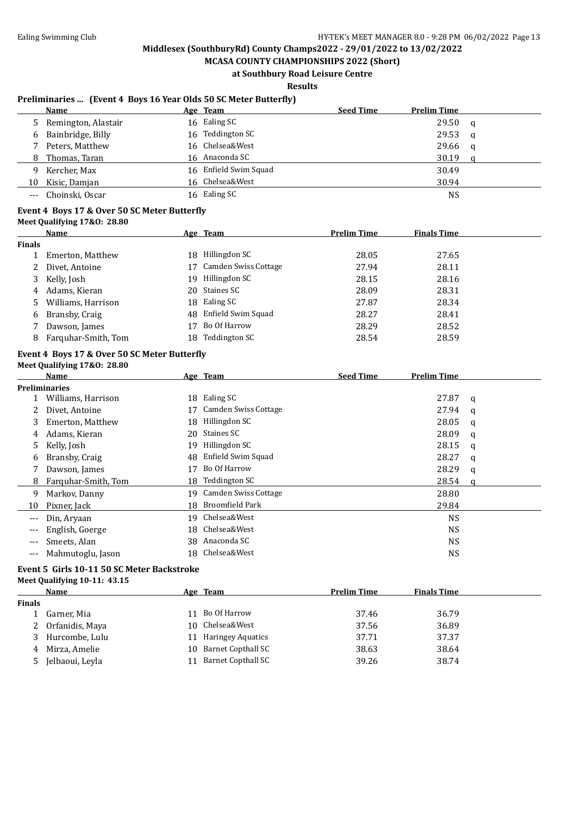**MCASA COUNTY CHAMPIONSHIPS 2022 (Short) at Southbury Road Leisure Centre**

**Results**

#### **Preliminaries ... (Event 4 Boys 16 Year Olds 50 SC Meter Butterfly)**

|       | Name                  | Age Team              | <b>Seed Time</b> | <b>Prelim Time</b> |   |
|-------|-----------------------|-----------------------|------------------|--------------------|---|
|       | 5 Remington, Alastair | 16 Ealing SC          |                  | 29.50              | q |
|       | 6 Bainbridge, Billy   | 16 Teddington SC      |                  | 29.53              | q |
|       | Peters, Matthew       | 16 Chelsea&West       |                  | 29.66              | q |
|       | 8 Thomas, Taran       | 16 Anaconda SC        |                  | 30.19              |   |
| 9     | Kercher, Max          | 16 Enfield Swim Squad |                  | 30.49              |   |
| 10    | Kisic, Damjan         | 16 Chelsea&West       |                  | 30.94              |   |
| $---$ | Choinski, Oscar       | 16 Ealing SC          |                  | <b>NS</b>          |   |

#### **Event 4 Boys 17 & Over 50 SC Meter Butterfly**

**Meet Qualifying 17&O: 28.80**

| <b>Name</b>         |               |                             | <b>Prelim Time</b>                                                                                             | <b>Finals Time</b> |  |
|---------------------|---------------|-----------------------------|----------------------------------------------------------------------------------------------------------------|--------------------|--|
|                     |               |                             |                                                                                                                |                    |  |
| Emerton, Matthew    |               | Hillingdon SC               | 28.05                                                                                                          | 27.65              |  |
| Divet, Antoine      |               | <b>Camden Swiss Cottage</b> | 27.94                                                                                                          | 28.11              |  |
| Kelly, Josh         |               |                             | 28.15                                                                                                          | 28.16              |  |
| Adams, Kieran       |               |                             | 28.09                                                                                                          | 28.31              |  |
| Williams, Harrison  |               |                             | 27.87                                                                                                          | 28.34              |  |
| Bransby, Craig      |               |                             | 28.27                                                                                                          | 28.41              |  |
| Dawson, James       |               | Bo Of Harrow                | 28.29                                                                                                          | 28.52              |  |
| Farguhar-Smith, Tom |               | <b>Teddington SC</b>        | 28.54                                                                                                          | 28.59              |  |
|                     | <b>Finals</b> |                             | <u>Age Team</u><br>18.<br>Hillingdon SC<br>19.<br>20 Staines SC<br>18 Ealing SC<br>48 Enfield Swim Squad<br>18 |                    |  |

#### **Event 4 Boys 17 & Over 50 SC Meter Butterfly Meet Qualifying 17&O: 28.80**

|       | Name                 |    | Age Team             | <b>Seed Time</b> | <b>Prelim Time</b> |   |
|-------|----------------------|----|----------------------|------------------|--------------------|---|
|       | <b>Preliminaries</b> |    |                      |                  |                    |   |
|       | Williams, Harrison   | 18 | Ealing SC            |                  | 27.87              | a |
|       | Divet, Antoine       | 17 | Camden Swiss Cottage |                  | 27.94              | q |
| 3     | Emerton, Matthew     | 18 | Hillingdon SC        |                  | 28.05              | q |
| 4     | Adams, Kieran        | 20 | Staines SC           |                  | 28.09              | q |
| 5     | Kelly, Josh          | 19 | Hillingdon SC        |                  | 28.15              | q |
| 6     | Bransby, Craig       | 48 | Enfield Swim Squad   |                  | 28.27              | q |
|       | Dawson, James        | 17 | Bo Of Harrow         |                  | 28.29              | q |
| 8     | Farquhar-Smith, Tom  | 18 | <b>Teddington SC</b> |                  | 28.54              | a |
| 9     | Markov, Danny        | 19 | Camden Swiss Cottage |                  | 28.80              |   |
| 10    | Pixner, Jack         | 18 | Broomfield Park      |                  | 29.84              |   |
| $---$ | Din, Aryaan          | 19 | Chelsea&West         |                  | <b>NS</b>          |   |
| ---   | English, Goerge      | 18 | Chelsea&West         |                  | <b>NS</b>          |   |
|       | Smeets, Alan         | 38 | Anaconda SC          |                  | <b>NS</b>          |   |
| ---   | Mahmutoglu, Jason    | 18 | Chelsea&West         |                  | NS                 |   |

## **Event 5 Girls 10-11 50 SC Meter Backstroke**

#### **Meet Qualifying 10-11: 43.15**

|        | Name            |    | Age Team                  | <b>Prelim Time</b> | <b>Finals Time</b> |
|--------|-----------------|----|---------------------------|--------------------|--------------------|
| Finals |                 |    |                           |                    |                    |
|        | Garner, Mia     | 11 | Bo Of Harrow              | 37.46              | 36.79              |
|        | Orfanidis, Maya |    | 10 Chelsea&West           | 37.56              | 36.89              |
|        | Hurcombe, Lulu  | 11 | <b>Haringey Aquatics</b>  | 37.71              | 37.37              |
| 4      | Mirza, Amelie   |    | 10 Barnet Copthall SC     | 38.63              | 38.64              |
| 5      | Jelbaoui, Leyla |    | <b>Barnet Copthall SC</b> | 39.26              | 38.74              |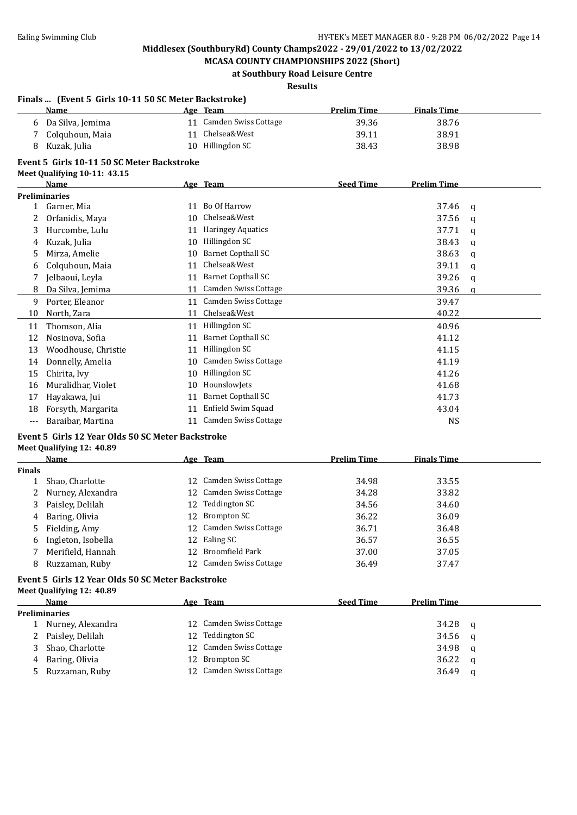**MCASA COUNTY CHAMPIONSHIPS 2022 (Short) at Southbury Road Leisure Centre**

#### **Results**

|               | Finals  (Event 5 Girls 10-11 50 SC Meter Backstroke) |    |                           |                    |                    |          |
|---------------|------------------------------------------------------|----|---------------------------|--------------------|--------------------|----------|
|               | <b>Name</b>                                          |    | Age Team                  | <b>Prelim Time</b> | <b>Finals Time</b> |          |
| 6             | Da Silva, Jemima                                     |    | 11 Camden Swiss Cottage   | 39.36              | 38.76              |          |
| 7             | Colquhoun, Maia                                      | 11 | Chelsea&West              | 39.11              | 38.91              |          |
| 8             | Kuzak, Julia                                         |    | 10 Hillingdon SC          | 38.43              | 38.98              |          |
|               | Event 5 Girls 10-11 50 SC Meter Backstroke           |    |                           |                    |                    |          |
|               | Meet Qualifying 10-11: 43.15                         |    |                           |                    |                    |          |
|               | Name                                                 |    | Age Team                  | <b>Seed Time</b>   | <b>Prelim Time</b> |          |
|               | <b>Preliminaries</b>                                 |    |                           |                    |                    |          |
|               | 1 Garner, Mia                                        |    | 11 Bo Of Harrow           |                    | 37.46              | q        |
| 2             | Orfanidis, Maya                                      | 10 | Chelsea&West              |                    | 37.56              | q        |
| 3             | Hurcombe, Lulu                                       |    | 11 Haringey Aquatics      |                    | 37.71              | q        |
| 4             | Kuzak, Julia                                         | 10 | Hillingdon SC             |                    | 38.43              | q        |
| 5             | Mirza, Amelie                                        | 10 | <b>Barnet Copthall SC</b> |                    | 38.63              | q        |
| 6             | Colquhoun, Maia                                      | 11 | Chelsea&West              |                    | 39.11              | q        |
| 7             | Jelbaoui, Leyla                                      |    | 11 Barnet Copthall SC     |                    | 39.26              | q        |
| 8             | Da Silva, Jemima                                     |    | 11 Camden Swiss Cottage   |                    | 39.36              | $\alpha$ |
| 9             | Porter, Eleanor                                      |    | 11 Camden Swiss Cottage   |                    | 39.47              |          |
| 10            | North, Zara                                          |    | 11 Chelsea&West           |                    | 40.22              |          |
| 11            | Thomson, Alia                                        |    | 11 Hillingdon SC          |                    | 40.96              |          |
| 12            | Nosinova, Sofia                                      | 11 | <b>Barnet Copthall SC</b> |                    | 41.12              |          |
| 13            | Woodhouse, Christie                                  |    | 11 Hillingdon SC          |                    | 41.15              |          |
| 14            | Donnelly, Amelia                                     |    | 10 Camden Swiss Cottage   |                    | 41.19              |          |
| 15            | Chirita, Ivy                                         | 10 | Hillingdon SC             |                    | 41.26              |          |
| 16            | Muralidhar, Violet                                   | 10 | HounslowJets              |                    | 41.68              |          |
| 17            | Hayakawa, Jui                                        | 11 | <b>Barnet Copthall SC</b> |                    | 41.73              |          |
| 18            | Forsyth, Margarita                                   | 11 | Enfield Swim Squad        |                    | 43.04              |          |
| ---           | Baraibar, Martina                                    |    | 11 Camden Swiss Cottage   |                    | <b>NS</b>          |          |
|               | Event 5 Girls 12 Year Olds 50 SC Meter Backstroke    |    |                           |                    |                    |          |
|               | Meet Qualifying 12: 40.89                            |    |                           |                    |                    |          |
|               | Name                                                 |    | Age Team                  | <b>Prelim Time</b> | <b>Finals Time</b> |          |
| <b>Finals</b> |                                                      |    |                           |                    |                    |          |
| 1             | Shao, Charlotte                                      | 12 | Camden Swiss Cottage      | 34.98              | 33.55              |          |
| 2             | Nurney, Alexandra                                    | 12 | Camden Swiss Cottage      | 34.28              | 33.82              |          |
| 3             | Paisley, Delilah                                     | 12 | Teddington SC             | 34.56              | 34.60              |          |
| 4             | Baring, Olivia                                       |    | 12 Brompton SC            | 36.22              | 36.09              |          |
| 5             | Fielding, Amy                                        |    | 12 Camden Swiss Cottage   | 36.71              | 36.48              |          |
| 6             | Ingleton, Isobella                                   | 12 | Ealing SC                 | 36.57              | 36.55              |          |
| 7             | Merifield, Hannah                                    | 12 | <b>Broomfield Park</b>    | 37.00              | 37.05              |          |

#### **Event 5 Girls 12 Year Olds 50 SC Meter Backstroke Meet Qualifying 12: 40.89**

| Name                 |  |  | <b>Seed Time</b>                                                                                                                | <b>Prelim Time</b> |   |  |
|----------------------|--|--|---------------------------------------------------------------------------------------------------------------------------------|--------------------|---|--|
| <b>Preliminaries</b> |  |  |                                                                                                                                 |                    |   |  |
| 1 Nurney, Alexandra  |  |  |                                                                                                                                 | 34.28              | q |  |
| 2 Paisley, Delilah   |  |  |                                                                                                                                 | 34.56              | a |  |
| 3 Shao, Charlotte    |  |  |                                                                                                                                 | 34.98              | q |  |
| 4 Baring, Olivia     |  |  |                                                                                                                                 | 36.22              | a |  |
| 5 Ruzzaman, Ruby     |  |  |                                                                                                                                 | 36.49              | q |  |
|                      |  |  | Age Team<br>12 Camden Swiss Cottage<br>12 Teddington SC<br>12 Camden Swiss Cottage<br>12 Brompton SC<br>12 Camden Swiss Cottage |                    |   |  |

8 Ruzzaman, Ruby 12 Camden Swiss Cottage 36.49 37.47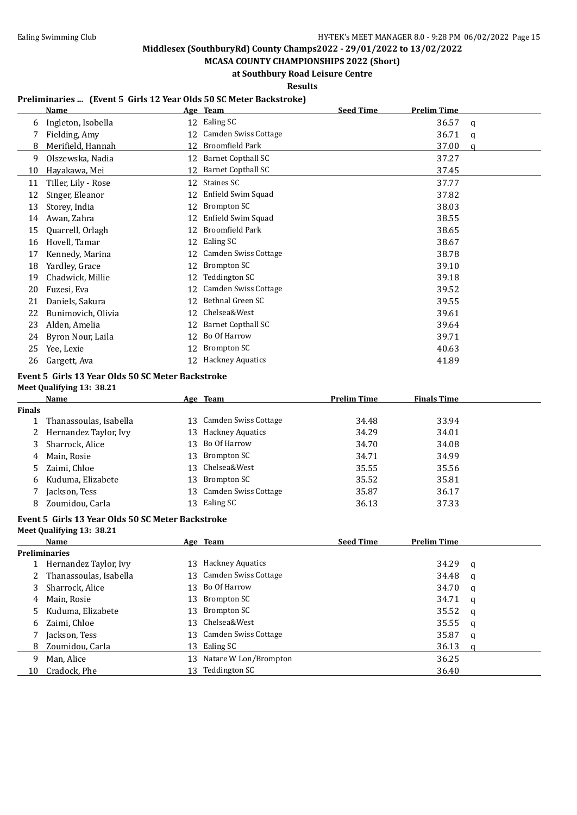**MCASA COUNTY CHAMPIONSHIPS 2022 (Short) at Southbury Road Leisure Centre**

**Results**

## **Preliminaries ... (Event 5 Girls 12 Year Olds 50 SC Meter Backstroke)**

|    | <b>Name</b>         |    | Age Team                    | <b>Seed Time</b> | <b>Prelim Time</b> |   |
|----|---------------------|----|-----------------------------|------------------|--------------------|---|
| 6  | Ingleton, Isobella  | 12 | Ealing SC                   |                  | 36.57              | a |
|    | Fielding, Amy       | 12 | Camden Swiss Cottage        |                  | 36.71              | q |
| 8  | Merifield, Hannah   | 12 | <b>Broomfield Park</b>      |                  | 37.00              | a |
| 9  | Olszewska, Nadia    | 12 | <b>Barnet Copthall SC</b>   |                  | 37.27              |   |
| 10 | Hayakawa, Mei       | 12 | <b>Barnet Copthall SC</b>   |                  | 37.45              |   |
| 11 | Tiller, Lily - Rose | 12 | Staines SC                  |                  | 37.77              |   |
| 12 | Singer, Eleanor     | 12 | Enfield Swim Squad          |                  | 37.82              |   |
| 13 | Storey, India       | 12 | Brompton SC                 |                  | 38.03              |   |
| 14 | Awan, Zahra         | 12 | Enfield Swim Squad          |                  | 38.55              |   |
| 15 | Quarrell, Orlagh    | 12 | <b>Broomfield Park</b>      |                  | 38.65              |   |
| 16 | Hovell, Tamar       | 12 | Ealing SC                   |                  | 38.67              |   |
| 17 | Kennedy, Marina     | 12 | Camden Swiss Cottage        |                  | 38.78              |   |
| 18 | Yardley, Grace      | 12 | Brompton SC                 |                  | 39.10              |   |
| 19 | Chadwick, Millie    | 12 | Teddington SC               |                  | 39.18              |   |
| 20 | Fuzesi, Eva         | 12 | <b>Camden Swiss Cottage</b> |                  | 39.52              |   |
| 21 | Daniels, Sakura     | 12 | Bethnal Green SC            |                  | 39.55              |   |
| 22 | Bunimovich, Olivia  | 12 | Chelsea&West                |                  | 39.61              |   |
| 23 | Alden, Amelia       | 12 | <b>Barnet Copthall SC</b>   |                  | 39.64              |   |
| 24 | Byron Nour, Laila   | 12 | Bo Of Harrow                |                  | 39.71              |   |
| 25 | Yee, Lexie          | 12 | Brompton SC                 |                  | 40.63              |   |
| 26 | Gargett, Ava        | 12 | <b>Hackney Aquatics</b>     |                  | 41.89              |   |

## **Event 5 Girls 13 Year Olds 50 SC Meter Backstroke**

**Meet Qualifying 13: 38.21**

|        | Name                    | Age Team                | <b>Prelim Time</b> | <b>Finals Time</b> |
|--------|-------------------------|-------------------------|--------------------|--------------------|
| Finals |                         |                         |                    |                    |
|        | Thanassoulas, Isabella  | 13 Camden Swiss Cottage | 34.48              | 33.94              |
|        | 2 Hernandez Taylor, Ivy | 13 Hackney Aquatics     | 34.29              | 34.01              |
| 3      | Sharrock, Alice         | 13 Bo Of Harrow         | 34.70              | 34.08              |
| 4      | Main, Rosie             | 13 Brompton SC          | 34.71              | 34.99              |
| 5.     | Zaimi, Chloe            | 13 Chelsea&West         | 35.55              | 35.56              |
| 6      | Kuduma, Elizabete       | 13 Brompton SC          | 35.52              | 35.81              |
|        | Jackson, Tess           | 13 Camden Swiss Cottage | 35.87              | 36.17              |
| 8      | Zoumidou, Carla         | 13 Ealing SC            | 36.13              | 37.33              |

#### **Event 5 Girls 13 Year Olds 50 SC Meter Backstroke**

**Meet Qualifying 13: 38.21**

|    | Name                   |     | Age Team                | <b>Seed Time</b> | <b>Prelim Time</b> |          |
|----|------------------------|-----|-------------------------|------------------|--------------------|----------|
|    | <b>Preliminaries</b>   |     |                         |                  |                    |          |
|    | Hernandez Taylor, Ivy  | 13. | <b>Hackney Aquatics</b> |                  | 34.29              | q        |
|    | Thanassoulas, Isabella |     | 13 Camden Swiss Cottage |                  | 34.48              | a        |
|    | Sharrock, Alice        | 13. | Bo Of Harrow            |                  | 34.70              | q        |
| 4  | Main, Rosie            | 13  | Brompton SC             |                  | 34.71              | <b>a</b> |
|    | Kuduma, Elizabete      | 13  | Brompton SC             |                  | 35.52              | q        |
| 6  | Zaimi, Chloe           |     | 13 Chelsea&West         |                  | 35.55              | a        |
|    | Jackson, Tess          |     | 13 Camden Swiss Cottage |                  | 35.87              | q        |
| 8. | Zoumidou, Carla        | 13  | Ealing SC               |                  | 36.13              | a        |
| q  | Man, Alice             | 13  | Natare W Lon/Brompton   |                  | 36.25              |          |
| 10 | Cradock, Phe           | 13. | Teddington SC           |                  | 36.40              |          |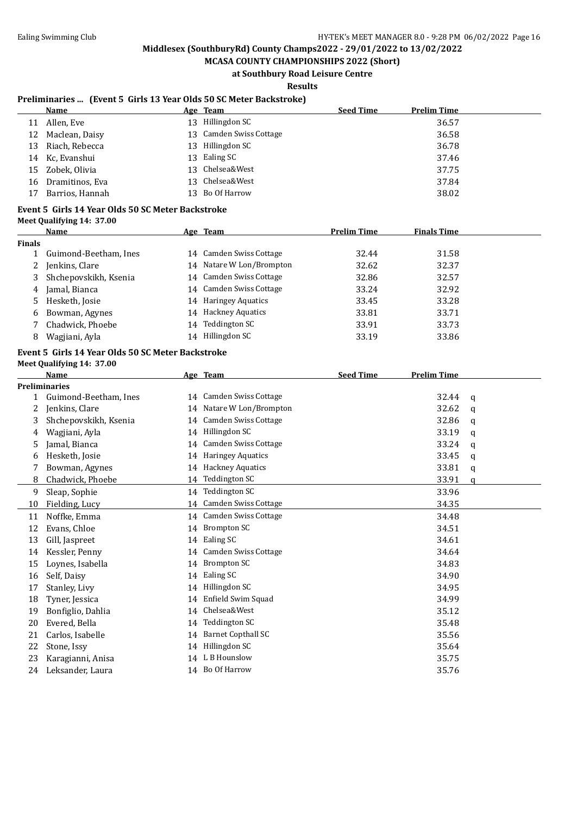**MCASA COUNTY CHAMPIONSHIPS 2022 (Short) at Southbury Road Leisure Centre**

**Results**

### **Preliminaries ... (Event 5 Girls 13 Year Olds 50 SC Meter Backstroke)**

|    | Name             | Age Team                | <b>Seed Time</b> | <b>Prelim Time</b> |
|----|------------------|-------------------------|------------------|--------------------|
| 11 | Allen, Eve       | 13 Hillingdon SC        |                  | 36.57              |
| 12 | Maclean, Daisy   | 13 Camden Swiss Cottage |                  | 36.58              |
| 13 | Riach, Rebecca   | 13 Hillingdon SC        |                  | 36.78              |
|    | 14 Kc, Evanshui  | 13 Ealing SC            |                  | 37.46              |
|    | 15 Zobek, Olivia | 13 Chelsea&West         |                  | 37.75              |
| 16 | Dramitinos, Eva  | 13 Chelsea&West         |                  | 37.84              |
| 17 | Barrios, Hannah  | 13 Bo Of Harrow         |                  | 38.02              |
|    |                  |                         |                  |                    |

#### **Event 5 Girls 14 Year Olds 50 SC Meter Backstroke**

| Meet Qualifying 14: 37.00 |  |
|---------------------------|--|
|                           |  |

|        | Name                  |    | Age Team                 | <b>Prelim Time</b> | <b>Finals Time</b> |  |
|--------|-----------------------|----|--------------------------|--------------------|--------------------|--|
| Finals |                       |    |                          |                    |                    |  |
|        | Guimond-Beetham, Ines |    | 14 Camden Swiss Cottage  | 32.44              | 31.58              |  |
| 2      | Jenkins, Clare        |    | 14 Natare W Lon/Brompton | 32.62              | 32.37              |  |
| 3      | Shchepovskikh, Ksenia |    | 14 Camden Swiss Cottage  | 32.86              | 32.57              |  |
| 4      | Jamal, Bianca         |    | 14 Camden Swiss Cottage  | 33.24              | 32.92              |  |
| 5.     | Hesketh, Josie        |    | 14 Haringey Aquatics     | 33.45              | 33.28              |  |
| 6      | Bowman, Agynes        |    | 14 Hackney Aquatics      | 33.81              | 33.71              |  |
|        | Chadwick. Phoebe      | 14 | Teddington SC            | 33.91              | 33.73              |  |
| 8      | Wagjiani, Ayla        | 14 | Hillingdon SC            | 33.19              | 33.86              |  |

## **Event 5 Girls 14 Year Olds 50 SC Meter Backstroke Meet Qualifying 14: 37.00**

|    | <b>Name</b>           |    | Age Team                    | <b>Seed Time</b> | <b>Prelim Time</b> |   |
|----|-----------------------|----|-----------------------------|------------------|--------------------|---|
|    | <b>Preliminaries</b>  |    |                             |                  |                    |   |
| 1  | Guimond-Beetham, Ines |    | 14 Camden Swiss Cottage     |                  | 32.44              | a |
| 2  | Jenkins, Clare        |    | 14 Natare W Lon/Brompton    |                  | 32.62              | q |
| 3  | Shchepovskikh, Ksenia | 14 | <b>Camden Swiss Cottage</b> |                  | 32.86              | q |
| 4  | Wagjiani, Ayla        | 14 | Hillingdon SC               |                  | 33.19              | q |
| 5  | Jamal, Bianca         | 14 | Camden Swiss Cottage        |                  | 33.24              | q |
| 6  | Hesketh, Josie        | 14 | <b>Haringey Aquatics</b>    |                  | 33.45              | a |
| 7  | Bowman, Agynes        | 14 | <b>Hackney Aquatics</b>     |                  | 33.81              | a |
| 8  | Chadwick, Phoebe      | 14 | Teddington SC               |                  | 33.91              | a |
| 9  | Sleap, Sophie         |    | 14 Teddington SC            |                  | 33.96              |   |
| 10 | Fielding, Lucy        | 14 | Camden Swiss Cottage        |                  | 34.35              |   |
| 11 | Noffke, Emma          |    | 14 Camden Swiss Cottage     |                  | 34.48              |   |
| 12 | Evans, Chloe          | 14 | <b>Brompton SC</b>          |                  | 34.51              |   |
| 13 | Gill, Jaspreet        | 14 | Ealing SC                   |                  | 34.61              |   |
| 14 | Kessler, Penny        | 14 | Camden Swiss Cottage        |                  | 34.64              |   |
| 15 | Loynes, Isabella      | 14 | <b>Brompton SC</b>          |                  | 34.83              |   |
| 16 | Self, Daisy           | 14 | Ealing SC                   |                  | 34.90              |   |
| 17 | Stanley, Livy         | 14 | Hillingdon SC               |                  | 34.95              |   |
| 18 | Tyner, Jessica        | 14 | Enfield Swim Squad          |                  | 34.99              |   |
| 19 | Bonfiglio, Dahlia     | 14 | Chelsea&West                |                  | 35.12              |   |
| 20 | Evered, Bella         | 14 | <b>Teddington SC</b>        |                  | 35.48              |   |
| 21 | Carlos, Isabelle      | 14 | <b>Barnet Copthall SC</b>   |                  | 35.56              |   |
| 22 | Stone, Issy           | 14 | Hillingdon SC               |                  | 35.64              |   |
| 23 | Karagianni, Anisa     |    | 14 L B Hounslow             |                  | 35.75              |   |
| 24 | Leksander, Laura      |    | 14 Bo Of Harrow             |                  | 35.76              |   |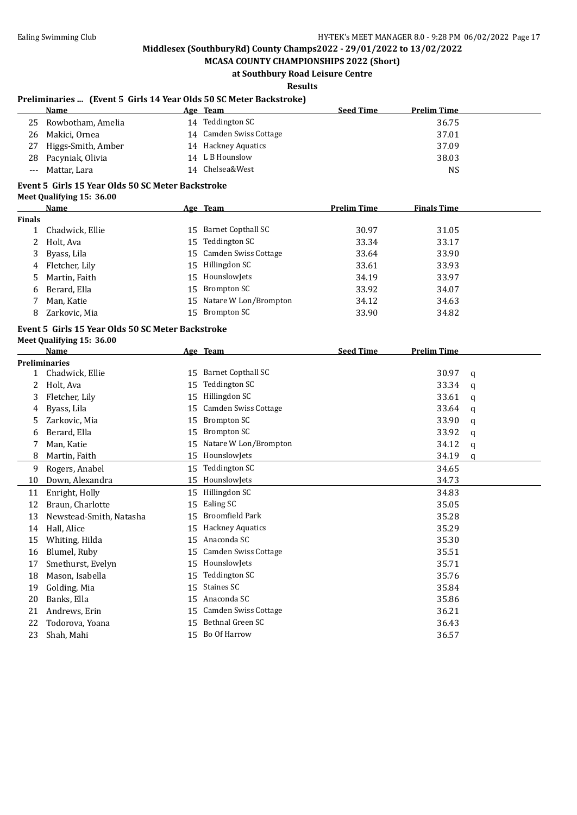**MCASA COUNTY CHAMPIONSHIPS 2022 (Short) at Southbury Road Leisure Centre**

**Results**

#### **Preliminaries ... (Event 5 Girls 14 Year Olds 50 SC Meter Backstroke)**

|       | <b>Name</b>          | Age | Team                    | <b>Seed Time</b> | <b>Prelim Time</b> |
|-------|----------------------|-----|-------------------------|------------------|--------------------|
|       | 25 Rowbotham, Amelia | 14  | Teddington SC           |                  | 36.75              |
| 26.   | Makici, Ornea        |     | 14 Camden Swiss Cottage |                  | 37.01              |
| 27    | Higgs-Smith, Amber   |     | 14 Hackney Aquatics     |                  | 37.09              |
|       | 28 Pacyniak, Olivia  |     | 14 L B Hounslow         |                  | 38.03              |
| $---$ | Mattar, Lara         |     | 14 Chelsea&West         |                  | NS                 |

### **Event 5 Girls 15 Year Olds 50 SC Meter Backstroke**

|  | <b>Meet Qualifying 15: 36.00</b> |  |  |
|--|----------------------------------|--|--|
|--|----------------------------------|--|--|

|               | Name             |    | Age Team                 | <b>Prelim Time</b> | <b>Finals Time</b> |
|---------------|------------------|----|--------------------------|--------------------|--------------------|
| <b>Finals</b> |                  |    |                          |                    |                    |
|               | Chadwick, Ellie  | 15 | Barnet Copthall SC       | 30.97              | 31.05              |
|               | 2 Holt, Ava      |    | 15 Teddington SC         | 33.34              | 33.17              |
|               | 3 Byass, Lila    |    | 15 Camden Swiss Cottage  | 33.64              | 33.90              |
|               | 4 Fletcher, Lily | 15 | Hillingdon SC            | 33.61              | 33.93              |
|               | 5 Martin, Faith  |    | 15 HounslowJets          | 34.19              | 33.97              |
| 6             | Berard, Ella     |    | 15 Brompton SC           | 33.92              | 34.07              |
|               | Man, Katie       |    | 15 Natare W Lon/Brompton | 34.12              | 34.63              |
| 8             | Zarkovic, Mia    | 15 | Brompton SC              | 33.90              | 34.82              |
|               |                  |    |                          |                    |                    |

#### **Event 5 Girls 15 Year Olds 50 SC Meter Backstroke Meet Qualifying 15: 36.00**

|              | <b>Name</b>             |    | Age Team                    | <b>Seed Time</b> | <b>Prelim Time</b> |          |
|--------------|-------------------------|----|-----------------------------|------------------|--------------------|----------|
|              | <b>Preliminaries</b>    |    |                             |                  |                    |          |
| $\mathbf{1}$ | Chadwick, Ellie         | 15 | <b>Barnet Copthall SC</b>   |                  | 30.97              | a        |
| 2            | Holt, Ava               | 15 | Teddington SC               |                  | 33.34              | q        |
| 3            | Fletcher, Lily          | 15 | Hillingdon SC               |                  | 33.61              | a        |
| 4            | Byass, Lila             | 15 | Camden Swiss Cottage        |                  | 33.64              | q        |
| 5            | Zarkovic, Mia           | 15 | <b>Brompton SC</b>          |                  | 33.90              | a        |
| 6            | Berard, Ella            | 15 | <b>Brompton SC</b>          |                  | 33.92              | q        |
|              | Man, Katie              | 15 | Natare W Lon/Brompton       |                  | 34.12              | a        |
| 8            | Martin, Faith           | 15 | HounslowJets                |                  | 34.19              | $\Omega$ |
| 9            | Rogers, Anabel          | 15 | Teddington SC               |                  | 34.65              |          |
| 10           | Down, Alexandra         | 15 | HounslowJets                |                  | 34.73              |          |
| 11           | Enright, Holly          | 15 | Hillingdon SC               |                  | 34.83              |          |
| 12           | Braun, Charlotte        | 15 | Ealing SC                   |                  | 35.05              |          |
| 13           | Newstead-Smith, Natasha | 15 | <b>Broomfield Park</b>      |                  | 35.28              |          |
| 14           | Hall, Alice             | 15 | <b>Hackney Aquatics</b>     |                  | 35.29              |          |
| 15           | Whiting, Hilda          | 15 | Anaconda SC                 |                  | 35.30              |          |
| 16           | Blumel, Ruby            | 15 | Camden Swiss Cottage        |                  | 35.51              |          |
| 17           | Smethurst, Evelyn       | 15 | HounslowJets                |                  | 35.71              |          |
| 18           | Mason, Isabella         | 15 | Teddington SC               |                  | 35.76              |          |
| 19           | Golding, Mia            | 15 | Staines SC                  |                  | 35.84              |          |
| 20           | Banks, Ella             | 15 | Anaconda SC                 |                  | 35.86              |          |
| 21           | Andrews, Erin           | 15 | <b>Camden Swiss Cottage</b> |                  | 36.21              |          |
| 22           | Todorova, Yoana         | 15 | Bethnal Green SC            |                  | 36.43              |          |
| 23           | Shah, Mahi              | 15 | Bo Of Harrow                |                  | 36.57              |          |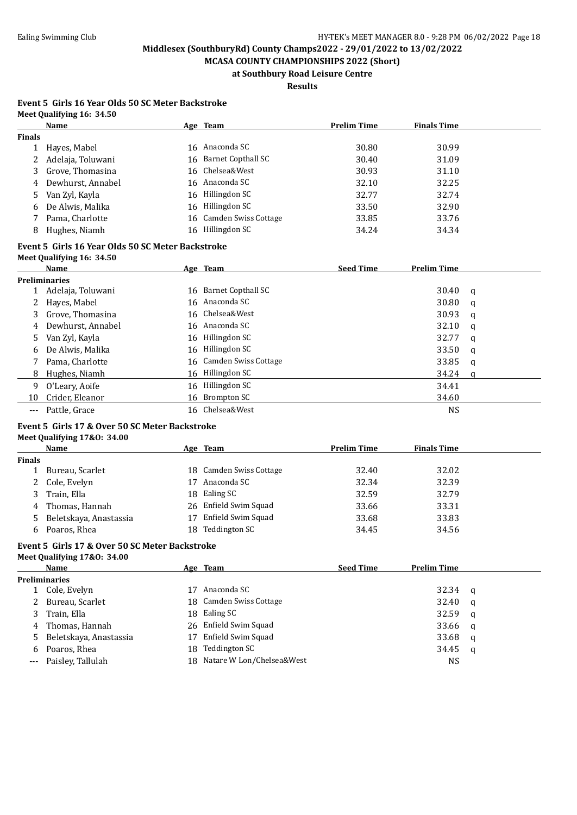**MCASA COUNTY CHAMPIONSHIPS 2022 (Short) at Southbury Road Leisure Centre**

## **Results**

#### **Event 5 Girls 16 Year Olds 50 SC Meter Backstroke Meet Qualifying 16: 34.50**

|               | Name                | Age Team                | <b>Prelim Time</b> | <b>Finals Time</b> |
|---------------|---------------------|-------------------------|--------------------|--------------------|
| <b>Finals</b> |                     |                         |                    |                    |
|               | Hayes, Mabel        | 16 Anaconda SC          | 30.80              | 30.99              |
|               | 2 Adelaja, Toluwani | 16 Barnet Copthall SC   | 30.40              | 31.09              |
| 3             | Grove, Thomasina    | 16 Chelsea&West         | 30.93              | 31.10              |
|               | 4 Dewhurst, Annabel | 16 Anaconda SC          | 32.10              | 32.25              |
|               | 5 Van Zyl, Kayla    | 16 Hillingdon SC        | 32.77              | 32.74              |
| 6             | De Alwis, Malika    | 16 Hillingdon SC        | 33.50              | 32.90              |
|               | Pama, Charlotte     | 16 Camden Swiss Cottage | 33.85              | 33.76              |
| 8             | Hughes, Niamh       | 16 Hillingdon SC        | 34.24              | 34.34              |
|               |                     |                         |                    |                    |

## **Event 5 Girls 16 Year Olds 50 SC Meter Backstroke**

| Meet Qualifying 16: 34.50 |  |
|---------------------------|--|
|                           |  |

|       | Name              | Age Team                | <b>Seed Time</b> | <b>Prelim Time</b> |     |
|-------|-------------------|-------------------------|------------------|--------------------|-----|
|       | Preliminaries     |                         |                  |                    |     |
|       | Adelaja, Toluwani | 16 Barnet Copthall SC   |                  | 30.40              | - a |
| 2     | Hayes, Mabel      | 16 Anaconda SC          |                  | 30.80              | q   |
| 3     | Grove. Thomasina  | 16 Chelsea&West         |                  | 30.93              | q   |
| 4     | Dewhurst, Annabel | 16 Anaconda SC          |                  | 32.10              | q   |
|       | 5 Van Zyl, Kayla  | 16 Hillingdon SC        |                  | 32.77              | q   |
| 6     | De Alwis, Malika  | 16 Hillingdon SC        |                  | 33.50              | q   |
|       | Pama, Charlotte   | 16 Camden Swiss Cottage |                  | 33.85              | q   |
| 8     | Hughes, Niamh     | 16 Hillingdon SC        |                  | 34.24              | a   |
| 9     | O'Leary, Aoife    | 16 Hillingdon SC        |                  | 34.41              |     |
| 10    | Crider, Eleanor   | 16 Brompton SC          |                  | 34.60              |     |
| $---$ | Pattle, Grace     | 16 Chelsea&West         |                  | <b>NS</b>          |     |

#### **Event 5 Girls 17 & Over 50 SC Meter Backstroke Meet Qualifying 17&O: 34.00**

|               | Name                     |    | Age Team                | <b>Prelim Time</b> | <b>Finals Time</b> |
|---------------|--------------------------|----|-------------------------|--------------------|--------------------|
| <b>Finals</b> |                          |    |                         |                    |                    |
|               | Bureau, Scarlet          |    | 18 Camden Swiss Cottage | 32.40              | 32.02              |
|               | 2 Cole, Evelyn           | 17 | Anaconda SC             | 32.34              | 32.39              |
|               | 3 Train, Ella            |    | 18 Ealing SC            | 32.59              | 32.79              |
|               | 4 Thomas, Hannah         |    | 26 Enfield Swim Squad   | 33.66              | 33.31              |
|               | 5 Beletskaya, Anastassia | 17 | Enfield Swim Squad      | 33.68              | 33.83              |
| 6             | Poaros, Rhea             |    | 18 Teddington SC        | 34.45              | 34.56              |

## **Event 5 Girls 17 & Over 50 SC Meter Backstroke**

| Meet Qualifying 17&0: 34.00 |  |
|-----------------------------|--|
| Name                        |  |

|          | Name                   |      | Age Team                     | <b>Seed Time</b> | <b>Prelim Time</b> |          |
|----------|------------------------|------|------------------------------|------------------|--------------------|----------|
|          | <b>Preliminaries</b>   |      |                              |                  |                    |          |
|          | Cole, Evelyn           | 17   | Anaconda SC                  |                  | 32.34 q            |          |
|          | Bureau, Scarlet        |      | 18 Camden Swiss Cottage      |                  | 32.40              | - a      |
|          | 3 Train, Ella          |      | 18 Ealing SC                 |                  | 32.59              | <b>a</b> |
| 4        | Thomas, Hannah         |      | 26 Enfield Swim Squad        |                  | 33.66              | - a      |
| 5.       | Beletskaya, Anastassia | 17   | Enfield Swim Squad           |                  | 33.68              | - a      |
| 6        | Poaros, Rhea           | 18 - | Teddington SC                |                  | 34.45              | q        |
| $\cdots$ | Paisley, Tallulah      |      | 18 Natare W Lon/Chelsea&West |                  | <b>NS</b>          |          |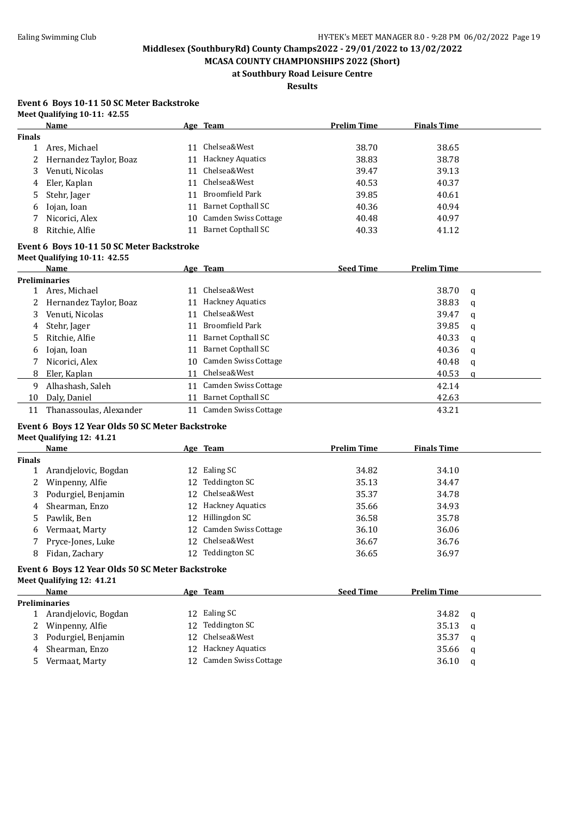**MCASA COUNTY CHAMPIONSHIPS 2022 (Short) at Southbury Road Leisure Centre**

**Results**

#### **Event 6 Boys 10-11 50 SC Meter Backstroke Meet Qualifying 10-11: 42.55**

|               | Name                     |    | Age Team                  | <b>Prelim Time</b> | <b>Finals Time</b> |  |
|---------------|--------------------------|----|---------------------------|--------------------|--------------------|--|
| <b>Finals</b> |                          |    |                           |                    |                    |  |
|               | Ares, Michael            | 11 | Chelsea&West              | 38.70              | 38.65              |  |
|               | 2 Hernandez Taylor, Boaz |    | 11 Hackney Aquatics       | 38.83              | 38.78              |  |
| 3             | Venuti, Nicolas          | 11 | Chelsea&West              | 39.47              | 39.13              |  |
| 4             | Eler, Kaplan             | 11 | Chelsea&West              | 40.53              | 40.37              |  |
| 5             | Stehr, Jager             | 11 | Broomfield Park           | 39.85              | 40.61              |  |
| 6             | Iojan, Ioan              | 11 | Barnet Copthall SC        | 40.36              | 40.94              |  |
|               | Nicorici, Alex           | 10 | Camden Swiss Cottage      | 40.48              | 40.97              |  |
| 8             | Ritchie, Alfie           | 11 | <b>Barnet Copthall SC</b> | 40.33              | 41.12              |  |

#### **Event 6 Boys 10-11 50 SC Meter Backstroke Meet Qualifying 10-11: 42.55**

|    | $mctU$ via $m$ $m$ $m$ $m$ $m$ $m$ $m$ $m$ $m$ |     |                         |                  |                    |   |
|----|------------------------------------------------|-----|-------------------------|------------------|--------------------|---|
|    | <b>Name</b>                                    |     | Age Team                | <b>Seed Time</b> | <b>Prelim Time</b> |   |
|    | <b>Preliminaries</b>                           |     |                         |                  |                    |   |
|    | Ares, Michael                                  | 11  | Chelsea&West            |                  | 38.70              | a |
|    | Hernandez Taylor, Boaz                         | 11  | <b>Hackney Aquatics</b> |                  | 38.83              | a |
| 3  | Venuti, Nicolas                                | 11  | Chelsea&West            |                  | 39.47              | a |
| 4  | Stehr, Jager                                   | 11  | Broomfield Park         |                  | 39.85              | a |
| 5. | Ritchie, Alfie                                 | 11  | Barnet Copthall SC      |                  | 40.33              | a |
| 6  | Iojan, Ioan                                    | 11  | Barnet Copthall SC      |                  | 40.36              | q |
|    | Nicorici, Alex                                 | 10. | Camden Swiss Cottage    |                  | 40.48              | a |
| 8  | Eler, Kaplan                                   | 11  | Chelsea&West            |                  | 40.53              | a |
| 9  | Alhashash, Saleh                               | 11  | Camden Swiss Cottage    |                  | 42.14              |   |
| 10 | Daly, Daniel                                   | 11  | Barnet Copthall SC      |                  | 42.63              |   |
| 11 | Thanassoulas, Alexander                        | 11  | Camden Swiss Cottage    |                  | 43.21              |   |

#### **Event 6 Boys 12 Year Olds 50 SC Meter Backstroke Meet Qualifying 12: 41.21**

|               | Name                  |    | Age Team                | <b>Prelim Time</b> | <b>Finals Time</b> |  |
|---------------|-----------------------|----|-------------------------|--------------------|--------------------|--|
| <b>Finals</b> |                       |    |                         |                    |                    |  |
|               | Arandjelovic, Bogdan  |    | 12 Ealing SC            | 34.82              | 34.10              |  |
|               | 2 Winpenny, Alfie     |    | 12 Teddington SC        | 35.13              | 34.47              |  |
|               | 3 Podurgiel, Benjamin |    | 12 Chelsea&West         | 35.37              | 34.78              |  |
|               | 4 Shearman, Enzo      |    | 12 Hackney Aquatics     | 35.66              | 34.93              |  |
|               | 5 Pawlik, Ben         |    | 12 Hillingdon SC        | 36.58              | 35.78              |  |
|               | 6 Vermaat, Marty      |    | 12 Camden Swiss Cottage | 36.10              | 36.06              |  |
|               | Pryce-Jones, Luke     |    | 12 Chelsea&West         | 36.67              | 36.76              |  |
| 8             | Fidan, Zachary        | 12 | Teddington SC           | 36.65              | 36.97              |  |

#### **Event 6 Boys 12 Year Olds 50 SC Meter Backstroke**

**Meet Qualifying 12: 41.21 Name Age Team Seed Time Prelim Time Preliminaries** 1 Arandielovic, Bogdan 12 Ealing SC 34.82 q 2 Winpenny, Alfie 12 Teddington SC 35.13 q 3 Podurgiel, Benjamin 12 Chelsea&West 35.37 q 4 Shearman, Enzo 12 Hackney Aquatics 35.66 q 5 Vermaat, Marty 12 Camden Swiss Cottage 36.10 q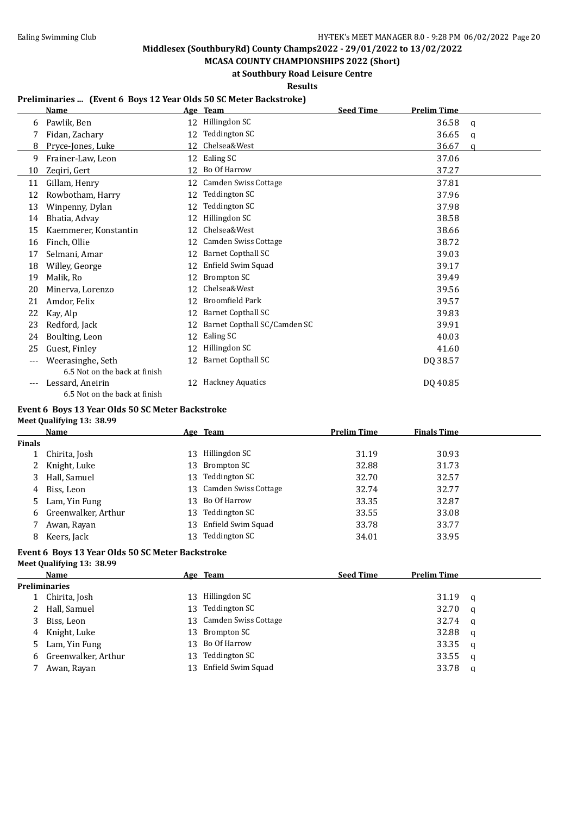**MCASA COUNTY CHAMPIONSHIPS 2022 (Short) at Southbury Road Leisure Centre**

**Results**

#### **Preliminaries ... (Event 6 Boys 12 Year Olds 50 SC Meter Backstroke)**

|     | <b>Name</b>                   |    | Age Team                     | <b>Seed Time</b> | <b>Prelim Time</b> |   |
|-----|-------------------------------|----|------------------------------|------------------|--------------------|---|
| 6   | Pawlik, Ben                   | 12 | Hillingdon SC                |                  | 36.58              | a |
|     | Fidan, Zachary                | 12 | Teddington SC                |                  | 36.65              | q |
| 8   | Pryce-Jones, Luke             | 12 | Chelsea&West                 |                  | 36.67              | a |
| 9   | Frainer-Law, Leon             |    | 12 Ealing SC                 |                  | 37.06              |   |
| 10  | Zeqiri, Gert                  | 12 | Bo Of Harrow                 |                  | 37.27              |   |
| 11  | Gillam, Henry                 | 12 | Camden Swiss Cottage         |                  | 37.81              |   |
| 12  | Rowbotham, Harry              | 12 | Teddington SC                |                  | 37.96              |   |
| 13  | Winpenny, Dylan               | 12 | Teddington SC                |                  | 37.98              |   |
| 14  | Bhatia, Advay                 | 12 | Hillingdon SC                |                  | 38.58              |   |
| 15  | Kaemmerer, Konstantin         | 12 | Chelsea&West                 |                  | 38.66              |   |
| 16  | Finch, Ollie                  | 12 | <b>Camden Swiss Cottage</b>  |                  | 38.72              |   |
| 17  | Selmani, Amar                 | 12 | <b>Barnet Copthall SC</b>    |                  | 39.03              |   |
| 18  | Willey, George                | 12 | Enfield Swim Squad           |                  | 39.17              |   |
| 19  | Malik, Ro                     | 12 | Brompton SC                  |                  | 39.49              |   |
| 20  | Minerva, Lorenzo              | 12 | Chelsea&West                 |                  | 39.56              |   |
| 21  | Amdor, Felix                  | 12 | <b>Broomfield Park</b>       |                  | 39.57              |   |
| 22  | Kay, Alp                      | 12 | <b>Barnet Copthall SC</b>    |                  | 39.83              |   |
| 23  | Redford, Jack                 | 12 | Barnet Copthall SC/Camden SC |                  | 39.91              |   |
| 24  | Boulting, Leon                | 12 | Ealing SC                    |                  | 40.03              |   |
| 25  | Guest, Finley                 | 12 | Hillingdon SC                |                  | 41.60              |   |
| --- | Weerasinghe, Seth             | 12 | <b>Barnet Copthall SC</b>    |                  | DQ 38.57           |   |
|     | 6.5 Not on the back at finish |    |                              |                  |                    |   |
|     | Lessard, Aneirin              | 12 | <b>Hackney Aquatics</b>      |                  | DQ 40.85           |   |
|     | 6.5 Not on the back at finish |    |                              |                  |                    |   |

#### **Event 6 Boys 13 Year Olds 50 SC Meter Backstroke Meet Qualifying 13: 38.99**

|                      | Name                |     | Age Team                | <b>Prelim Time</b> | <b>Finals Time</b> |
|----------------------|---------------------|-----|-------------------------|--------------------|--------------------|
| Finals               |                     |     |                         |                    |                    |
|                      | Chirita, Josh       | 13. | Hillingdon SC           | 31.19              | 30.93              |
| $\mathbf{2}^{\circ}$ | Knight, Luke        |     | 13 Brompton SC          | 32.88              | 31.73              |
| 3                    | Hall, Samuel        | 13. | Teddington SC           | 32.70              | 32.57              |
| 4                    | Biss, Leon          |     | 13 Camden Swiss Cottage | 32.74              | 32.77              |
| 5.                   | Lam, Yin Fung       |     | 13 Bo Of Harrow         | 33.35              | 32.87              |
| 6                    | Greenwalker, Arthur | 13  | Teddington SC           | 33.55              | 33.08              |
|                      | Awan, Rayan         |     | 13 Enfield Swim Squad   | 33.78              | 33.77              |
| 8                    | Keers, Jack         | 13  | Teddington SC           | 34.01              | 33.95              |
|                      |                     |     |                         |                    |                    |

#### **Event 6 Boys 13 Year Olds 50 SC Meter Backstroke Meet Qualifying 13: 38.99**

| <b>Preliminaries</b><br>Chirita, Josh | 13 |                      |                                                                                                      |       |          |
|---------------------------------------|----|----------------------|------------------------------------------------------------------------------------------------------|-------|----------|
|                                       |    |                      |                                                                                                      |       |          |
|                                       |    | Hillingdon SC        |                                                                                                      | 31.19 | - a      |
| 2 Hall, Samuel                        |    | Teddington SC        |                                                                                                      | 32.70 | a        |
| Biss, Leon                            |    |                      |                                                                                                      | 32.74 | <b>a</b> |
| 4 Knight, Luke                        |    |                      |                                                                                                      | 32.88 | q        |
| 5 Lam, Yin Fung                       |    |                      |                                                                                                      | 33.35 | a        |
| 6 Greenwalker, Arthur                 |    | <b>Teddington SC</b> |                                                                                                      | 33.55 | - a      |
| Awan, Rayan                           |    |                      |                                                                                                      | 33.78 | q        |
|                                       |    |                      | 13<br>13 Camden Swiss Cottage<br>13 Brompton SC<br>13 Bo Of Harrow<br>13<br>Enfield Swim Squad<br>13 |       |          |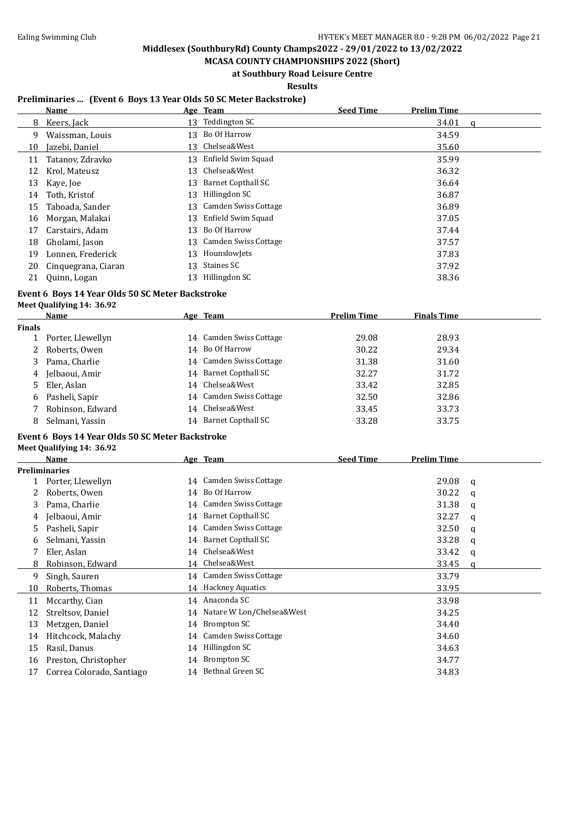**MCASA COUNTY CHAMPIONSHIPS 2022 (Short) at Southbury Road Leisure Centre**

**Results**

#### **Preliminaries ... (Event 6 Boys 13 Year Olds 50 SC Meter Backstroke)**

|    | Name                |    | Age Team                  | <b>Seed Time</b> | <b>Prelim Time</b> |   |
|----|---------------------|----|---------------------------|------------------|--------------------|---|
| 8  | Keers, Jack         | 13 | Teddington SC             |                  | 34.01              | a |
| 9  | Waissman, Louis     | 13 | Bo Of Harrow              |                  | 34.59              |   |
| 10 | Jazebi, Daniel      | 13 | Chelsea&West              |                  | 35.60              |   |
| 11 | Tatanov, Zdravko    | 13 | Enfield Swim Squad        |                  | 35.99              |   |
| 12 | Krol, Mateusz       | 13 | Chelsea&West              |                  | 36.32              |   |
| 13 | Kaye, Joe           | 13 | <b>Barnet Copthall SC</b> |                  | 36.64              |   |
| 14 | Toth, Kristof       | 13 | Hillingdon SC             |                  | 36.87              |   |
| 15 | Taboada, Sander     | 13 | Camden Swiss Cottage      |                  | 36.89              |   |
| 16 | Morgan, Malakai     | 13 | Enfield Swim Squad        |                  | 37.05              |   |
| 17 | Carstairs, Adam     | 13 | Bo Of Harrow              |                  | 37.44              |   |
| 18 | Gholami, Jason      | 13 | Camden Swiss Cottage      |                  | 37.57              |   |
| 19 | Lonnen, Frederick   | 13 | HounslowJets              |                  | 37.83              |   |
| 20 | Cinquegrana, Ciaran | 13 | Staines SC                |                  | 37.92              |   |
| 21 | Quinn, Logan        | 13 | Hillingdon SC             |                  | 38.36              |   |

## **Event 6 Boys 14 Year Olds 50 SC Meter Backstroke**

**Meet Qualifying 14: 36.92**

|               | Name              |    | Age Team                | <b>Prelim Time</b> | <b>Finals Time</b> |  |
|---------------|-------------------|----|-------------------------|--------------------|--------------------|--|
| <b>Finals</b> |                   |    |                         |                    |                    |  |
|               | Porter, Llewellyn |    | 14 Camden Swiss Cottage | 29.08              | 28.93              |  |
|               | 2 Roberts, Owen   |    | 14 Bo Of Harrow         | 30.22              | 29.34              |  |
| 3             | Pama, Charlie     |    | 14 Camden Swiss Cottage | 31.38              | 31.60              |  |
|               | 4 Jelbaoui, Amir  |    | 14 Barnet Copthall SC   | 32.27              | 31.72              |  |
|               | 5 Eler, Aslan     |    | 14 Chelsea&West         | 33.42              | 32.85              |  |
|               | 6 Pasheli, Sapir  |    | 14 Camden Swiss Cottage | 32.50              | 32.86              |  |
|               | Robinson, Edward  |    | 14 Chelsea&West         | 33.45              | 33.73              |  |
| 8             | Selmani, Yassin   | 14 | Barnet Copthall SC      | 33.28              | 33.75              |  |

#### **Event 6 Boys 14 Year Olds 50 SC Meter Backstroke**

**Meet Qualifying 14: 36.92**

| Name                      |                      |                      | <b>Seed Time</b>                                                                                                                                                                                                                             | <b>Prelim Time</b> |   |
|---------------------------|----------------------|----------------------|----------------------------------------------------------------------------------------------------------------------------------------------------------------------------------------------------------------------------------------------|--------------------|---|
|                           |                      |                      |                                                                                                                                                                                                                                              |                    |   |
| Porter, Llewellyn         |                      | Camden Swiss Cottage |                                                                                                                                                                                                                                              | 29.08              | q |
| Roberts, Owen             |                      | Bo Of Harrow         |                                                                                                                                                                                                                                              | 30.22              | a |
| Pama, Charlie             |                      |                      |                                                                                                                                                                                                                                              | 31.38              | a |
| Jelbaoui, Amir            |                      | Barnet Copthall SC   |                                                                                                                                                                                                                                              | 32.27              | q |
| Pasheli, Sapir            |                      |                      |                                                                                                                                                                                                                                              | 32.50              | q |
| Selmani, Yassin           |                      | Barnet Copthall SC   |                                                                                                                                                                                                                                              | 33.28              | q |
| Eler, Aslan               |                      |                      |                                                                                                                                                                                                                                              | 33.42              | q |
| Robinson, Edward          |                      |                      |                                                                                                                                                                                                                                              | 33.45              | a |
| Singh, Sauren             |                      |                      |                                                                                                                                                                                                                                              | 33.79              |   |
| Roberts, Thomas           |                      |                      |                                                                                                                                                                                                                                              | 33.95              |   |
| Mccarthy, Cian            |                      |                      |                                                                                                                                                                                                                                              | 33.98              |   |
| Streltsov, Daniel         |                      |                      |                                                                                                                                                                                                                                              | 34.25              |   |
| Metzgen, Daniel           | 14                   | Brompton SC          |                                                                                                                                                                                                                                              | 34.40              |   |
| Hitchcock, Malachy        | 14                   | Camden Swiss Cottage |                                                                                                                                                                                                                                              | 34.60              |   |
| Rasil, Danus              | 14                   | Hillingdon SC        |                                                                                                                                                                                                                                              | 34.63              |   |
| Preston, Christopher      | 14                   | Brompton SC          |                                                                                                                                                                                                                                              | 34.77              |   |
| Correa Colorado, Santiago | 14                   | Bethnal Green SC     |                                                                                                                                                                                                                                              | 34.83              |   |
|                           | <b>Preliminaries</b> |                      | Age Team<br>14<br>14<br>Camden Swiss Cottage<br>14<br>14<br>14 Camden Swiss Cottage<br>14<br>Chelsea&West<br>14<br>Chelsea&West<br>14<br>14 Camden Swiss Cottage<br>14 Hackney Aquatics<br>14 Anaconda SC<br>Natare W Lon/Chelsea&West<br>14 |                    |   |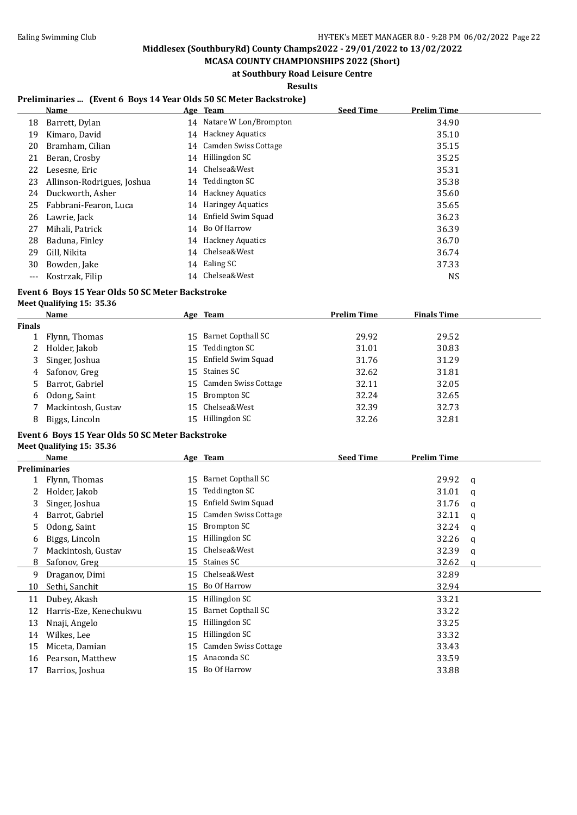$\overline{a}$ 

## **Middlesex (SouthburyRd) County Champs2022 - 29/01/2022 to 13/02/2022**

**MCASA COUNTY CHAMPIONSHIPS 2022 (Short) at Southbury Road Leisure Centre**

#### **Results**

#### **Preliminaries ... (Event 6 Boys 14 Year Olds 50 SC Meter Backstroke)**

|       | Name                       |    | Age Team                 | <b>Seed Time</b> | <b>Prelim Time</b> |
|-------|----------------------------|----|--------------------------|------------------|--------------------|
| 18    | Barrett, Dylan             |    | 14 Natare W Lon/Brompton |                  | 34.90              |
| 19    | Kimaro, David              |    | 14 Hackney Aquatics      |                  | 35.10              |
| 20    | Bramham, Cilian            |    | 14 Camden Swiss Cottage  |                  | 35.15              |
| 21    | Beran, Crosby              |    | 14 Hillingdon SC         |                  | 35.25              |
| 22    | Lesesne, Eric              |    | 14 Chelsea&West          |                  | 35.31              |
| 23    | Allinson-Rodrigues, Joshua |    | 14 Teddington SC         |                  | 35.38              |
| 24    | Duckworth, Asher           |    | 14 Hackney Aquatics      |                  | 35.60              |
| 25    | Fabbrani-Fearon, Luca      |    | 14 Haringey Aquatics     |                  | 35.65              |
| 26    | Lawrie, Jack               |    | 14 Enfield Swim Squad    |                  | 36.23              |
| 27    | Mihali, Patrick            |    | 14 Bo Of Harrow          |                  | 36.39              |
| 28    | Baduna, Finley             |    | 14 Hackney Aquatics      |                  | 36.70              |
| 29    | Gill. Nikita               | 14 | Chelsea&West             |                  | 36.74              |
| 30    | Bowden, Jake               |    | 14 Ealing SC             |                  | 37.33              |
| $---$ | Kostrzak, Filip            |    | 14 Chelsea&West          |                  | <b>NS</b>          |

#### **Event 6 Boys 15 Year Olds 50 SC Meter Backstroke Meet Qualifying 15: 35.36**

|               | Name               | Age Team                | <b>Prelim Time</b> | <b>Finals Time</b> |  |
|---------------|--------------------|-------------------------|--------------------|--------------------|--|
| <b>Finals</b> |                    |                         |                    |                    |  |
|               | 1 Flynn, Thomas    | 15 Barnet Copthall SC   | 29.92              | 29.52              |  |
|               | 2 Holder, Jakob    | 15 Teddington SC        | 31.01              | 30.83              |  |
|               | 3 Singer, Joshua   | 15 Enfield Swim Squad   | 31.76              | 31.29              |  |
|               | 4 Safonov, Greg    | 15 Staines SC           | 32.62              | 31.81              |  |
|               | 5 Barrot, Gabriel  | 15 Camden Swiss Cottage | 32.11              | 32.05              |  |
|               | 6 Odong, Saint     | 15 Brompton SC          | 32.24              | 32.65              |  |
|               | Mackintosh, Gustav | 15 Chelsea&West         | 32.39              | 32.73              |  |
| 8             | Biggs, Lincoln     | 15 Hillingdon SC        | 32.26              | 32.81              |  |

#### **Event 6 Boys 15 Year Olds 50 SC Meter Backstroke**

**Meet Qualifying 15: 35.36**

|    | <b>Name</b>            |    | Age Team                    | <b>Seed Time</b> | <b>Prelim Time</b> |   |
|----|------------------------|----|-----------------------------|------------------|--------------------|---|
|    | <b>Preliminaries</b>   |    |                             |                  |                    |   |
|    | Flynn, Thomas          | 15 | <b>Barnet Copthall SC</b>   |                  | 29.92              | a |
|    | Holder, Jakob          | 15 | Teddington SC               |                  | 31.01              | a |
| 3  | Singer, Joshua         | 15 | Enfield Swim Squad          |                  | 31.76              | q |
| 4  | Barrot, Gabriel        | 15 | Camden Swiss Cottage        |                  | 32.11              | q |
| 5. | Odong, Saint           | 15 | Brompton SC                 |                  | 32.24              | a |
| 6  | Biggs, Lincoln         | 15 | Hillingdon SC               |                  | 32.26              | q |
|    | Mackintosh, Gustav     | 15 | Chelsea&West                |                  | 32.39              | q |
| 8  | Safonov, Greg          | 15 | Staines SC                  |                  | 32.62              | a |
| 9  | Draganov, Dimi         | 15 | Chelsea&West                |                  | 32.89              |   |
| 10 | Sethi, Sanchit         | 15 | Bo Of Harrow                |                  | 32.94              |   |
| 11 | Dubey, Akash           | 15 | Hillingdon SC               |                  | 33.21              |   |
| 12 | Harris-Eze, Kenechukwu | 15 | <b>Barnet Copthall SC</b>   |                  | 33.22              |   |
| 13 | Nnaji, Angelo          | 15 | Hillingdon SC               |                  | 33.25              |   |
| 14 | Wilkes, Lee            | 15 | Hillingdon SC               |                  | 33.32              |   |
| 15 | Miceta, Damian         | 15 | <b>Camden Swiss Cottage</b> |                  | 33.43              |   |
| 16 | Pearson, Matthew       | 15 | Anaconda SC                 |                  | 33.59              |   |
| 17 | Barrios, Joshua        | 15 | Bo Of Harrow                |                  | 33.88              |   |
|    |                        |    |                             |                  |                    |   |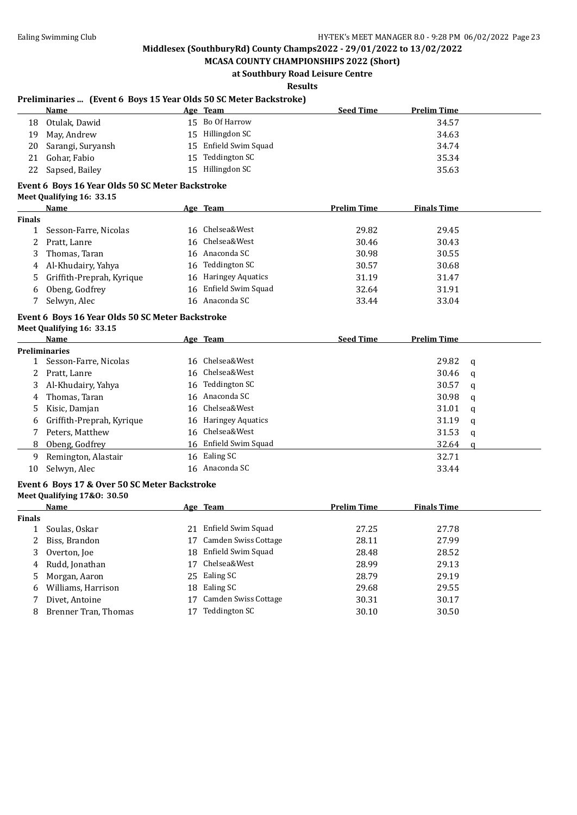#### **MCASA COUNTY CHAMPIONSHIPS 2022 (Short) at Southbury Road Leisure Centre**

## **Results**

#### **Preliminaries ... (Event 6 Boys 15 Year Olds 50 SC Meter Backstroke)**

|     | Name                 |     | <u>Age Team</u>       | <b>Seed Time</b> | <b>Prelim Time</b> |
|-----|----------------------|-----|-----------------------|------------------|--------------------|
| 18  | Otulak, Dawid        |     | 15 Bo Of Harrow       |                  | 34.57              |
| 19. | May, Andrew          |     | 15 Hillingdon SC      |                  | 34.63              |
|     | 20 Sarangi, Suryansh |     | 15 Enfield Swim Squad |                  | 34.74              |
| 21  | Gohar, Fabio         | 15. | Teddington SC         |                  | 35.34              |
| 22  | Sapsed, Bailey       |     | 15 Hillingdon SC      |                  | 35.63              |

#### **Event 6 Boys 16 Year Olds 50 SC Meter Backstroke**

**Meet Qualifying 16: 33.15**

|               | Name                        | Age Team              | <b>Prelim Time</b> | <b>Finals Time</b> |  |
|---------------|-----------------------------|-----------------------|--------------------|--------------------|--|
| <b>Finals</b> |                             |                       |                    |                    |  |
|               | Sesson-Farre, Nicolas       | 16 Chelsea&West       | 29.82              | 29.45              |  |
|               | 2 Pratt, Lanre              | 16 Chelsea&West       | 30.46              | 30.43              |  |
|               | 3 Thomas, Taran             | 16 Anaconda SC        | 30.98              | 30.55              |  |
|               | 4 Al-Khudairy, Yahya        | 16 Teddington SC      | 30.57              | 30.68              |  |
|               | 5 Griffith-Preprah, Kyrique | 16 Haringey Aquatics  | 31.19              | 31.47              |  |
| 6.            | Obeng, Godfrey              | 16 Enfield Swim Squad | 32.64              | 31.91              |  |
|               | Selwyn, Alec                | 16 Anaconda SC        | 33.44              | 33.04              |  |

#### **Event 6 Boys 16 Year Olds 50 SC Meter Backstroke**

#### **Meet Qualifying 16: 33.15**

|           | Name                        |    | Age Team              | <b>Seed Time</b> | <b>Prelim Time</b> |              |
|-----------|-----------------------------|----|-----------------------|------------------|--------------------|--------------|
|           | <b>Preliminaries</b>        |    |                       |                  |                    |              |
| $1 \quad$ | Sesson-Farre, Nicolas       |    | 16 Chelsea&West       |                  | 29.82              | $\mathbf{q}$ |
| 2         | Pratt, Lanre                |    | 16 Chelsea&West       |                  | 30.46              | $\mathbf{q}$ |
|           | 3 Al-Khudairy, Yahya        |    | 16 Teddington SC      |                  | 30.57              | q            |
| 4         | Thomas, Taran               |    | 16 Anaconda SC        |                  | 30.98              | q            |
|           | 5 Kisic, Damjan             |    | 16 Chelsea&West       |                  | 31.01              | q            |
|           | 6 Griffith-Preprah, Kyrique |    | 16 Haringey Aquatics  |                  | 31.19              | q            |
|           | Peters, Matthew             |    | 16 Chelsea&West       |                  | 31.53              | q            |
|           | 8 Obeng, Godfrey            |    | 16 Enfield Swim Squad |                  | 32.64              | a            |
| 9         | Remington, Alastair         | 16 | Ealing SC             |                  | 32.71              |              |
| 10        | Selwyn, Alec                |    | 16 Anaconda SC        |                  | 33.44              |              |

#### **Event 6 Boys 17 & Over 50 SC Meter Backstroke**

#### **Meet Qualifying 17&O: 30.50**

|               | Name                 |     | Age Team             | <b>Prelim Time</b> | <b>Finals Time</b> |  |
|---------------|----------------------|-----|----------------------|--------------------|--------------------|--|
| <b>Finals</b> |                      |     |                      |                    |                    |  |
|               | Soulas, Oskar        | 21  | Enfield Swim Squad   | 27.25              | 27.78              |  |
| 2             | Biss, Brandon        | 17  | Camden Swiss Cottage | 28.11              | 27.99              |  |
|               | Overton, Joe         | 18. | Enfield Swim Squad   | 28.48              | 28.52              |  |
|               | 4 Rudd, Jonathan     | 17  | Chelsea&West         | 28.99              | 29.13              |  |
|               | 5 Morgan, Aaron      |     | 25 Ealing SC         | 28.79              | 29.19              |  |
| 6.            | Williams, Harrison   | 18  | Ealing SC            | 29.68              | 29.55              |  |
|               | Divet, Antoine       |     | Camden Swiss Cottage | 30.31              | 30.17              |  |
|               | Brenner Tran, Thomas |     | Teddington SC        | 30.10              | 30.50              |  |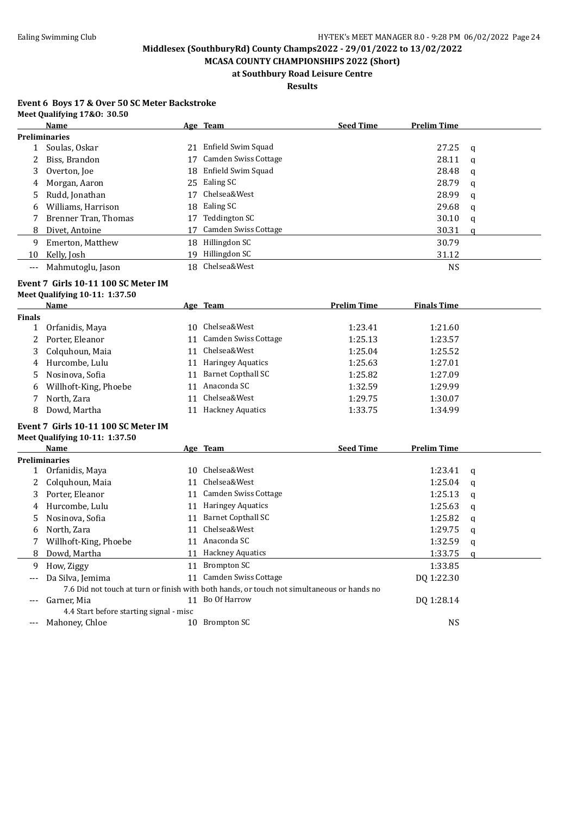**MCASA COUNTY CHAMPIONSHIPS 2022 (Short) at Southbury Road Leisure Centre**

## **Results**

#### **Event 6 Boys 17 & Over 50 SC Meter Backstroke Meet Qualifying 17&O: 30.50**

|       | <b>Name</b>          |    | Age Team                    | <b>Seed Time</b> | <b>Prelim Time</b> |   |
|-------|----------------------|----|-----------------------------|------------------|--------------------|---|
|       | <b>Preliminaries</b> |    |                             |                  |                    |   |
|       | Soulas, Oskar        | 21 | Enfield Swim Squad          |                  | 27.25              | a |
|       | Biss, Brandon        | 17 | <b>Camden Swiss Cottage</b> |                  | 28.11              | q |
| 3     | Overton, Joe         | 18 | Enfield Swim Squad          |                  | 28.48              | a |
| 4     | Morgan, Aaron        |    | 25 Ealing SC                |                  | 28.79              | a |
| 5     | Rudd, Jonathan       | 17 | Chelsea&West                |                  | 28.99              | a |
| 6     | Williams, Harrison   | 18 | Ealing SC                   |                  | 29.68              | q |
|       | Brenner Tran, Thomas | 17 | Teddington SC               |                  | 30.10              | a |
| 8     | Divet, Antoine       | 17 | Camden Swiss Cottage        |                  | 30.31              | a |
| 9     | Emerton, Matthew     | 18 | Hillingdon SC               |                  | 30.79              |   |
| 10    | Kelly, Josh          | 19 | Hillingdon SC               |                  | 31.12              |   |
| $---$ | Mahmutoglu, Jason    |    | 18 Chelsea&West             |                  | <b>NS</b>          |   |

#### **Event 7 Girls 10-11 100 SC Meter IM**

#### **Meet Qualifying 10-11: 1:37.50**

|               | Name                  |    | Age Team                 | <b>Prelim Time</b> | <b>Finals Time</b> |
|---------------|-----------------------|----|--------------------------|--------------------|--------------------|
| <b>Finals</b> |                       |    |                          |                    |                    |
|               | Orfanidis, Maya       |    | 10 Chelsea&West          | 1:23.41            | 1:21.60            |
|               | Porter, Eleanor       | 11 | Camden Swiss Cottage     | 1:25.13            | 1:23.57            |
|               | 3 Colquhoun, Maia     | 11 | Chelsea&West             | 1:25.04            | 1:25.52            |
|               | 4 Hurcombe, Lulu      | 11 | <b>Haringey Aquatics</b> | 1:25.63            | 1:27.01            |
| 5             | Nosinova, Sofia       | 11 | Barnet Copthall SC       | 1:25.82            | 1:27.09            |
| 6             | Willhoft-King, Phoebe |    | 11 Anaconda SC           | 1:32.59            | 1:29.99            |
|               | North, Zara           | 11 | Chelsea&West             | 1:29.75            | 1:30.07            |
| 8             | Dowd, Martha          |    | <b>Hackney Aquatics</b>  | 1:33.75            | 1:34.99            |
|               |                       |    |                          |                    |                    |

#### **Event 7 Girls 10-11 100 SC Meter IM Meet Qualifying 10-11: 1:37.50**

|       | Name                                    |    | Age Team                                                                                   | <b>Seed Time</b> | <b>Prelim Time</b> |   |
|-------|-----------------------------------------|----|--------------------------------------------------------------------------------------------|------------------|--------------------|---|
|       | <b>Preliminaries</b>                    |    |                                                                                            |                  |                    |   |
|       | Orfanidis, Maya                         | 10 | Chelsea&West                                                                               |                  | 1:23.41            | a |
|       | Colquhoun, Maia                         | 11 | Chelsea&West                                                                               |                  | 1:25.04            | q |
| 3     | Porter, Eleanor                         | 11 | <b>Camden Swiss Cottage</b>                                                                |                  | 1:25.13            | a |
| 4     | Hurcombe, Lulu                          | 11 | <b>Haringey Aquatics</b>                                                                   |                  | 1:25.63            | a |
| 5.    | Nosinova, Sofia                         | 11 | <b>Barnet Copthall SC</b>                                                                  |                  | 1:25.82            | a |
| 6     | North. Zara                             | 11 | Chelsea&West                                                                               |                  | 1:29.75            | a |
|       | Willhoft-King, Phoebe                   | 11 | Anaconda SC                                                                                |                  | 1:32.59            | a |
| 8     | Dowd, Martha                            | 11 | <b>Hackney Aquatics</b>                                                                    |                  | 1:33.75            |   |
| 9     | How, Ziggy                              | 11 | Brompton SC                                                                                |                  | 1:33.85            |   |
| $---$ | Da Silva, Jemima                        | 11 | Camden Swiss Cottage                                                                       |                  | DO 1:22.30         |   |
|       |                                         |    | 7.6 Did not touch at turn or finish with both hands, or touch not simultaneous or hands no |                  |                    |   |
| ---   | Garner, Mia                             | 11 | Bo Of Harrow                                                                               |                  | DO 1:28.14         |   |
|       | 4.4 Start before starting signal - misc |    |                                                                                            |                  |                    |   |
| ---   | Mahoney, Chloe                          | 10 | Brompton SC                                                                                |                  | <b>NS</b>          |   |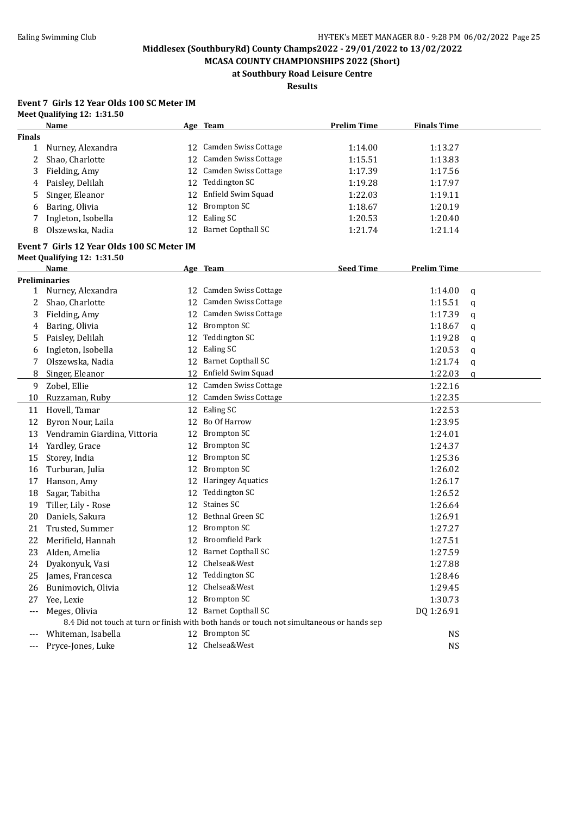**MCASA COUNTY CHAMPIONSHIPS 2022 (Short) at Southbury Road Leisure Centre**

**Results**

#### **Event 7 Girls 12 Year Olds 100 SC Meter IM Meet Qualifying 12: 1:31.50**

|        | Name                                                                                       |    | Age Team                  | <b>Prelim Time</b> | <b>Finals Time</b> |   |
|--------|--------------------------------------------------------------------------------------------|----|---------------------------|--------------------|--------------------|---|
| Finals |                                                                                            |    |                           |                    |                    |   |
| 1      | Nurney, Alexandra                                                                          |    | 12 Camden Swiss Cottage   | 1:14.00            | 1:13.27            |   |
| 2      | Shao, Charlotte                                                                            |    | 12 Camden Swiss Cottage   | 1:15.51            | 1:13.83            |   |
| 3      | Fielding, Amy                                                                              |    | 12 Camden Swiss Cottage   | 1:17.39            | 1:17.56            |   |
| 4      | Paisley, Delilah                                                                           | 12 | Teddington SC             | 1:19.28            | 1:17.97            |   |
| 5      | Singer, Eleanor                                                                            | 12 | Enfield Swim Squad        | 1:22.03            | 1:19.11            |   |
| 6      | Baring, Olivia                                                                             | 12 | <b>Brompton SC</b>        | 1:18.67            | 1:20.19            |   |
| 7      | Ingleton, Isobella                                                                         | 12 | Ealing SC                 | 1:20.53            | 1:20.40            |   |
| 8      | Olszewska, Nadia                                                                           | 12 | <b>Barnet Copthall SC</b> | 1:21.74            | 1:21.14            |   |
|        | Event 7 Girls 12 Year Olds 100 SC Meter IM                                                 |    |                           |                    |                    |   |
|        | Meet Qualifying 12: 1:31.50                                                                |    |                           |                    |                    |   |
|        | Name                                                                                       |    | Age Team                  | <b>Seed Time</b>   | <b>Prelim Time</b> |   |
|        | <b>Preliminaries</b>                                                                       |    |                           |                    |                    |   |
| 1      | Nurney, Alexandra                                                                          |    | 12 Camden Swiss Cottage   |                    | 1:14.00            | q |
| 2      | Shao, Charlotte                                                                            |    | 12 Camden Swiss Cottage   |                    | 1:15.51            | q |
| 3      | Fielding, Amy                                                                              |    | 12 Camden Swiss Cottage   |                    | 1:17.39            | q |
| 4      | Baring, Olivia                                                                             |    | 12 Brompton SC            |                    | 1:18.67            | q |
| 5      | Paisley, Delilah                                                                           |    | 12 Teddington SC          |                    | 1:19.28            | q |
| 6      | Ingleton, Isobella                                                                         |    | 12 Ealing SC              |                    | 1:20.53            | q |
| 7      | Olszewska, Nadia                                                                           |    | 12 Barnet Copthall SC     |                    | 1:21.74            | q |
| 8      | Singer, Eleanor                                                                            |    | 12 Enfield Swim Squad     |                    | 1:22.03            | a |
| 9      | Zobel, Ellie                                                                               |    | 12 Camden Swiss Cottage   |                    | 1:22.16            |   |
| 10     | Ruzzaman, Ruby                                                                             |    | 12 Camden Swiss Cottage   |                    | 1:22.35            |   |
| 11     | Hovell, Tamar                                                                              |    | 12 Ealing SC              |                    | 1:22.53            |   |
| 12     | Byron Nour, Laila                                                                          |    | 12 Bo Of Harrow           |                    | 1:23.95            |   |
| 13     | Vendramin Giardina, Vittoria                                                               | 12 | <b>Brompton SC</b>        |                    | 1:24.01            |   |
| 14     | Yardley, Grace                                                                             |    | 12 Brompton SC            |                    | 1:24.37            |   |
| 15     | Storey, India                                                                              | 12 | <b>Brompton SC</b>        |                    | 1:25.36            |   |
| 16     | Turburan, Julia                                                                            | 12 | <b>Brompton SC</b>        |                    | 1:26.02            |   |
| 17     | Hanson, Amy                                                                                |    | 12 Haringey Aquatics      |                    | 1:26.17            |   |
| 18     | Sagar, Tabitha                                                                             | 12 | <b>Teddington SC</b>      |                    | 1:26.52            |   |
| 19     | Tiller, Lily - Rose                                                                        | 12 | Staines SC                |                    | 1:26.64            |   |
| 20     | Daniels, Sakura                                                                            | 12 | Bethnal Green SC          |                    | 1:26.91            |   |
| 21     | Trusted, Summer                                                                            | 12 | <b>Brompton SC</b>        |                    | 1:27.27            |   |
| 22     | Merifield, Hannah                                                                          | 12 | <b>Broomfield Park</b>    |                    | 1:27.51            |   |
| 23     | Alden, Amelia                                                                              |    | 12 Barnet Copthall SC     |                    | 1:27.59            |   |
| 24     | Dyakonyuk, Vasi                                                                            |    | 12 Chelsea&West           |                    | 1:27.88            |   |
| 25     | James, Francesca                                                                           | 12 | <b>Teddington SC</b>      |                    | 1:28.46            |   |
| 26     | Bunimovich, Olivia                                                                         | 12 | Chelsea&West              |                    | 1:29.45            |   |
| 27     | Yee, Lexie                                                                                 |    | 12 Brompton SC            |                    | 1:30.73            |   |
| $---$  | Meges, Olivia                                                                              |    | 12 Barnet Copthall SC     |                    | DQ 1:26.91         |   |
|        | 8.4 Did not touch at turn or finish with both hands or touch not simultaneous or hands sep |    |                           |                    |                    |   |
| ---    | Whiteman, Isabella                                                                         |    | 12 Brompton SC            |                    | <b>NS</b>          |   |
| $--$   | Pryce-Jones, Luke                                                                          |    | 12 Chelsea&West           |                    | <b>NS</b>          |   |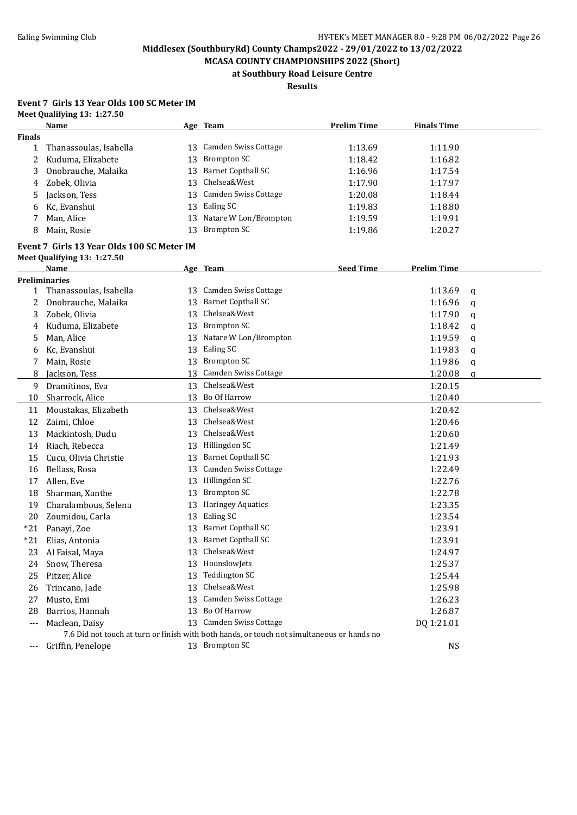**MCASA COUNTY CHAMPIONSHIPS 2022 (Short) at Southbury Road Leisure Centre**

**Results**

#### **Event 7 Girls 13 Year Olds 100 SC Meter IM Meet Qualifying 13: 1:27.50**

|               | Name                                       |    | Age Team                                                                                   | <b>Prelim Time</b> | <b>Finals Time</b> |   |
|---------------|--------------------------------------------|----|--------------------------------------------------------------------------------------------|--------------------|--------------------|---|
| <b>Finals</b> |                                            |    |                                                                                            |                    |                    |   |
| 1             | Thanassoulas, Isabella                     |    | 13 Camden Swiss Cottage                                                                    | 1:13.69            | 1:11.90            |   |
| 2             | Kuduma, Elizabete                          | 13 | <b>Brompton SC</b>                                                                         | 1:18.42            | 1:16.82            |   |
| 3             | Onobrauche, Malaika                        | 13 | <b>Barnet Copthall SC</b>                                                                  | 1:16.96            | 1:17.54            |   |
| 4             | Zobek, Olivia                              | 13 | Chelsea&West                                                                               | 1:17.90            | 1:17.97            |   |
| 5             | Jackson, Tess                              | 13 | Camden Swiss Cottage                                                                       | 1:20.08            | 1:18.44            |   |
| 6             | Kc, Evanshui                               | 13 | Ealing SC                                                                                  | 1:19.83            | 1:18.80            |   |
| 7             | Man, Alice                                 | 13 | Natare W Lon/Brompton                                                                      | 1:19.59            | 1:19.91            |   |
| 8             | Main, Rosie                                | 13 | <b>Brompton SC</b>                                                                         | 1:19.86            | 1:20.27            |   |
|               | Event 7 Girls 13 Year Olds 100 SC Meter IM |    |                                                                                            |                    |                    |   |
|               | Meet Qualifying 13: 1:27.50                |    |                                                                                            |                    |                    |   |
|               | Name                                       |    | Age Team                                                                                   | <b>Seed Time</b>   | <b>Prelim Time</b> |   |
|               | <b>Preliminaries</b>                       |    | 13 Camden Swiss Cottage                                                                    |                    |                    |   |
| 1             | Thanassoulas, Isabella                     |    | <b>Barnet Copthall SC</b>                                                                  |                    | 1:13.69            | q |
| 2             | Onobrauche, Malaika                        | 13 | Chelsea&West                                                                               |                    | 1:16.96            | q |
| 3             | Zobek, Olivia                              | 13 | <b>Brompton SC</b>                                                                         |                    | 1:17.90            | q |
| 4             | Kuduma, Elizabete                          | 13 | Natare W Lon/Brompton                                                                      |                    | 1:18.42            | q |
| 5             | Man, Alice                                 | 13 | 13 Ealing SC                                                                               |                    | 1:19.59<br>1:19.83 | q |
| 6             | Kc, Evanshui                               |    | 13 Brompton SC                                                                             |                    |                    | q |
| 7             | Main, Rosie                                |    |                                                                                            |                    | 1:19.86            | q |
| 8             | Jackson, Tess                              | 13 | Camden Swiss Cottage                                                                       |                    | 1:20.08            | a |
| 9             | Dramitinos, Eva                            |    | 13 Chelsea&West                                                                            |                    | 1:20.15            |   |
| 10            | Sharrock, Alice                            |    | 13 Bo Of Harrow                                                                            |                    | 1:20.40            |   |
| 11            | Moustakas, Elizabeth                       |    | 13 Chelsea&West                                                                            |                    | 1:20.42            |   |
| 12            | Zaimi, Chloe                               |    | 13 Chelsea&West                                                                            |                    | 1:20.46            |   |
| 13            | Mackintosh, Dudu                           |    | 13 Chelsea&West                                                                            |                    | 1:20.60            |   |
| 14            | Riach, Rebecca                             |    | 13 Hillingdon SC                                                                           |                    | 1:21.49            |   |
| 15            | Cucu, Olivia Christie                      |    | 13 Barnet Copthall SC                                                                      |                    | 1:21.93            |   |
| 16            | Bellass, Rosa                              |    | 13 Camden Swiss Cottage                                                                    |                    | 1:22.49            |   |
| 17            | Allen, Eve                                 |    | 13 Hillingdon SC                                                                           |                    | 1:22.76            |   |
| 18            | Sharman, Xanthe                            |    | 13 Brompton SC                                                                             |                    | 1:22.78            |   |
| 19            | Charalambous, Selena                       | 13 | <b>Haringey Aquatics</b>                                                                   |                    | 1:23.35            |   |
| 20            | Zoumidou, Carla                            | 13 | Ealing SC                                                                                  |                    | 1:23.54            |   |
| $*21$         | Panayi, Zoe                                |    | 13 Barnet Copthall SC                                                                      |                    | 1:23.91            |   |
| $*21$         | Elias, Antonia                             |    | 13 Barnet Copthall SC                                                                      |                    | 1:23.91            |   |
| 23            | Al Faisal, Maya                            |    | 13 Chelsea&West                                                                            |                    | 1:24.97            |   |
| 24            | Snow, Theresa                              |    | 13 HounslowJets                                                                            |                    | 1:25.37            |   |
| 25            | Pitzer, Alice                              | 13 | <b>Teddington SC</b>                                                                       |                    | 1:25.44            |   |
| 26            | Trincano, Jade                             | 13 | Chelsea&West                                                                               |                    | 1:25.98            |   |
| 27            | Musto, Emi                                 | 13 | Camden Swiss Cottage                                                                       |                    | 1:26.23            |   |
| 28            | Barrios, Hannah                            |    | 13 Bo Of Harrow                                                                            |                    | 1:26.87            |   |
| $---$         | Maclean, Daisy                             |    | 13 Camden Swiss Cottage                                                                    |                    | DQ 1:21.01         |   |
|               |                                            |    | 7.6 Did not touch at turn or finish with both hands, or touch not simultaneous or hands no |                    |                    |   |
| $---$         | Griffin, Penelope                          |    | 13 Brompton SC                                                                             |                    | <b>NS</b>          |   |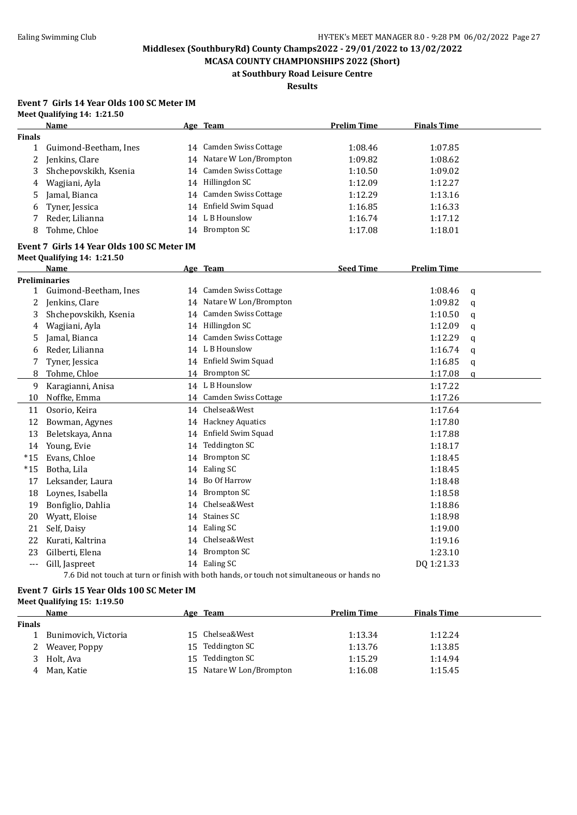**MCASA COUNTY CHAMPIONSHIPS 2022 (Short) at Southbury Road Leisure Centre**

**Results**

#### **Event 7 Girls 14 Year Olds 100 SC Meter IM Meet Qualifying 14: 1:21.50**

|               | <b>Name</b>                                |    | Age Team                                                                                   | <b>Prelim Time</b> | <b>Finals Time</b> |          |
|---------------|--------------------------------------------|----|--------------------------------------------------------------------------------------------|--------------------|--------------------|----------|
| <b>Finals</b> |                                            |    |                                                                                            |                    |                    |          |
| $\mathbf{1}$  | Guimond-Beetham, Ines                      |    | 14 Camden Swiss Cottage                                                                    | 1:08.46            | 1:07.85            |          |
| 2             | Jenkins, Clare                             |    | 14 Natare W Lon/Brompton                                                                   | 1:09.82            | 1:08.62            |          |
| 3             | Shchepovskikh, Ksenia                      |    | 14 Camden Swiss Cottage                                                                    | 1:10.50            | 1:09.02            |          |
| 4             | Wagjiani, Ayla                             |    | 14 Hillingdon SC                                                                           | 1:12.09            | 1:12.27            |          |
| 5             | Jamal, Bianca                              |    | 14 Camden Swiss Cottage                                                                    | 1:12.29            | 1:13.16            |          |
| 6             | Tyner, Jessica                             |    | 14 Enfield Swim Squad                                                                      | 1:16.85            | 1:16.33            |          |
| 7             | Reder, Lilianna                            |    | 14 L B Hounslow                                                                            | 1:16.74            | 1:17.12            |          |
| 8             | Tohme, Chloe                               |    | 14 Brompton SC                                                                             | 1:17.08            | 1:18.01            |          |
|               | Event 7 Girls 14 Year Olds 100 SC Meter IM |    |                                                                                            |                    |                    |          |
|               | Meet Qualifying 14: 1:21.50                |    |                                                                                            |                    |                    |          |
|               | <b>Name</b>                                |    | Age Team                                                                                   | <b>Seed Time</b>   | <b>Prelim Time</b> |          |
|               | <b>Preliminaries</b>                       |    |                                                                                            |                    |                    |          |
|               | 1 Guimond-Beetham, Ines                    |    | 14 Camden Swiss Cottage                                                                    |                    | 1:08.46            | q        |
| 2             | Jenkins, Clare                             |    | 14 Natare W Lon/Brompton                                                                   |                    | 1:09.82            | q        |
| 3             | Shchepovskikh, Ksenia                      |    | 14 Camden Swiss Cottage                                                                    |                    | 1:10.50            | q        |
| 4             | Wagjiani, Ayla                             |    | 14 Hillingdon SC                                                                           |                    | 1:12.09            | q        |
| 5             | Jamal, Bianca                              |    | 14 Camden Swiss Cottage                                                                    |                    | 1:12.29            | a        |
| 6             | Reder, Lilianna                            |    | 14 L B Hounslow                                                                            |                    | 1:16.74            | q        |
|               | Tyner, Jessica                             |    | 14 Enfield Swim Squad                                                                      |                    | 1:16.85            | q        |
| 8             | Tohme, Chloe                               |    | 14 Brompton SC                                                                             |                    | 1:17.08            | $\alpha$ |
| 9             | Karagianni, Anisa                          |    | 14 L B Hounslow                                                                            |                    | 1:17.22            |          |
| 10            | Noffke, Emma                               |    | 14 Camden Swiss Cottage                                                                    |                    | 1:17.26            |          |
| 11            | Osorio, Keira                              |    | 14 Chelsea&West                                                                            |                    | 1:17.64            |          |
| 12            | Bowman, Agynes                             |    | 14 Hackney Aquatics                                                                        |                    | 1:17.80            |          |
| 13            | Beletskaya, Anna                           |    | 14 Enfield Swim Squad                                                                      |                    | 1:17.88            |          |
| 14            | Young, Evie                                | 14 | <b>Teddington SC</b>                                                                       |                    | 1:18.17            |          |
| $*15$         | Evans, Chloe                               | 14 | <b>Brompton SC</b>                                                                         |                    | 1:18.45            |          |
| $*15$         | Botha, Lila                                |    | 14 Ealing SC                                                                               |                    | 1:18.45            |          |
| 17            | Leksander, Laura                           |    | 14 Bo Of Harrow                                                                            |                    | 1:18.48            |          |
| 18            | Loynes, Isabella                           |    | 14 Brompton SC                                                                             |                    | 1:18.58            |          |
| 19            | Bonfiglio, Dahlia                          |    | 14 Chelsea&West                                                                            |                    | 1:18.86            |          |
| 20            | Wyatt, Eloise                              |    | 14 Staines SC                                                                              |                    | 1:18.98            |          |
| 21            | Self, Daisy                                |    | 14 Ealing SC                                                                               |                    | 1:19.00            |          |
| 22            | Kurati, Kaltrina                           |    | 14 Chelsea&West                                                                            |                    | 1:19.16            |          |
| 23            | Gilberti, Elena                            |    | 14 Brompton SC                                                                             |                    | 1:23.10            |          |
| $---$         | Gill, Jaspreet                             |    | 14 Ealing SC                                                                               |                    | DQ 1:21.33         |          |
|               |                                            |    | 7.6 Did not touch at turn or finish with both hands, or touch not simultaneous or hands no |                    |                    |          |

#### **Event 7 Girls 15 Year Olds 100 SC Meter IM**

#### **Meet Qualifying 15: 1:19.50**

|               | Name                 | Age | Team                     | <b>Prelim Time</b> | <b>Finals Time</b> |
|---------------|----------------------|-----|--------------------------|--------------------|--------------------|
| <b>Finals</b> |                      |     |                          |                    |                    |
|               | Bunimovich, Victoria |     | 15 Chelsea&West          | 1:13.34            | 1:12.24            |
|               | 2 Weaver, Poppy      | 15  | Teddington SC            | 1:13.76            | 1:13.85            |
|               | Holt, Ava            | 15  | Teddington SC            | 1:15.29            | 1:14.94            |
| 4             | Man, Katie           |     | 15 Natare W Lon/Brompton | 1:16.08            | 1:15.45            |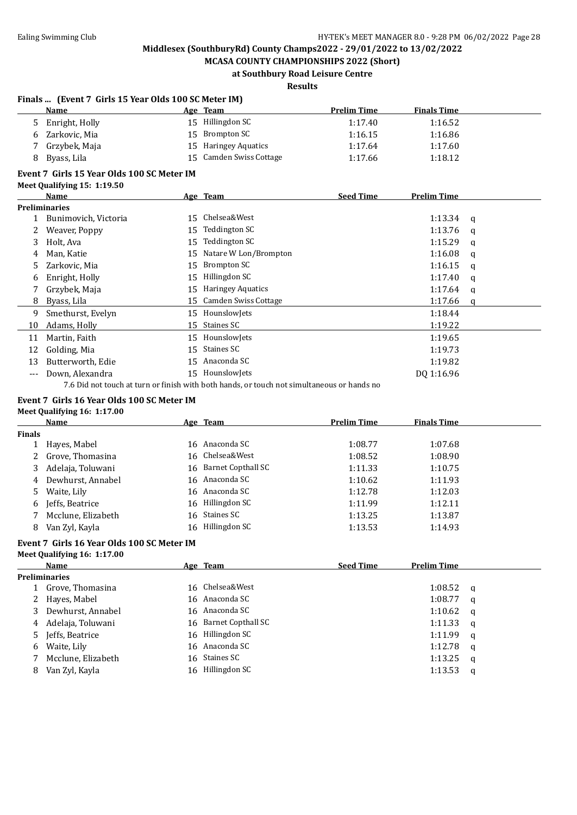**MCASA COUNTY CHAMPIONSHIPS 2022 (Short) at Southbury Road Leisure Centre**

## **Results**

#### **Finals ... (Event 7 Girls 15 Year Olds 100 SC Meter IM)**

|    | Philais  Tevent / Girls 15 fear Olus 100 Sc Meter IMT |     |                          |                    |                    |   |
|----|-------------------------------------------------------|-----|--------------------------|--------------------|--------------------|---|
|    | Name                                                  |     | Age Team                 | <b>Prelim Time</b> | <b>Finals Time</b> |   |
| 5  | Enright, Holly                                        | 15  | Hillingdon SC            | 1:17.40            | 1:16.52            |   |
| 6  | Zarkovic, Mia                                         | 15  | Brompton SC              | 1:16.15            | 1:16.86            |   |
|    | Grzybek, Maja                                         | 15  | <b>Haringey Aquatics</b> | 1:17.64            | 1:17.60            |   |
| 8  | Byass, Lila                                           | 15  | Camden Swiss Cottage     | 1:17.66            | 1:18.12            |   |
|    | Event 7 Girls 15 Year Olds 100 SC Meter IM            |     |                          |                    |                    |   |
|    | Meet Qualifying 15: 1:19.50                           |     |                          |                    |                    |   |
|    | Name                                                  |     | Age Team                 | <b>Seed Time</b>   | <b>Prelim Time</b> |   |
|    | <b>Preliminaries</b>                                  |     |                          |                    |                    |   |
|    | Bunimovich, Victoria                                  | 15  | Chelsea&West             |                    | 1:13.34            | q |
|    | Weaver, Poppy                                         | 15  | Teddington SC            |                    | 1:13.76            | a |
| 3  | Holt, Ava                                             | 15  | Teddington SC            |                    | 1:15.29            | a |
| 4  | Man, Katie                                            | 15  | Natare W Lon/Brompton    |                    | 1:16.08            | a |
| 5  | Zarkovic, Mia                                         | 15  | Brompton SC              |                    | 1:16.15            | a |
| 6  | Enright, Holly                                        | 15  | Hillingdon SC            |                    | 1:17.40            | a |
|    | Grzybek, Maja                                         | 15  | <b>Haringey Aquatics</b> |                    | 1:17.64            | a |
| 8  | Byass, Lila                                           | 15  | Camden Swiss Cottage     |                    | 1:17.66            | a |
| 9  | Smethurst, Evelyn                                     | 15  | HounslowJets             |                    | 1:18.44            |   |
| 10 | Adams, Holly                                          | 15. | Staines SC               |                    | 1:19.22            |   |

| 11 Martin, Faith     | 15 Hounslowlets | 1:19.65    |
|----------------------|-----------------|------------|
| 12 Golding, Mia      | 15 Staines SC   | 1:19.73    |
| 13 Butterworth, Edie | 15 Anaconda SC  | 1:19.82    |
| --- Down. Alexandra  | 15 HounslowJets | DO 1:16.96 |
|                      |                 |            |

7.6 Did not touch at turn or finish with both hands, or touch not simultaneous or hands no

## **Event 7 Girls 16 Year Olds 100 SC Meter IM**

#### **Meet Qualifying 16: 1:17.00 Age Team Prelim Time Finals Time Finals** 1 Hayes, Mabel 16 Anaconda SC 1:08.77 1:07.68 2 Grove, Thomasina 16 Chelsea&West 1:08.52 1:08.90 3 Adelaja, Toluwani 16 Barnet Copthall SC 1:11.33 1:10.75 4 Dewhurst, Annabel 16 Anaconda SC 1:10.62 1:11.93 5 Waite, Lily 16 Anaconda SC 1:12.78 1:12.03 6 Jeffs, Beatrice 16 Hillingdon SC 1:11.99 1:12.11 7 Mcclune, Elizabeth 16 Staines SC 1:13.25 1:13.87 8 Van Zyl, Kayla 16 Hillingdon SC 1:13.53 1:14.93

#### **Event 7 Girls 16 Year Olds 100 SC Meter IM Meet Qualifying 16: 1:17.00**

|   | Name                 | Age Team              | <b>Seed Time</b> | <b>Prelim Time</b> |          |
|---|----------------------|-----------------------|------------------|--------------------|----------|
|   | <b>Preliminaries</b> |                       |                  |                    |          |
|   | Grove, Thomasina     | 16 Chelsea&West       |                  | $1:08.52$ q        |          |
|   | 2 Hayes, Mabel       | 16 Anaconda SC        |                  | 1:08.77            | a        |
| 3 | Dewhurst, Annabel    | 16 Anaconda SC        |                  | 1:10.62 $q$        |          |
| 4 | Adelaja, Toluwani    | 16 Barnet Copthall SC |                  | 1:11.33            | <b>a</b> |
| 5 | Jeffs, Beatrice      | 16 Hillingdon SC      |                  | 1:11.99            | <b>a</b> |
| 6 | Waite, Lily          | 16 Anaconda SC        |                  | 1:12.78            | - q      |
|   | Mcclune, Elizabeth   | 16 Staines SC         |                  | 1:13.25            | <b>q</b> |
| 8 | Van Zyl, Kayla       | 16 Hillingdon SC      |                  | 1:13.53            | q        |
|   |                      |                       |                  |                    |          |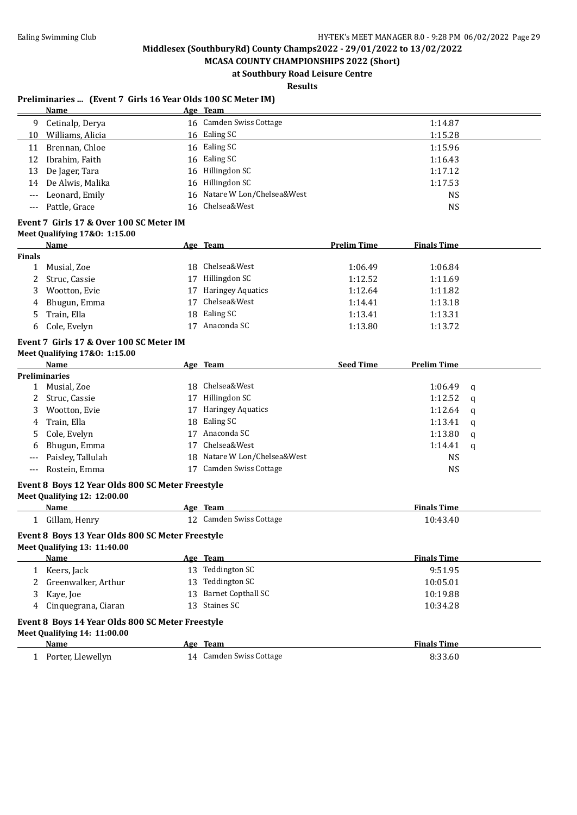**MCASA COUNTY CHAMPIONSHIPS 2022 (Short) at Southbury Road Leisure Centre**

**Results**

#### **Preliminaries ... (Event 7 Girls 16 Year Olds 100 SC Meter IM)**

|    | Name                | Age Team                     |         |
|----|---------------------|------------------------------|---------|
| 9  | Cetinalp, Derya     | 16 Camden Swiss Cottage      | 1:14.87 |
| 10 | Williams, Alicia    | 16 Ealing SC                 | 1:15.28 |
| 11 | Brennan, Chloe      | 16 Ealing SC                 | 1:15.96 |
|    | 12 Ibrahim, Faith   | 16 Ealing SC                 | 1:16.43 |
|    | 13 De Jager, Tara   | 16 Hillingdon SC             | 1:17.12 |
|    | 14 De Alwis, Malika | 16 Hillingdon SC             | 1:17.53 |
|    | --- Leonard, Emily  | 16 Natare W Lon/Chelsea&West | NS      |
|    | Pattle, Grace       | 16 Chelsea&West              | NS      |
|    |                     |                              |         |

## **Event 7 Girls 17 & Over 100 SC Meter IM**

|        | <b>Name</b>   |    | Age Team          | <b>Prelim Time</b> | <b>Finals Time</b> |
|--------|---------------|----|-------------------|--------------------|--------------------|
| Finals |               |    |                   |                    |                    |
|        | Musial, Zoe   |    | 18 Chelsea&West   | 1:06.49            | 1:06.84            |
| 2      | Struc, Cassie | 17 | Hillingdon SC     | 1:12.52            | 1:11.69            |
| 3      | Wootton, Evie | 17 | Haringey Aquatics | 1:12.64            | 1:11.82            |
| 4      | Bhugun, Emma  | 17 | Chelsea&West      | 1:14.41            | 1:13.18            |
| 5.     | Train, Ella   |    | 18 Ealing SC      | 1:13.41            | 1:13.31            |
| 6      | Cole, Evelyn  |    | Anaconda SC       | 1:13.80            | 1:13.72            |

## **Event 7 Girls 17 & Over 100 SC Meter IM**

| Meet Qualifying 17&0: 1:15.00 |  |  |
|-------------------------------|--|--|
|-------------------------------|--|--|

| <b>Name</b>          |    |                          | <b>Seed Time</b>                                                             | <b>Prelim Time</b> |                                                        |
|----------------------|----|--------------------------|------------------------------------------------------------------------------|--------------------|--------------------------------------------------------|
| <b>Preliminaries</b> |    |                          |                                                                              |                    |                                                        |
| Musial, Zoe          |    | Chelsea&West             |                                                                              |                    |                                                        |
| 2 Struc, Cassie      | 17 | Hillingdon SC            |                                                                              |                    |                                                        |
| Wootton, Evie        | 17 | <b>Haringey Aquatics</b> |                                                                              | 1:12.64            | $\mathbf{q}$                                           |
| Train, Ella<br>4     |    |                          |                                                                              |                    |                                                        |
| 5 Cole, Evelyn       | 17 | Anaconda SC              |                                                                              | 1:13.80            | q                                                      |
| Bhugun, Emma<br>6    |    | Chelsea&West             |                                                                              |                    |                                                        |
| Paisley, Tallulah    |    |                          |                                                                              | NS                 |                                                        |
| Rostein, Emma        | 17 | Camden Swiss Cottage     |                                                                              | <b>NS</b>          |                                                        |
|                      |    |                          | <u>Age Team</u><br>18.<br>18 Ealing SC<br>17<br>18 Natare W Lon/Chelsea&West |                    | 1:06.49 q<br>1:12.52 $q$<br>$1:13.41$ q<br>1:14.41 $q$ |

#### **Event 8 Boys 12 Year Olds 800 SC Meter Freestyle**

| <b>Meet Qualifying 12: 12:00.00</b>              |                          |                    |  |
|--------------------------------------------------|--------------------------|--------------------|--|
| Name                                             | Age Team                 | <b>Finals Time</b> |  |
| Gillam, Henry<br>1                               | 12 Camden Swiss Cottage  | 10:43.40           |  |
| Event 8 Boys 13 Year Olds 800 SC Meter Freestyle |                          |                    |  |
| Meet Qualifying 13: 11:40.00                     |                          |                    |  |
| Name                                             | Age Team                 | <b>Finals Time</b> |  |
| Keers, Jack<br>$\mathbf{1}$                      | Teddington SC<br>13      | 9:51.95            |  |
| 2 Greenwalker, Arthur                            | Teddington SC<br>13      | 10:05.01           |  |
| 3 Kaye, Joe                                      | Barnet Copthall SC<br>13 | 10:19.88           |  |
| Cinguegrana, Ciaran<br>4                         | Staines SC<br>13         | 10:34.28           |  |
| Event 8 Boys 14 Year Olds 800 SC Meter Freestyle |                          |                    |  |
| <b>Meet Qualifying 14: 11:00.00</b>              |                          |                    |  |
| Name                                             | Age Team                 | <b>Finals Time</b> |  |
| Porter. Llewellyn                                | 14 Camden Swiss Cottage  | 8:33.60            |  |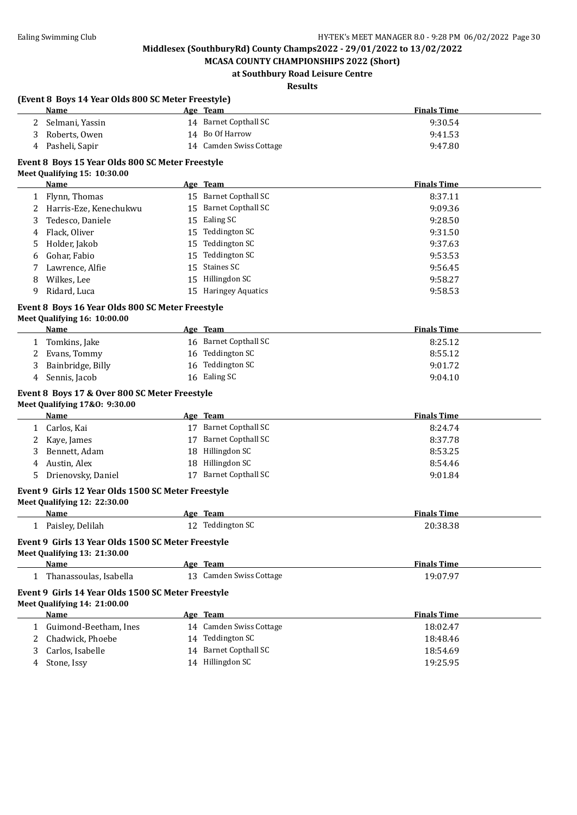**MCASA COUNTY CHAMPIONSHIPS 2022 (Short) at Southbury Road Leisure Centre**

## **Results**

|   | (Event 8 Boys 14 Year Olds 800 SC Meter Freestyle)                                 |    |                         |                    |  |
|---|------------------------------------------------------------------------------------|----|-------------------------|--------------------|--|
|   | Name                                                                               |    | Age Team                | <b>Finals Time</b> |  |
| 2 | Selmani, Yassin                                                                    |    | 14 Barnet Copthall SC   | 9:30.54            |  |
| 3 | Roberts, Owen                                                                      |    | 14 Bo Of Harrow         | 9:41.53            |  |
| 4 | Pasheli, Sapir                                                                     |    | 14 Camden Swiss Cottage | 9:47.80            |  |
|   | Event 8 Boys 15 Year Olds 800 SC Meter Freestyle                                   |    |                         |                    |  |
|   | Meet Qualifying 15: 10:30.00                                                       |    |                         |                    |  |
|   | Name                                                                               |    | Age Team                | <b>Finals Time</b> |  |
|   | 1 Flynn, Thomas                                                                    |    | 15 Barnet Copthall SC   | 8:37.11            |  |
| 2 | Harris-Eze, Kenechukwu                                                             |    | 15 Barnet Copthall SC   | 9:09.36            |  |
| 3 | Tedesco, Daniele                                                                   |    | 15 Ealing SC            | 9:28.50            |  |
| 4 | Flack, Oliver                                                                      |    | 15 Teddington SC        | 9:31.50            |  |
| 5 | Holder, Jakob                                                                      | 15 | Teddington SC           | 9:37.63            |  |
| 6 | Gohar, Fabio                                                                       | 15 | Teddington SC           | 9:53.53            |  |
|   | Lawrence, Alfie                                                                    | 15 | Staines SC              | 9:56.45            |  |
| 8 | Wilkes, Lee                                                                        |    | 15 Hillingdon SC        | 9:58.27            |  |
| 9 | Ridard, Luca                                                                       |    | 15 Haringey Aquatics    | 9:58.53            |  |
|   |                                                                                    |    |                         |                    |  |
|   | Event 8 Boys 16 Year Olds 800 SC Meter Freestyle                                   |    |                         |                    |  |
|   | Meet Qualifying 16: 10:00.00                                                       |    |                         |                    |  |
|   | Name                                                                               |    | Age Team                | <b>Finals Time</b> |  |
| 1 | Tomkins, Jake                                                                      |    | 16 Barnet Copthall SC   | 8:25.12            |  |
| 2 | Evans, Tommy                                                                       |    | 16 Teddington SC        | 8:55.12            |  |
| 3 | Bainbridge, Billy                                                                  |    | 16 Teddington SC        | 9:01.72            |  |
| 4 | Sennis, Jacob                                                                      |    | 16 Ealing SC            | 9:04.10            |  |
|   | Event 8 Boys 17 & Over 800 SC Meter Freestyle                                      |    |                         |                    |  |
|   | Meet Qualifying 17&0: 9:30.00                                                      |    |                         |                    |  |
|   | <b>Name</b>                                                                        |    | Age Team                | <b>Finals Time</b> |  |
|   | 1 Carlos, Kai                                                                      |    | 17 Barnet Copthall SC   | 8:24.74            |  |
| 2 | Kaye, James                                                                        |    | 17 Barnet Copthall SC   | 8:37.78            |  |
| 3 | Bennett, Adam                                                                      |    | 18 Hillingdon SC        | 8:53.25            |  |
| 4 | Austin, Alex                                                                       |    | 18 Hillingdon SC        | 8:54.46            |  |
| 5 | Drienovsky, Daniel                                                                 |    | 17 Barnet Copthall SC   | 9:01.84            |  |
|   |                                                                                    |    |                         |                    |  |
|   | Event 9 Girls 12 Year Olds 1500 SC Meter Freestyle<br>Meet Qualifying 12: 22:30.00 |    |                         |                    |  |
|   | Name                                                                               |    | Age Team                | <b>Finals Time</b> |  |
|   |                                                                                    |    | 12 Teddington SC        |                    |  |
|   | 1 Paisley, Delilah                                                                 |    |                         | 20:38.38           |  |
|   | Event 9 Girls 13 Year Olds 1500 SC Meter Freestyle                                 |    |                         |                    |  |
|   | Meet Qualifying 13: 21:30.00                                                       |    |                         |                    |  |
|   | Name                                                                               |    | Age Team                | <b>Finals Time</b> |  |
|   | 1 Thanassoulas, Isabella                                                           |    | 13 Camden Swiss Cottage | 19:07.97           |  |
|   | Event 9 Girls 14 Year Olds 1500 SC Meter Freestyle                                 |    |                         |                    |  |
|   | Meet Qualifying 14: 21:00.00                                                       |    |                         |                    |  |
|   | <b>Name</b>                                                                        |    | Age Team                | <b>Finals Time</b> |  |
| 1 | Guimond-Beetham, Ines                                                              |    | 14 Camden Swiss Cottage | 18:02.47           |  |
| 2 | Chadwick, Phoebe                                                                   |    | 14 Teddington SC        | 18:48.46           |  |
| 3 | Carlos, Isabelle                                                                   |    | 14 Barnet Copthall SC   | 18:54.69           |  |
| 4 | Stone, Issy                                                                        |    | 14 Hillingdon SC        | 19:25.95           |  |
|   |                                                                                    |    |                         |                    |  |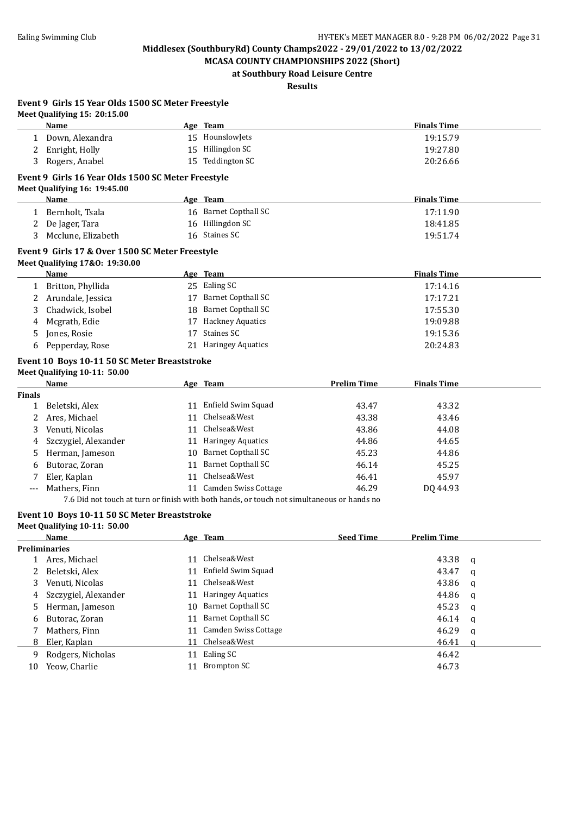**MCASA COUNTY CHAMPIONSHIPS 2022 (Short) at Southbury Road Leisure Centre**

**Results**

| Event 9 Girls 15 Year Olds 1500 SC Meter Freestyle |
|----------------------------------------------------|
| Meet Qualifying $15:20:15.00$                      |

|               | Name                                               |    | Age Team                                                                                   |                    | <b>Finals Time</b> |   |
|---------------|----------------------------------------------------|----|--------------------------------------------------------------------------------------------|--------------------|--------------------|---|
| 1             | Down, Alexandra                                    |    | 15 HounslowJets                                                                            |                    | 19:15.79           |   |
| 2             | Enright, Holly                                     |    | 15 Hillingdon SC                                                                           |                    | 19:27.80           |   |
| 3             | Rogers, Anabel                                     |    | 15 Teddington SC                                                                           |                    | 20:26.66           |   |
|               | Event 9 Girls 16 Year Olds 1500 SC Meter Freestyle |    |                                                                                            |                    |                    |   |
|               | Meet Qualifying 16: 19:45.00                       |    |                                                                                            |                    |                    |   |
|               | <u>Name</u>                                        |    | Age Team                                                                                   |                    | <b>Finals Time</b> |   |
| 1             | Bernholt, Tsala                                    |    | 16 Barnet Copthall SC                                                                      |                    | 17:11.90           |   |
| 2             | De Jager, Tara                                     |    | 16 Hillingdon SC                                                                           |                    | 18:41.85           |   |
| 3             | Mcclune, Elizabeth                                 |    | 16 Staines SC                                                                              |                    | 19:51.74           |   |
|               | Event 9 Girls 17 & Over 1500 SC Meter Freestyle    |    |                                                                                            |                    |                    |   |
|               | Meet Qualifying 17&0: 19:30.00                     |    |                                                                                            |                    |                    |   |
|               | Name                                               |    | Age Team                                                                                   |                    | <b>Finals Time</b> |   |
|               | 1 Britton, Phyllida                                |    | 25 Ealing SC                                                                               |                    | 17:14.16           |   |
|               |                                                    |    | 17 Barnet Copthall SC                                                                      |                    | 17:17.21           |   |
| 2             | Arundale, Jessica                                  |    | 18 Barnet Copthall SC                                                                      |                    |                    |   |
| 3             | Chadwick, Isobel                                   |    |                                                                                            |                    | 17:55.30           |   |
| 4             | Mcgrath, Edie                                      |    | 17 Hackney Aquatics                                                                        |                    | 19:09.88           |   |
| 5             | Jones, Rosie                                       |    | 17 Staines SC                                                                              |                    | 19:15.36           |   |
| 6             | Pepperday, Rose                                    |    | 21 Haringey Aquatics                                                                       |                    | 20:24.83           |   |
|               | Event 10 Boys 10-11 50 SC Meter Breaststroke       |    |                                                                                            |                    |                    |   |
|               | Meet Qualifying 10-11: 50.00                       |    |                                                                                            |                    |                    |   |
|               | <b>Name</b>                                        |    | Age Team                                                                                   | <b>Prelim Time</b> | <b>Finals Time</b> |   |
| <b>Finals</b> |                                                    |    |                                                                                            |                    |                    |   |
| 1             | Beletski, Alex                                     |    | 11 Enfield Swim Squad                                                                      | 43.47              | 43.32              |   |
| 2             | Ares, Michael                                      |    | 11 Chelsea&West                                                                            | 43.38              | 43.46              |   |
| 3             | Venuti, Nicolas                                    |    | 11 Chelsea&West                                                                            | 43.86              | 44.08              |   |
| 4             | Szczygiel, Alexander                               |    | 11 Haringey Aquatics                                                                       | 44.86              | 44.65              |   |
| 5             | Herman, Jameson                                    |    | 10 Barnet Copthall SC                                                                      | 45.23              | 44.86              |   |
| 6             | Butorac, Zoran                                     |    | 11 Barnet Copthall SC                                                                      | 46.14              | 45.25              |   |
|               | Eler, Kaplan                                       |    | 11 Chelsea&West                                                                            | 46.41              | 45.97              |   |
|               | Mathers, Finn                                      |    | 11 Camden Swiss Cottage                                                                    | 46.29              | DQ 44.93           |   |
|               |                                                    |    | 7.6 Did not touch at turn or finish with both hands, or touch not simultaneous or hands no |                    |                    |   |
|               | Event 10 Boys 10-11 50 SC Meter Breaststroke       |    |                                                                                            |                    |                    |   |
|               | Meet Qualifying 10-11: 50.00                       |    |                                                                                            |                    |                    |   |
|               | Name                                               |    | Age Team                                                                                   | <b>Seed Time</b>   | <b>Prelim Time</b> |   |
|               | <b>Preliminaries</b>                               |    |                                                                                            |                    |                    |   |
| T,            | Ares, Michael                                      | 11 | Chelsea&West                                                                               |                    | 43.38              | q |
| 2             | Beletski, Alex                                     | 11 | Enfield Swim Squad                                                                         |                    | 43.47              | q |
| 3             | Venuti, Nicolas                                    | 11 | Chelsea&West                                                                               |                    | 43.86              | q |
| 4             | Szczygiel, Alexander                               | 11 | <b>Haringey Aquatics</b>                                                                   |                    | 44.86              | q |
| 5             | Herman, Jameson                                    | 10 | <b>Barnet Copthall SC</b>                                                                  |                    | 45.23              | q |
| 6             | Butorac, Zoran                                     | 11 | <b>Barnet Copthall SC</b>                                                                  |                    | 46.14              | q |
| 7             | Mathers, Finn                                      | 11 | Camden Swiss Cottage                                                                       |                    | 46.29              | q |
| 8             | Eler, Kaplan                                       | 11 | Chelsea&West                                                                               |                    | 46.41              | q |
| 9             | Rodgers, Nicholas                                  | 11 | Ealing SC                                                                                  |                    | 46.42              |   |
| 10            | Yeow, Charlie                                      |    | 11 Brompton SC                                                                             |                    | 46.73              |   |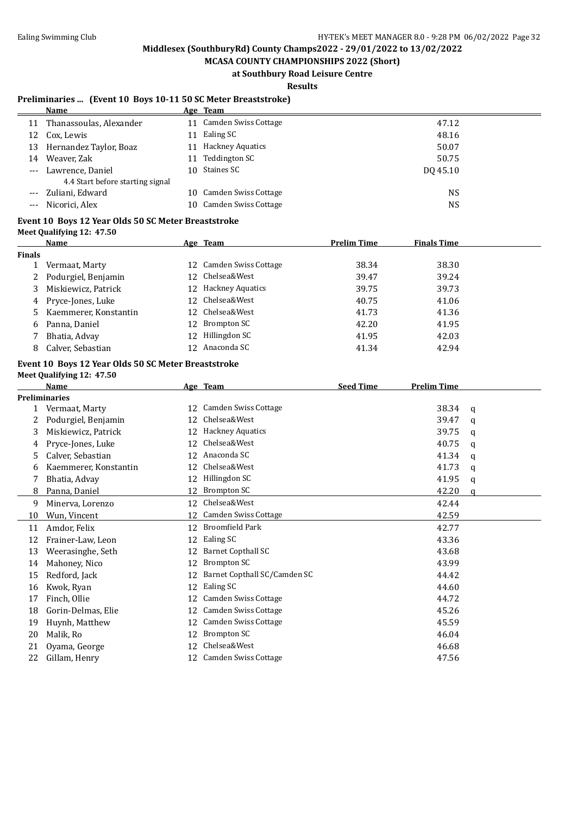**MCASA COUNTY CHAMPIONSHIPS 2022 (Short) at Southbury Road Leisure Centre**

**Results**

### **Preliminaries ... (Event 10 Boys 10-11 50 SC Meter Breaststroke)**

|                     | Name                             |     | Age Team                |           |
|---------------------|----------------------------------|-----|-------------------------|-----------|
| 11                  | Thanassoulas, Alexander          | 11  | Camden Swiss Cottage    | 47.12     |
| 12                  | Cox, Lewis                       | 11. | Ealing SC               | 48.16     |
| 13                  | Hernandez Taylor, Boaz           | 11  | <b>Hackney Aquatics</b> | 50.07     |
| 14                  | Weaver, Zak                      | 11  | Teddington SC           | 50.75     |
| $\qquad \qquad - -$ | Lawrence, Daniel                 |     | 10 Staines SC           | DO 45.10  |
|                     | 4.4 Start before starting signal |     |                         |           |
|                     | --- Zuliani, Edward              | 10. | Camden Swiss Cottage    | <b>NS</b> |
|                     | Nicorici, Alex                   | 10. | Camden Swiss Cottage    | NS        |

#### **Event 10 Boys 12 Year Olds 50 SC Meter Breaststroke Meet Qualifying 12: 47.50**

|        | <b>Name</b>           |                 | <u>Age Team</u>         | <b>Prelim Time</b> | <b>Finals Time</b> |
|--------|-----------------------|-----------------|-------------------------|--------------------|--------------------|
| Finals |                       |                 |                         |                    |                    |
|        | Vermaat, Marty        |                 | 12 Camden Swiss Cottage | 38.34              | 38.30              |
| 2      | Podurgiel, Benjamin   |                 | 12 Chelsea&West         | 39.47              | 39.24              |
| 3      | Miskiewicz, Patrick   | 12.             | <b>Hackney Aquatics</b> | 39.75              | 39.73              |
|        | 4 Pryce-Jones, Luke   |                 | 12 Chelsea&West         | 40.75              | 41.06              |
| 5.     | Kaemmerer, Konstantin | 12 <sup>7</sup> | Chelsea&West            | 41.73              | 41.36              |
| 6      | Panna, Daniel         | 12.             | Brompton SC             | 42.20              | 41.95              |
|        | Bhatia, Advay         | 12              | Hillingdon SC           | 41.95              | 42.03              |
| 8      | Calver, Sebastian     |                 | 12 Anaconda SC          | 41.34              | 42.94              |

## **Event 10 Boys 12 Year Olds 50 SC Meter Breaststroke**

|  |  | Meet Qualifying 12: 47.50 |  |  |
|--|--|---------------------------|--|--|
|--|--|---------------------------|--|--|

|    | <b>Name</b>           |    | Age Team                     | <b>Seed Time</b> | <b>Prelim Time</b> |   |
|----|-----------------------|----|------------------------------|------------------|--------------------|---|
|    | <b>Preliminaries</b>  |    |                              |                  |                    |   |
|    | Vermaat, Marty        | 12 | Camden Swiss Cottage         |                  | 38.34              | q |
|    | Podurgiel, Benjamin   | 12 | Chelsea&West                 |                  | 39.47              | a |
| 3  | Miskiewicz, Patrick   | 12 | <b>Hackney Aquatics</b>      |                  | 39.75              | a |
| 4  | Pryce-Jones, Luke     | 12 | Chelsea&West                 |                  | 40.75              | a |
| 5  | Calver, Sebastian     | 12 | Anaconda SC                  |                  | 41.34              | q |
| 6  | Kaemmerer, Konstantin | 12 | Chelsea&West                 |                  | 41.73              | a |
|    | Bhatia, Advay         | 12 | Hillingdon SC                |                  | 41.95              | q |
| 8  | Panna, Daniel         | 12 | <b>Brompton SC</b>           |                  | 42.20              | a |
| 9  | Minerva, Lorenzo      | 12 | Chelsea&West                 |                  | 42.44              |   |
| 10 | Wun, Vincent          | 12 | Camden Swiss Cottage         |                  | 42.59              |   |
| 11 | Amdor, Felix          | 12 | <b>Broomfield Park</b>       |                  | 42.77              |   |
| 12 | Frainer-Law, Leon     | 12 | Ealing SC                    |                  | 43.36              |   |
| 13 | Weerasinghe, Seth     | 12 | Barnet Copthall SC           |                  | 43.68              |   |
| 14 | Mahoney, Nico         | 12 | <b>Brompton SC</b>           |                  | 43.99              |   |
| 15 | Redford, Jack         | 12 | Barnet Copthall SC/Camden SC |                  | 44.42              |   |
| 16 | Kwok, Ryan            | 12 | Ealing SC                    |                  | 44.60              |   |
| 17 | Finch, Ollie          | 12 | <b>Camden Swiss Cottage</b>  |                  | 44.72              |   |
| 18 | Gorin-Delmas, Elie    | 12 | Camden Swiss Cottage         |                  | 45.26              |   |
| 19 | Huynh, Matthew        | 12 | Camden Swiss Cottage         |                  | 45.59              |   |
| 20 | Malik, Ro             | 12 | Brompton SC                  |                  | 46.04              |   |
| 21 | Oyama, George         | 12 | Chelsea&West                 |                  | 46.68              |   |
| 22 | Gillam, Henry         | 12 | <b>Camden Swiss Cottage</b>  |                  | 47.56              |   |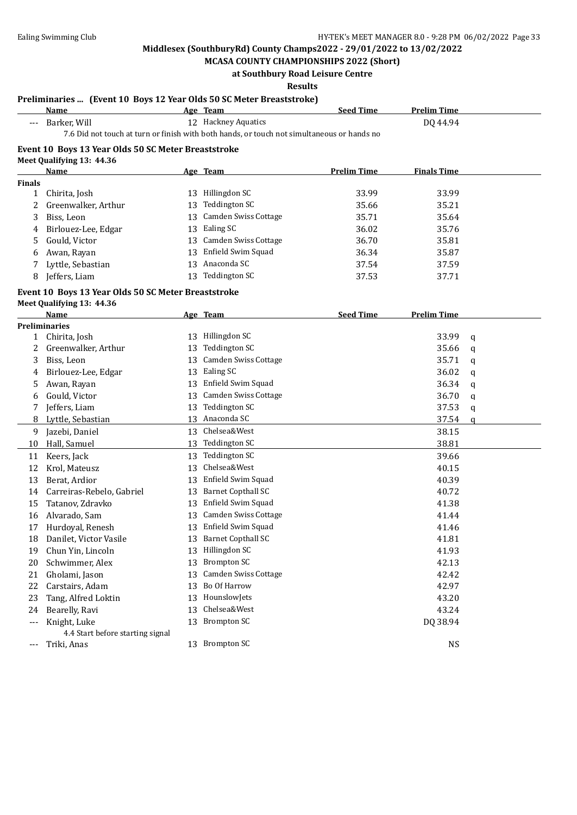**MCASA COUNTY CHAMPIONSHIPS 2022 (Short) at Southbury Road Leisure Centre**

#### **Results**

#### **Preliminaries ... (Event 10 Boys 12 Year Olds 50 SC Meter Breaststroke)**

|               | CHAMATICS … TERCHI TO DORS TH ICAI ORIS SO SG MCICI DI CASISITONET<br><b>Name</b> |    | Age Team                                                                                   | <b>Seed Time</b>   | <b>Prelim Time</b> |              |
|---------------|-----------------------------------------------------------------------------------|----|--------------------------------------------------------------------------------------------|--------------------|--------------------|--------------|
|               | --- Barker, Will                                                                  |    | 12 Hackney Aquatics                                                                        |                    | DQ 44.94           |              |
|               |                                                                                   |    | 7.6 Did not touch at turn or finish with both hands, or touch not simultaneous or hands no |                    |                    |              |
|               | Event 10 Boys 13 Year Olds 50 SC Meter Breaststroke                               |    |                                                                                            |                    |                    |              |
|               | Meet Qualifying 13: 44.36                                                         |    |                                                                                            |                    |                    |              |
|               | <b>Name</b>                                                                       |    | Age Team                                                                                   | <b>Prelim Time</b> | <b>Finals Time</b> |              |
| <b>Finals</b> |                                                                                   |    |                                                                                            |                    |                    |              |
| 1             | Chirita, Josh                                                                     |    | 13 Hillingdon SC                                                                           | 33.99              | 33.99              |              |
| 2             | Greenwalker, Arthur                                                               |    | 13 Teddington SC                                                                           | 35.66              | 35.21              |              |
| 3             | Biss, Leon                                                                        |    | 13 Camden Swiss Cottage                                                                    | 35.71              | 35.64              |              |
| 4             | Birlouez-Lee, Edgar                                                               |    | 13 Ealing SC                                                                               | 36.02              | 35.76              |              |
| 5             | Gould, Victor                                                                     |    | 13 Camden Swiss Cottage                                                                    | 36.70              | 35.81              |              |
| 6             | Awan, Rayan                                                                       |    | 13 Enfield Swim Squad                                                                      | 36.34              | 35.87              |              |
| 7             | Lyttle, Sebastian                                                                 |    | 13 Anaconda SC                                                                             | 37.54              | 37.59              |              |
| 8             | Jeffers, Liam                                                                     |    | 13 Teddington SC                                                                           | 37.53              | 37.71              |              |
|               | Event 10 Boys 13 Year Olds 50 SC Meter Breaststroke                               |    |                                                                                            |                    |                    |              |
|               | Meet Qualifying 13: 44.36                                                         |    |                                                                                            |                    |                    |              |
|               | <b>Name</b>                                                                       |    | Age Team                                                                                   | <b>Seed Time</b>   | <b>Prelim Time</b> |              |
|               | <b>Preliminaries</b>                                                              |    |                                                                                            |                    |                    |              |
| $\mathbf{1}$  | Chirita, Josh                                                                     |    | 13 Hillingdon SC                                                                           |                    | 33.99              | q            |
| 2             | Greenwalker, Arthur                                                               | 13 | <b>Teddington SC</b>                                                                       |                    | 35.66              | q            |
| 3             | Biss, Leon                                                                        | 13 | Camden Swiss Cottage                                                                       |                    | 35.71              | q            |
| 4             | Birlouez-Lee, Edgar                                                               | 13 | Ealing SC                                                                                  |                    | 36.02              | q            |
| 5             | Awan, Rayan                                                                       | 13 | Enfield Swim Squad                                                                         |                    | 36.34              | q            |
| 6             | Gould, Victor                                                                     | 13 | Camden Swiss Cottage                                                                       |                    | 36.70              | q            |
| 7             | Jeffers, Liam                                                                     |    | 13 Teddington SC                                                                           |                    | 37.53              | $\mathbf q$  |
| 8             | Lyttle, Sebastian                                                                 |    | 13 Anaconda SC                                                                             |                    | 37.54              | $\mathbf{q}$ |
| 9             | Jazebi, Daniel                                                                    |    | 13 Chelsea&West                                                                            |                    | 38.15              |              |
| 10            | Hall, Samuel                                                                      |    | 13 Teddington SC                                                                           |                    | 38.81              |              |
| 11            | Keers, Jack                                                                       |    | 13 Teddington SC                                                                           |                    | 39.66              |              |
| 12            | Krol, Mateusz                                                                     | 13 | Chelsea&West                                                                               |                    | 40.15              |              |
| 13            | Berat, Ardior                                                                     | 13 | Enfield Swim Squad                                                                         |                    | 40.39              |              |
| 14            | Carreiras-Rebelo, Gabriel                                                         | 13 | <b>Barnet Copthall SC</b>                                                                  |                    | 40.72              |              |
| 15            | Tatanov, Zdravko                                                                  | 13 | Enfield Swim Squad                                                                         |                    | 41.38              |              |
| 16            | Alvarado, Sam                                                                     |    | 13 Camden Swiss Cottage                                                                    |                    | 41.44              |              |
| 17            | Hurdoyal, Renesh                                                                  |    | 13 Enfield Swim Squad                                                                      |                    | 41.46              |              |
| 18            | Danilet, Victor Vasile                                                            |    | 13 Barnet Copthall SC                                                                      |                    | 41.81              |              |
| 19            | Chun Yin, Lincoln                                                                 | 13 | Hillingdon SC                                                                              |                    | 41.93              |              |
| 20            | Schwimmer, Alex                                                                   | 13 | <b>Brompton SC</b>                                                                         |                    | 42.13              |              |
| 21            | Gholami, Jason                                                                    | 13 | Camden Swiss Cottage                                                                       |                    | 42.42              |              |
| 22            | Carstairs, Adam                                                                   | 13 | Bo Of Harrow                                                                               |                    | 42.97              |              |
| 23            | Tang, Alfred Loktin                                                               | 13 | HounslowJets                                                                               |                    | 43.20              |              |
| 24            | Bearelly, Ravi                                                                    | 13 | Chelsea&West                                                                               |                    | 43.24              |              |
| ---           | Knight, Luke                                                                      | 13 | <b>Brompton SC</b>                                                                         |                    | DQ 38.94           |              |
|               | 4.4 Start before starting signal                                                  |    |                                                                                            |                    |                    |              |
| ---           | Triki, Anas                                                                       |    | 13 Brompton SC                                                                             |                    | <b>NS</b>          |              |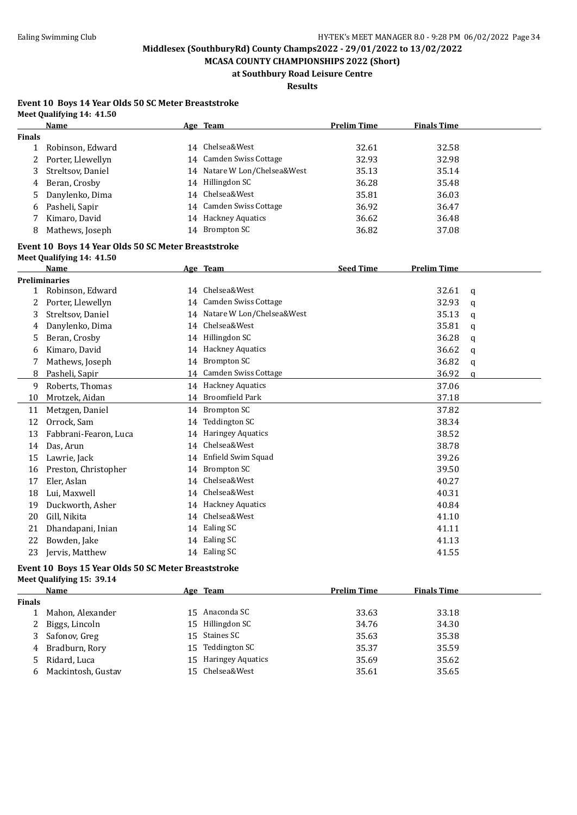**MCASA COUNTY CHAMPIONSHIPS 2022 (Short) at Southbury Road Leisure Centre**

**Results**

#### **Event 10 Boys 14 Year Olds 50 SC Meter Breaststroke Meet Qualifying 14: 41.50**

|        | <b>Name</b>       |    | Age Team                     | <b>Prelim Time</b> | <b>Finals Time</b> |
|--------|-------------------|----|------------------------------|--------------------|--------------------|
| Finals |                   |    |                              |                    |                    |
|        | Robinson, Edward  |    | 14 Chelsea&West              | 32.61              | 32.58              |
| 2      | Porter, Llewellyn |    | 14 Camden Swiss Cottage      | 32.93              | 32.98              |
| 3      | Streltsov, Daniel |    | 14 Natare W Lon/Chelsea&West | 35.13              | 35.14              |
| 4      | Beran, Crosby     |    | 14 Hillingdon SC             | 36.28              | 35.48              |
| 5.     | Danylenko, Dima   |    | 14 Chelsea&West              | 35.81              | 36.03              |
| 6      | Pasheli, Sapir    |    | 14 Camden Swiss Cottage      | 36.92              | 36.47              |
|        | Kimaro, David     |    | 14 Hackney Aquatics          | 36.62              | 36.48              |
| 8      | Mathews, Joseph   | 14 | Brompton SC                  | 36.82              | 37.08              |
|        |                   |    |                              |                    |                    |

#### **Event 10 Boys 14 Year Olds 50 SC Meter Breaststroke Meet Qualifying 14: 41.50**

|    | Name                  |    | Age Team                  | <b>Seed Time</b> | <b>Prelim Time</b> |              |
|----|-----------------------|----|---------------------------|------------------|--------------------|--------------|
|    | <b>Preliminaries</b>  |    |                           |                  |                    |              |
|    | Robinson, Edward      | 14 | Chelsea&West              |                  | 32.61              | $\mathbf{q}$ |
| 2  | Porter, Llewellyn     | 14 | Camden Swiss Cottage      |                  | 32.93              | q            |
| 3  | Streltsov, Daniel     | 14 | Natare W Lon/Chelsea&West |                  | 35.13              | a            |
| 4  | Danylenko, Dima       | 14 | Chelsea&West              |                  | 35.81              | q            |
| 5  | Beran, Crosby         | 14 | Hillingdon SC             |                  | 36.28              | a            |
| 6  | Kimaro, David         | 14 | <b>Hackney Aquatics</b>   |                  | 36.62              | q            |
| 7  | Mathews, Joseph       | 14 | <b>Brompton SC</b>        |                  | 36.82              | q            |
| 8  | Pasheli, Sapir        | 14 | Camden Swiss Cottage      |                  | 36.92              | a            |
| 9  | Roberts, Thomas       | 14 | <b>Hackney Aquatics</b>   |                  | 37.06              |              |
| 10 | Mrotzek, Aidan        | 14 | <b>Broomfield Park</b>    |                  | 37.18              |              |
| 11 | Metzgen, Daniel       | 14 | <b>Brompton SC</b>        |                  | 37.82              |              |
| 12 | Orrock, Sam           | 14 | Teddington SC             |                  | 38.34              |              |
| 13 | Fabbrani-Fearon, Luca | 14 | <b>Haringey Aquatics</b>  |                  | 38.52              |              |
| 14 | Das, Arun             | 14 | Chelsea&West              |                  | 38.78              |              |
| 15 | Lawrie, Jack          | 14 | Enfield Swim Squad        |                  | 39.26              |              |
| 16 | Preston, Christopher  | 14 | Brompton SC               |                  | 39.50              |              |
| 17 | Eler, Aslan           | 14 | Chelsea&West              |                  | 40.27              |              |
| 18 | Lui, Maxwell          | 14 | Chelsea&West              |                  | 40.31              |              |
| 19 | Duckworth, Asher      | 14 | <b>Hackney Aquatics</b>   |                  | 40.84              |              |
| 20 | Gill, Nikita          | 14 | Chelsea&West              |                  | 41.10              |              |
| 21 | Dhandapani, Inian     | 14 | Ealing SC                 |                  | 41.11              |              |
| 22 | Bowden, Jake          | 14 | Ealing SC                 |                  | 41.13              |              |
| 23 | Jervis, Matthew       |    | 14 Ealing SC              |                  | 41.55              |              |

#### **Event 10 Boys 15 Year Olds 50 SC Meter Breaststroke Meet Qualifying 15: 39.14**

|               | Name                 | Age Team             | <b>Prelim Time</b> | <b>Finals Time</b> |  |
|---------------|----------------------|----------------------|--------------------|--------------------|--|
| <b>Finals</b> |                      |                      |                    |                    |  |
|               | Mahon, Alexander     | 15 Anaconda SC       | 33.63              | 33.18              |  |
|               | 2 Biggs, Lincoln     | 15 Hillingdon SC     | 34.76              | 34.30              |  |
|               | 3 Safonov, Greg      | 15 Staines SC        | 35.63              | 35.38              |  |
|               | 4 Bradburn, Rory     | 15 Teddington SC     | 35.37              | 35.59              |  |
|               | 5 Ridard, Luca       | 15 Haringey Aquatics | 35.69              | 35.62              |  |
|               | 6 Mackintosh, Gustav | 15 Chelsea&West      | 35.61              | 35.65              |  |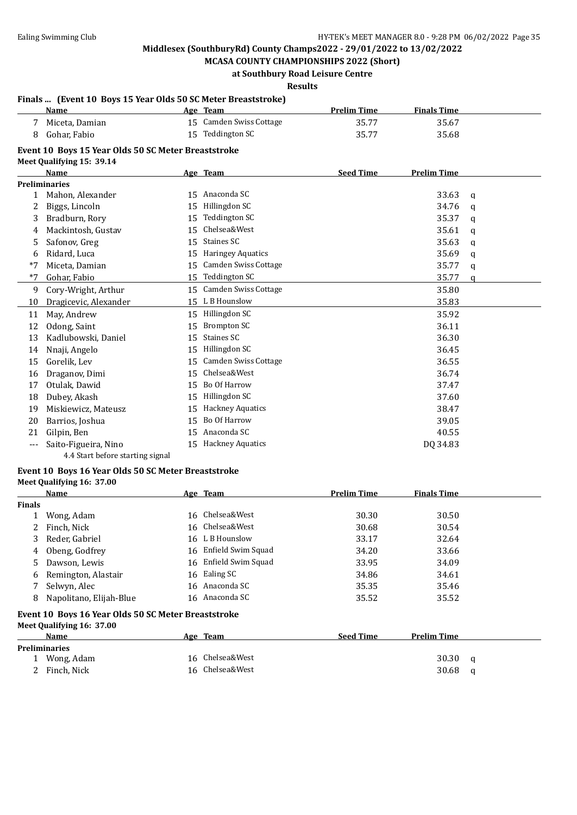**MCASA COUNTY CHAMPIONSHIPS 2022 (Short) at Southbury Road Leisure Centre**

**Results**

|       | Finals  (Event 10 Boys 15 Year Olds 50 SC Meter Breaststroke)                                                                         |    |                             |                    |                    |              |
|-------|---------------------------------------------------------------------------------------------------------------------------------------|----|-----------------------------|--------------------|--------------------|--------------|
|       | Name                                                                                                                                  |    | Age Team                    | <b>Prelim Time</b> | <b>Finals Time</b> |              |
|       | Miceta, Damian                                                                                                                        |    | 15 Camden Swiss Cottage     | 35.77              | 35.67              |              |
| 8     | Gohar, Fabio                                                                                                                          |    | 15 Teddington SC            | 35.77              | 35.68              |              |
|       | Event 10 Boys 15 Year Olds 50 SC Meter Breaststroke                                                                                   |    |                             |                    |                    |              |
|       | Meet Qualifying 15: 39.14<br><b>Name</b>                                                                                              |    | Age Team                    | <b>Seed Time</b>   | <b>Prelim Time</b> |              |
|       | <b>Preliminaries</b>                                                                                                                  |    |                             |                    |                    |              |
| 1     | Mahon, Alexander                                                                                                                      |    | 15 Anaconda SC              |                    | 33.63              | q            |
| 2     | Biggs, Lincoln                                                                                                                        | 15 | Hillingdon SC               |                    | 34.76              | a            |
| 3     | Bradburn, Rory                                                                                                                        | 15 | <b>Teddington SC</b>        |                    | 35.37              | q            |
| 4     | Mackintosh, Gustav                                                                                                                    | 15 | Chelsea&West                |                    | 35.61              | $\mathbf{q}$ |
| 5     | Safonov, Greg                                                                                                                         | 15 | Staines SC                  |                    | 35.63              | a            |
| 6     | Ridard, Luca                                                                                                                          | 15 | <b>Haringey Aquatics</b>    |                    | 35.69              | q            |
| $*7$  | Miceta, Damian                                                                                                                        | 15 | <b>Camden Swiss Cottage</b> |                    | 35.77              | a            |
| $*7$  | Gohar, Fabio                                                                                                                          | 15 | <b>Teddington SC</b>        |                    | 35.77              | $\mathbf{q}$ |
| 9     | Cory-Wright, Arthur                                                                                                                   | 15 | Camden Swiss Cottage        |                    | 35.80              |              |
| 10    | Dragicevic, Alexander                                                                                                                 |    | 15 L B Hounslow             |                    | 35.83              |              |
| 11    | May, Andrew                                                                                                                           | 15 | Hillingdon SC               |                    | 35.92              |              |
| 12    | Odong, Saint                                                                                                                          | 15 | <b>Brompton SC</b>          |                    | 36.11              |              |
| 13    | Kadlubowski, Daniel                                                                                                                   | 15 | <b>Staines SC</b>           |                    | 36.30              |              |
| 14    | Nnaji, Angelo                                                                                                                         | 15 | Hillingdon SC               |                    | 36.45              |              |
| 15    | Gorelik, Lev                                                                                                                          | 15 | Camden Swiss Cottage        |                    | 36.55              |              |
| 16    | Draganov, Dimi                                                                                                                        | 15 | Chelsea&West                |                    | 36.74              |              |
| 17    | Otulak, Dawid                                                                                                                         | 15 | Bo Of Harrow                |                    | 37.47              |              |
| 18    | Dubey, Akash                                                                                                                          | 15 | Hillingdon SC               |                    | 37.60              |              |
| 19    | Miskiewicz, Mateusz                                                                                                                   | 15 | <b>Hackney Aquatics</b>     |                    | 38.47              |              |
| 20    | Barrios, Joshua                                                                                                                       | 15 | Bo Of Harrow                |                    | 39.05              |              |
| 21    | Gilpin, Ben                                                                                                                           |    | 15 Anaconda SC              |                    | 40.55              |              |
| $---$ | Saito-Figueira, Nino                                                                                                                  |    | 15 Hackney Aquatics         |                    | DQ 34.83           |              |
|       | $\overline{A}$ $\overline{A}$ $\overline{C}$ and $\overline{D}$ and $\overline{C}$ are according to $\overline{C}$ and $\overline{C}$ |    |                             |                    |                    |              |

## 4.4 Start before starting signal

## **Event 10 Boys 16 Year Olds 50 SC Meter Breaststroke**

### **Meet Qualifying 16: 37.00**

|               | <b>Name</b>             | Age Team              | <b>Prelim Time</b> | <b>Finals Time</b> |  |
|---------------|-------------------------|-----------------------|--------------------|--------------------|--|
| <b>Finals</b> |                         |                       |                    |                    |  |
|               | Wong, Adam              | 16 Chelsea&West       | 30.30              | 30.50              |  |
|               | 2 Finch, Nick           | 16 Chelsea&West       | 30.68              | 30.54              |  |
| 3             | Reder, Gabriel          | 16 L B Hounslow       | 33.17              | 32.64              |  |
| 4             | Obeng, Godfrey          | 16 Enfield Swim Squad | 34.20              | 33.66              |  |
| 5             | Dawson, Lewis           | 16 Enfield Swim Squad | 33.95              | 34.09              |  |
| 6             | Remington, Alastair     | 16 Ealing SC          | 34.86              | 34.61              |  |
|               | Selwyn, Alec            | 16 Anaconda SC        | 35.35              | 35.46              |  |
| 8             | Napolitano, Elijah-Blue | 16 Anaconda SC        | 35.52              | 35.52              |  |

#### **Event 10 Boys 16 Year Olds 50 SC Meter Breaststroke Meet Qualifying 16: 37.00**

| Name                 | Age Team        | <b>Seed Time</b> | <b>Prelim Time</b> |   |
|----------------------|-----------------|------------------|--------------------|---|
| <b>Preliminaries</b> |                 |                  |                    |   |
| Wong, Adam           | 16 Chelsea&West |                  | 30.30              | a |
| Finch, Nick          | 16 Chelsea&West |                  | 30.68              | a |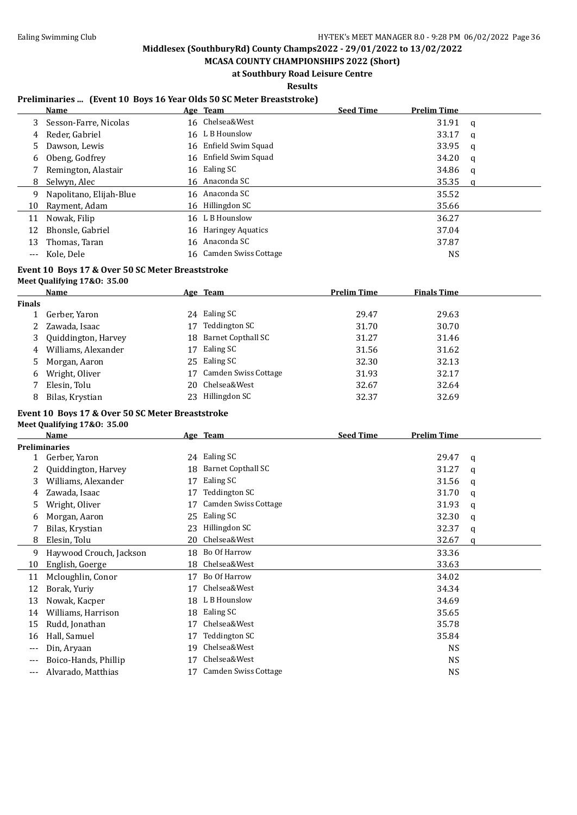**MCASA COUNTY CHAMPIONSHIPS 2022 (Short)**

## **at Southbury Road Leisure Centre**

**Results**

### **Preliminaries ... (Event 10 Boys 16 Year Olds 50 SC Meter Breaststroke)**

|    | Name                    | Age Team                | <b>Seed Time</b> | <b>Prelim Time</b> |   |
|----|-------------------------|-------------------------|------------------|--------------------|---|
| 3. | Sesson-Farre, Nicolas   | 16 Chelsea&West         |                  | 31.91              | q |
| 4  | Reder, Gabriel          | 16 L B Hounslow         |                  | 33.17              | a |
| 5  | Dawson, Lewis           | 16 Enfield Swim Squad   |                  | 33.95              | q |
| 6  | Obeng, Godfrey          | 16 Enfield Swim Squad   |                  | 34.20              | q |
|    | Remington, Alastair     | 16 Ealing SC            |                  | 34.86              | a |
| 8  | Selwyn, Alec            | 16 Anaconda SC          |                  | 35.35              | a |
| 9  | Napolitano, Elijah-Blue | 16 Anaconda SC          |                  | 35.52              |   |
| 10 | Rayment, Adam           | 16 Hillingdon SC        |                  | 35.66              |   |
| 11 | Nowak, Filip            | 16 L B Hounslow         |                  | 36.27              |   |
| 12 | Bhonsle, Gabriel        | 16 Haringey Aquatics    |                  | 37.04              |   |
| 13 | Thomas, Taran           | 16 Anaconda SC          |                  | 37.87              |   |
|    | Kole. Dele              | 16 Camden Swiss Cottage |                  | NS                 |   |

#### **Event 10 Boys 17 & Over 50 SC Meter Breaststroke**

#### **Meet Qualifying 17&O: 35.00**

|               | Name                  |    | Age Team             | <b>Prelim Time</b> | <b>Finals Time</b> |
|---------------|-----------------------|----|----------------------|--------------------|--------------------|
| <b>Finals</b> |                       |    |                      |                    |                    |
|               | Gerber, Yaron         | 24 | Ealing SC            | 29.47              | 29.63              |
|               | 2 Zawada, Isaac       | 17 | Teddington SC        | 31.70              | 30.70              |
|               | 3 Quiddington, Harvey | 18 | Barnet Copthall SC   | 31.27              | 31.46              |
|               | 4 Williams, Alexander | 17 | Ealing SC            | 31.56              | 31.62              |
|               | 5 Morgan, Aaron       |    | 25 Ealing SC         | 32.30              | 32.13              |
|               | 6 Wright, Oliver      | 17 | Camden Swiss Cottage | 31.93              | 32.17              |
|               | Elesin, Tolu          | 20 | Chelsea&West         | 32.67              | 32.64              |
| 8             | Bilas, Krystian       | 23 | Hillingdon SC        | 32.37              | 32.69              |

#### **Event 10 Boys 17 & Over 50 SC Meter Breaststroke Meet Qualifying 17&O: 35.00**

|     | Name                    |    | Age Team                  | <b>Seed Time</b> | <b>Prelim Time</b> |   |
|-----|-------------------------|----|---------------------------|------------------|--------------------|---|
|     | Preliminaries           |    |                           |                  |                    |   |
|     | Gerber, Yaron           | 24 | Ealing SC                 |                  | 29.47              | a |
|     | Quiddington, Harvey     | 18 | <b>Barnet Copthall SC</b> |                  | 31.27              | a |
| 3   | Williams, Alexander     | 17 | Ealing SC                 |                  | 31.56              | q |
| 4   | Zawada, Isaac           | 17 | Teddington SC             |                  | 31.70              | q |
| 5   | Wright, Oliver          | 17 | Camden Swiss Cottage      |                  | 31.93              | a |
| 6   | Morgan, Aaron           | 25 | Ealing SC                 |                  | 32.30              | q |
|     | Bilas, Krystian         | 23 | Hillingdon SC             |                  | 32.37              | q |
| 8   | Elesin, Tolu            | 20 | Chelsea&West              |                  | 32.67              | a |
| 9   | Haywood Crouch, Jackson | 18 | Bo Of Harrow              |                  | 33.36              |   |
| 10  | English, Goerge         | 18 | Chelsea&West              |                  | 33.63              |   |
| 11  | Mcloughlin, Conor       | 17 | Bo Of Harrow              |                  | 34.02              |   |
| 12  | Borak, Yuriy            | 17 | Chelsea&West              |                  | 34.34              |   |
| 13  | Nowak, Kacper           | 18 | L B Hounslow              |                  | 34.69              |   |
| 14  | Williams, Harrison      | 18 | Ealing SC                 |                  | 35.65              |   |
| 15  | Rudd, Jonathan          | 17 | Chelsea&West              |                  | 35.78              |   |
| 16  | Hall, Samuel            | 17 | Teddington SC             |                  | 35.84              |   |
| --- | Din, Aryaan             | 19 | Chelsea&West              |                  | NS.                |   |
| --- | Boico-Hands, Phillip    | 17 | Chelsea&West              |                  | <b>NS</b>          |   |
| --- | Alvarado, Matthias      | 17 | Camden Swiss Cottage      |                  | <b>NS</b>          |   |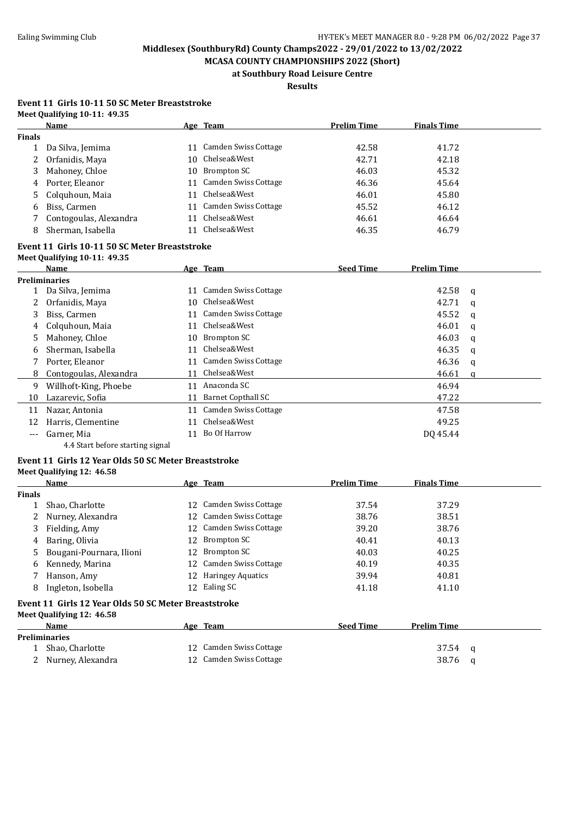**MCASA COUNTY CHAMPIONSHIPS 2022 (Short) at Southbury Road Leisure Centre**

## **Results**

#### **Event 11 Girls 10-11 50 SC Meter Breaststroke Meet Qualifying 10-11: 49.35**

|               | Name                   |     | Age Team                | <b>Prelim Time</b> | <b>Finals Time</b> |  |
|---------------|------------------------|-----|-------------------------|--------------------|--------------------|--|
| <b>Finals</b> |                        |     |                         |                    |                    |  |
|               | Da Silva, Jemima       | 11  | Camden Swiss Cottage    | 42.58              | 41.72              |  |
|               | 2 Orfanidis, Maya      | 10. | Chelsea&West            | 42.71              | 42.18              |  |
| 3             | Mahoney, Chloe         | 10. | Brompton SC             | 46.03              | 45.32              |  |
| 4             | Porter, Eleanor        |     | 11 Camden Swiss Cottage | 46.36              | 45.64              |  |
|               | 5 Colquhoun, Maia      |     | 11 Chelsea&West         | 46.01              | 45.80              |  |
| 6             | Biss, Carmen           |     | 11 Camden Swiss Cottage | 45.52              | 46.12              |  |
|               | Contogoulas, Alexandra | 11  | Chelsea&West            | 46.61              | 46.64              |  |
| 8             | Sherman, Isabella      | 11  | Chelsea&West            | 46.35              | 46.79              |  |

#### **Event 11 Girls 10-11 50 SC Meter Breaststroke Meet Qualifying 10-11: 49.35**

|       | Name                             |    | Age Team             | <b>Seed Time</b> | <b>Prelim Time</b> |   |
|-------|----------------------------------|----|----------------------|------------------|--------------------|---|
|       | <b>Preliminaries</b>             |    |                      |                  |                    |   |
|       | Da Silva, Jemima                 | 11 | Camden Swiss Cottage |                  | 42.58              | a |
|       | Orfanidis, Maya                  | 10 | Chelsea&West         |                  | 42.71              | a |
| 3     | Biss, Carmen                     | 11 | Camden Swiss Cottage |                  | 45.52              | a |
| 4     | Colquhoun, Maia                  | 11 | Chelsea&West         |                  | 46.01              | a |
| 5     | Mahoney, Chloe                   | 10 | Brompton SC          |                  | 46.03              | a |
| 6     | Sherman, Isabella                | 11 | Chelsea&West         |                  | 46.35              | q |
|       | Porter, Eleanor                  | 11 | Camden Swiss Cottage |                  | 46.36              | a |
| 8     | Contogoulas, Alexandra           | 11 | Chelsea&West         |                  | 46.61              | a |
| 9     | Willhoft-King, Phoebe            | 11 | Anaconda SC          |                  | 46.94              |   |
| 10    | Lazarevic, Sofia                 | 11 | Barnet Copthall SC   |                  | 47.22              |   |
| 11    | Nazar, Antonia                   | 11 | Camden Swiss Cottage |                  | 47.58              |   |
| 12    | Harris, Clementine               | 11 | Chelsea&West         |                  | 49.25              |   |
| $---$ | Garner, Mia                      | 11 | Bo Of Harrow         |                  | DO 45.44           |   |
|       | 4.4 Start before starting signal |    |                      |                  |                    |   |

#### **Event 11 Girls 12 Year Olds 50 SC Meter Breaststroke Meet Qualifying 12: 46.58**

|               | Name                                                 |     | Age Team                 | <b>Prelim Time</b> | <b>Finals Time</b> |   |
|---------------|------------------------------------------------------|-----|--------------------------|--------------------|--------------------|---|
| <b>Finals</b> |                                                      |     |                          |                    |                    |   |
|               | Shao, Charlotte                                      | 12  | Camden Swiss Cottage     | 37.54              | 37.29              |   |
|               | Nurney, Alexandra                                    |     | 12 Camden Swiss Cottage  | 38.76              | 38.51              |   |
| 3             | Fielding, Amy                                        |     | 12 Camden Swiss Cottage  | 39.20              | 38.76              |   |
| 4             | Baring, Olivia                                       | 12  | Brompton SC              | 40.41              | 40.13              |   |
| 5.            | Bougani-Pournara, Ilioni                             | 12  | Brompton SC              | 40.03              | 40.25              |   |
| 6             | Kennedy, Marina                                      | 12. | Camden Swiss Cottage     | 40.19              | 40.35              |   |
|               | Hanson, Amy                                          | 12  | <b>Haringey Aquatics</b> | 39.94              | 40.81              |   |
| 8             | Ingleton, Isobella                                   | 12  | Ealing SC                | 41.18              | 41.10              |   |
|               | Event 11 Girls 12 Year Olds 50 SC Meter Breaststroke |     |                          |                    |                    |   |
|               | Meet Qualifying 12: 46.58                            |     |                          |                    |                    |   |
|               | Name                                                 |     | Age Team                 | <b>Seed Time</b>   | <b>Prelim Time</b> |   |
|               | <b>Preliminaries</b>                                 |     |                          |                    |                    |   |
|               | Shao, Charlotte                                      | 12  | Camden Swiss Cottage     |                    | 37.54              | a |
|               | 2 Nurney, Alexandra                                  |     | 12 Camden Swiss Cottage  |                    | 38.76              | a |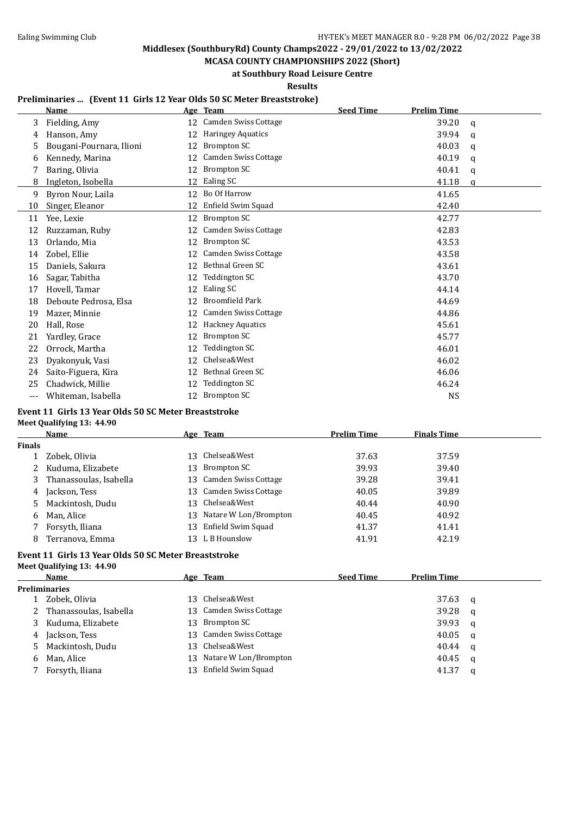**MCASA COUNTY CHAMPIONSHIPS 2022 (Short) at Southbury Road Leisure Centre**

**Results**

#### **Preliminaries ... (Event 11 Girls 12 Year Olds 50 SC Meter Breaststroke)**

|     | <b>Name</b>              |    | Age Team                    | <b>Seed Time</b> | <b>Prelim Time</b> |              |
|-----|--------------------------|----|-----------------------------|------------------|--------------------|--------------|
| 3   | Fielding, Amy            | 12 | <b>Camden Swiss Cottage</b> |                  | 39.20              | a            |
| 4   | Hanson, Amy              | 12 | <b>Haringey Aquatics</b>    |                  | 39.94              | q            |
| 5   | Bougani-Pournara, Ilioni | 12 | Brompton SC                 |                  | 40.03              | $\mathbf{q}$ |
| 6   | Kennedy, Marina          | 12 | <b>Camden Swiss Cottage</b> |                  | 40.19              | q            |
| 7   | Baring, Olivia           | 12 | <b>Brompton SC</b>          |                  | 40.41              | a            |
| 8   | Ingleton, Isobella       | 12 | Ealing SC                   |                  | 41.18              | a            |
| 9   | Byron Nour, Laila        | 12 | Bo Of Harrow                |                  | 41.65              |              |
| 10  | Singer, Eleanor          | 12 | Enfield Swim Squad          |                  | 42.40              |              |
| 11  | Yee, Lexie               | 12 | Brompton SC                 |                  | 42.77              |              |
| 12  | Ruzzaman, Ruby           | 12 | <b>Camden Swiss Cottage</b> |                  | 42.83              |              |
| 13  | Orlando, Mia             | 12 | Brompton SC                 |                  | 43.53              |              |
| 14  | Zobel, Ellie             | 12 | <b>Camden Swiss Cottage</b> |                  | 43.58              |              |
| 15  | Daniels, Sakura          | 12 | Bethnal Green SC            |                  | 43.61              |              |
| 16  | Sagar, Tabitha           | 12 | Teddington SC               |                  | 43.70              |              |
| 17  | Hovell, Tamar            | 12 | Ealing SC                   |                  | 44.14              |              |
| 18  | Deboute Pedrosa, Elsa    | 12 | <b>Broomfield Park</b>      |                  | 44.69              |              |
| 19  | Mazer, Minnie            | 12 | <b>Camden Swiss Cottage</b> |                  | 44.86              |              |
| 20  | Hall, Rose               | 12 | <b>Hackney Aquatics</b>     |                  | 45.61              |              |
| 21  | Yardley, Grace           | 12 | Brompton SC                 |                  | 45.77              |              |
| 22  | Orrock, Martha           | 12 | Teddington SC               |                  | 46.01              |              |
| 23  | Dyakonyuk, Vasi          | 12 | Chelsea&West                |                  | 46.02              |              |
| 24  | Saito-Figuera, Kira      | 12 | Bethnal Green SC            |                  | 46.06              |              |
| 25  | Chadwick, Millie         | 12 | Teddington SC               |                  | 46.24              |              |
| --- | Whiteman, Isabella       | 12 | <b>Brompton SC</b>          |                  | <b>NS</b>          |              |

### **Event 11 Girls 13 Year Olds 50 SC Meter Breaststroke**

| Meet Qualifying 13: 44.90                                                                                               |  |
|-------------------------------------------------------------------------------------------------------------------------|--|
| $\blacksquare$ $\blacksquare$ $\blacksquare$ $\blacksquare$ $\blacksquare$ $\blacksquare$ $\blacksquare$ $\blacksquare$ |  |

|        | <b>Name</b>            | Age Team                 | <b>Prelim Time</b> | <b>Finals Time</b> |
|--------|------------------------|--------------------------|--------------------|--------------------|
| Finals |                        |                          |                    |                    |
|        | Zobek, Olivia          | 13 Chelsea&West          | 37.63              | 37.59              |
| 2      | Kuduma, Elizabete      | 13 Brompton SC           | 39.93              | 39.40              |
|        | Thanassoulas, Isabella | 13 Camden Swiss Cottage  | 39.28              | 39.41              |
| 4      | Jackson, Tess          | 13 Camden Swiss Cottage  | 40.05              | 39.89              |
| 5.     | Mackintosh, Dudu       | 13 Chelsea&West          | 40.44              | 40.90              |
| 6      | Man, Alice             | 13 Natare W Lon/Brompton | 40.45              | 40.92              |
|        | Forsyth, Iliana        | 13 Enfield Swim Squad    | 41.37              | 41.41              |
| 8      | Terranova, Emma        | 13 L B Hounslow          | 41.91              | 42.19              |
|        |                        |                          |                    |                    |

#### **Event 11 Girls 13 Year Olds 50 SC Meter Breaststroke Meet Qualifying 13: 44.90**

|   | <b>Name</b>            |     | Age Team                 | <b>Seed Time</b> | <b>Prelim Time</b> |   |
|---|------------------------|-----|--------------------------|------------------|--------------------|---|
|   | <b>Preliminaries</b>   |     |                          |                  |                    |   |
|   | Zobek, Olivia          | 13. | Chelsea&West             |                  | 37.63              | a |
|   | Thanassoulas, Isabella |     | 13 Camden Swiss Cottage  |                  | 39.28              | q |
| 3 | Kuduma, Elizabete      |     | 13 Brompton SC           |                  | 39.93              | a |
| 4 | Jackson, Tess          |     | 13 Camden Swiss Cottage  |                  | 40.05              | a |
|   | 5 Mackintosh, Dudu     |     | 13 Chelsea&West          |                  | 40.44              | a |
| 6 | Man, Alice             |     | 13 Natare W Lon/Brompton |                  | 40.45              | a |
|   | Forsyth, Iliana        | 13- | Enfield Swim Squad       |                  | 41.37              | a |
|   |                        |     |                          |                  |                    |   |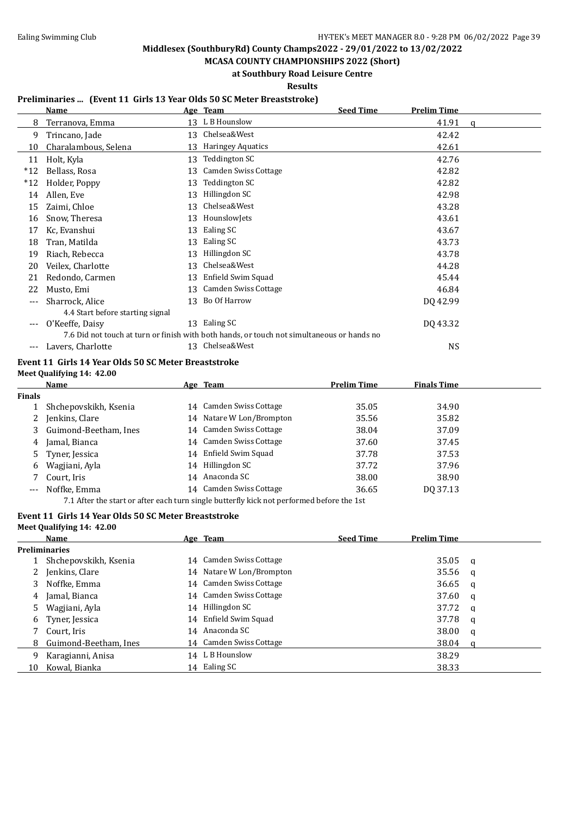**MCASA COUNTY CHAMPIONSHIPS 2022 (Short) at Southbury Road Leisure Centre**

**Results**

#### **Preliminaries ... (Event 11 Girls 13 Year Olds 50 SC Meter Breaststroke)**

|       | Name                             |    | Age Team                                                                                   | <b>Seed Time</b> | <b>Prelim Time</b> |   |
|-------|----------------------------------|----|--------------------------------------------------------------------------------------------|------------------|--------------------|---|
| 8     | Terranova, Emma                  | 13 | L B Hounslow                                                                               |                  | 41.91              | a |
| 9     | Trincano, Jade                   | 13 | Chelsea&West                                                                               |                  | 42.42              |   |
| 10    | Charalambous, Selena             | 13 | <b>Haringey Aquatics</b>                                                                   |                  | 42.61              |   |
| 11    | Holt, Kyla                       | 13 | Teddington SC                                                                              |                  | 42.76              |   |
| $*12$ | Bellass, Rosa                    | 13 | Camden Swiss Cottage                                                                       |                  | 42.82              |   |
| $*12$ | Holder, Poppy                    | 13 | Teddington SC                                                                              |                  | 42.82              |   |
| 14    | Allen, Eve                       | 13 | Hillingdon SC                                                                              |                  | 42.98              |   |
| 15    | Zaimi, Chloe                     | 13 | Chelsea&West                                                                               |                  | 43.28              |   |
| 16    | Snow, Theresa                    | 13 | HounslowJets                                                                               |                  | 43.61              |   |
| 17    | Kc, Evanshui                     | 13 | Ealing SC                                                                                  |                  | 43.67              |   |
| 18    | Tran, Matilda                    | 13 | Ealing SC                                                                                  |                  | 43.73              |   |
| 19    | Riach, Rebecca                   | 13 | Hillingdon SC                                                                              |                  | 43.78              |   |
| 20    | Veilex, Charlotte                | 13 | Chelsea&West                                                                               |                  | 44.28              |   |
| 21    | Redondo, Carmen                  | 13 | Enfield Swim Squad                                                                         |                  | 45.44              |   |
| 22    | Musto, Emi                       | 13 | <b>Camden Swiss Cottage</b>                                                                |                  | 46.84              |   |
| ---   | Sharrock, Alice                  | 13 | Bo Of Harrow                                                                               |                  | DQ 42.99           |   |
|       | 4.4 Start before starting signal |    |                                                                                            |                  |                    |   |
|       | O'Keeffe, Daisy                  | 13 | Ealing SC                                                                                  |                  | DQ 43.32           |   |
|       |                                  |    | 7.6 Did not touch at turn or finish with both hands, or touch not simultaneous or hands no |                  |                    |   |
| ---   | Lavers, Charlotte                |    | 13 Chelsea&West                                                                            |                  | <b>NS</b>          |   |

## **Event 11 Girls 14 Year Olds 50 SC Meter Breaststroke**

**Meet Qualifying 14: 42.00**

**Meet Qualifying 14: 42.00**

|               | Name                    | Age Team                 | Prelim Time | <b>Finals Time</b> |
|---------------|-------------------------|--------------------------|-------------|--------------------|
| <b>Finals</b> |                         |                          |             |                    |
|               | Shchepovskikh, Ksenia   | 14 Camden Swiss Cottage  | 35.05       | 34.90              |
|               | Jenkins, Clare          | 14 Natare W Lon/Brompton | 35.56       | 35.82              |
|               | 3 Guimond-Beetham, Ines | 14 Camden Swiss Cottage  | 38.04       | 37.09              |
| 4             | Jamal, Bianca           | 14 Camden Swiss Cottage  | 37.60       | 37.45              |
|               | 5 Tyner, Jessica        | 14 Enfield Swim Squad    | 37.78       | 37.53              |
| 6             | Wagjiani, Ayla          | 14 Hillingdon SC         | 37.72       | 37.96              |
| 7             | Court, Iris             | 14 Anaconda SC           | 38.00       | 38.90              |
| $---$         | Noffke, Emma            | 14 Camden Swiss Cottage  | 36.65       | DQ 37.13           |

7.1 After the start or after each turn single butterfly kick not performed before the 1st

#### **Event 11 Girls 14 Year Olds 50 SC Meter Breaststroke**

|    | <b>Name</b>             |  | Age Team                 | <b>Seed Time</b> | <b>Prelim Time</b> |     |  |  |  |
|----|-------------------------|--|--------------------------|------------------|--------------------|-----|--|--|--|
|    | <b>Preliminaries</b>    |  |                          |                  |                    |     |  |  |  |
|    | Shchepovskikh, Ksenia   |  | 14 Camden Swiss Cottage  |                  | 35.05              | - a |  |  |  |
| 2  | Jenkins, Clare          |  | 14 Natare W Lon/Brompton |                  | 35.56              | - a |  |  |  |
|    | Noffke, Emma            |  | 14 Camden Swiss Cottage  |                  | 36.65              | - a |  |  |  |
| 4  | Jamal, Bianca           |  | 14 Camden Swiss Cottage  |                  | 37.60              | q   |  |  |  |
|    | Wagjiani, Ayla          |  | 14 Hillingdon SC         |                  | 37.72              | - a |  |  |  |
| 6  | Tyner, Jessica          |  | 14 Enfield Swim Squad    |                  | 37.78              | q   |  |  |  |
|    | Court, Iris             |  | 14 Anaconda SC           |                  | 38.00              | q   |  |  |  |
|    | 8 Guimond-Beetham, Ines |  | 14 Camden Swiss Cottage  |                  | 38.04              |     |  |  |  |
| 9  | Karagianni, Anisa       |  | 14 L B Hounslow          |                  | 38.29              |     |  |  |  |
| 10 | Kowal, Bianka           |  | 14 Ealing SC             |                  | 38.33              |     |  |  |  |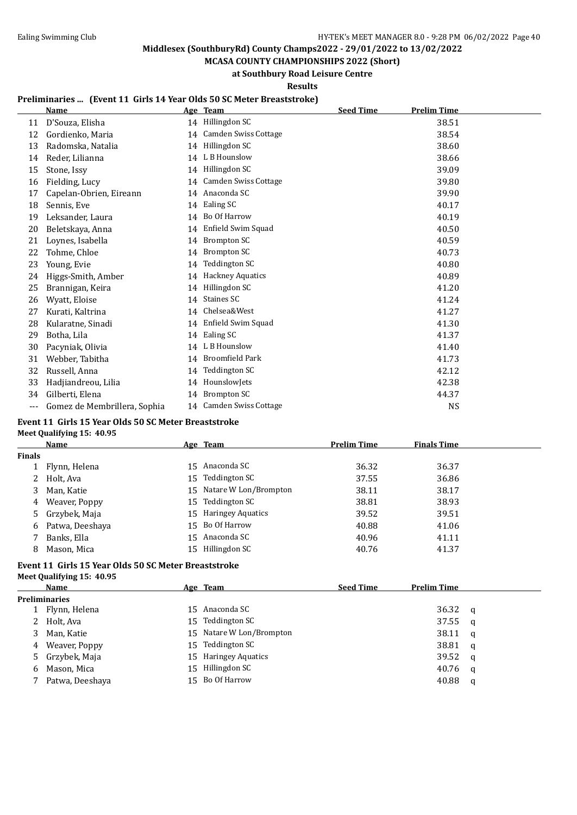**MCASA COUNTY CHAMPIONSHIPS 2022 (Short) at Southbury Road Leisure Centre**

**Results**

#### **Preliminaries ... (Event 11 Girls 14 Year Olds 50 SC Meter Breaststroke)**

|       | <b>Name</b>                  |    | Age Team                    | <b>Seed Time</b> | <b>Prelim Time</b> |  |
|-------|------------------------------|----|-----------------------------|------------------|--------------------|--|
| 11    | D'Souza, Elisha              | 14 | Hillingdon SC               |                  | 38.51              |  |
| 12    | Gordienko, Maria             | 14 | <b>Camden Swiss Cottage</b> |                  | 38.54              |  |
| 13    | Radomska, Natalia            | 14 | Hillingdon SC               |                  | 38.60              |  |
| 14    | Reder, Lilianna              | 14 | L B Hounslow                |                  | 38.66              |  |
| 15    | Stone, Issy                  | 14 | Hillingdon SC               |                  | 39.09              |  |
| 16    | Fielding, Lucy               | 14 | Camden Swiss Cottage        |                  | 39.80              |  |
| 17    | Capelan-Obrien, Eireann      | 14 | Anaconda SC                 |                  | 39.90              |  |
| 18    | Sennis, Eve                  | 14 | Ealing SC                   |                  | 40.17              |  |
| 19    | Leksander, Laura             | 14 | Bo Of Harrow                |                  | 40.19              |  |
| 20    | Beletskaya, Anna             | 14 | Enfield Swim Squad          |                  | 40.50              |  |
| 21    | Loynes, Isabella             | 14 | <b>Brompton SC</b>          |                  | 40.59              |  |
| 22    | Tohme, Chloe                 | 14 | <b>Brompton SC</b>          |                  | 40.73              |  |
| 23    | Young, Evie                  | 14 | <b>Teddington SC</b>        |                  | 40.80              |  |
| 24    | Higgs-Smith, Amber           | 14 | <b>Hackney Aquatics</b>     |                  | 40.89              |  |
| 25    | Brannigan, Keira             | 14 | Hillingdon SC               |                  | 41.20              |  |
| 26    | Wyatt, Eloise                | 14 | Staines SC                  |                  | 41.24              |  |
| 27    | Kurati, Kaltrina             | 14 | Chelsea&West                |                  | 41.27              |  |
| 28    | Kularatne, Sinadi            | 14 | Enfield Swim Squad          |                  | 41.30              |  |
| 29    | Botha, Lila                  | 14 | Ealing SC                   |                  | 41.37              |  |
| 30    | Pacyniak, Olivia             |    | 14 L B Hounslow             |                  | 41.40              |  |
| 31    | Webber. Tabitha              | 14 | Broomfield Park             |                  | 41.73              |  |
| 32    | Russell, Anna                | 14 | <b>Teddington SC</b>        |                  | 42.12              |  |
| 33    | Hadjiandreou, Lilia          | 14 | HounslowJets                |                  | 42.38              |  |
| 34    | Gilberti, Elena              | 14 | <b>Brompton SC</b>          |                  | 44.37              |  |
| $---$ | Gomez de Membrillera, Sophia |    | 14 Camden Swiss Cottage     |                  | <b>NS</b>          |  |

#### **Event 11 Girls 15 Year Olds 50 SC Meter Breaststroke Meet Qualifying 15: 40.95**

**Name Age Team Prelim Time Finals Time Finals** 1 Flynn, Helena 15 Anaconda SC 36.32 36.37 2 Holt, Ava 15 Teddington SC 37.55 36.86 Man, Katie 15 Natare W Lon/Brompton 38.11 38.17 4 Weaver, Poppy 15 Teddington SC 38.81 38.93 Grzybek, Maja 15 Haringey Aquatics 39.52 39.51 6 Patwa, Deeshaya 15 Bo Of Harrow 40.88 41.06 Banks, Ella 15 Anaconda SC 40.96 41.11 8 Mason, Mica 15 Hillingdon SC 40.76 41.37

#### **Event 11 Girls 15 Year Olds 50 SC Meter Breaststroke Meet Qualifying 15: 40.95**

|                      | Name            |  | Age Team                 | <b>Seed Time</b> | <b>Prelim Time</b> |          |  |  |  |
|----------------------|-----------------|--|--------------------------|------------------|--------------------|----------|--|--|--|
| <b>Preliminaries</b> |                 |  |                          |                  |                    |          |  |  |  |
|                      | Flynn, Helena   |  | 15 Anaconda SC           |                  | 36.32              | - a      |  |  |  |
|                      | 2 Holt, Ava     |  | 15 Teddington SC         |                  | 37.55              | $\alpha$ |  |  |  |
|                      | 3 Man, Katie    |  | 15 Natare W Lon/Brompton |                  | 38.11              | <b>a</b> |  |  |  |
|                      | 4 Weaver, Poppy |  | 15 Teddington SC         |                  | 38.81              | - a      |  |  |  |
|                      | 5 Grzybek, Maja |  | 15 Haringey Aquatics     |                  | 39.52              | - a      |  |  |  |
| 6                    | Mason, Mica     |  | 15 Hillingdon SC         |                  | 40.76              | - a      |  |  |  |
|                      | Patwa, Deeshaya |  | 15 Bo Of Harrow          |                  | 40.88              | - a      |  |  |  |
|                      |                 |  |                          |                  |                    |          |  |  |  |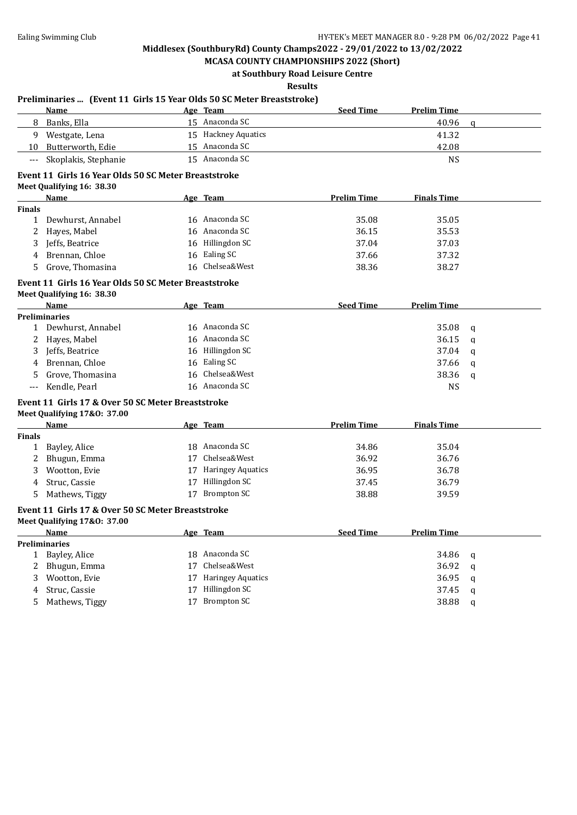**MCASA COUNTY CHAMPIONSHIPS 2022 (Short) at Southbury Road Leisure Centre**

**Results**

### **Name Age Team Seed Time Prelim Time** 8 Banks, Ella 15 Anaconda SC 40.96 q 9 Westgate, Lena 15 Hackney Aquatics 41.32 10 Butterworth, Edie 15 Anaconda SC 42.08 --- Skoplakis, Stephanie 15 Anaconda SC NS **Event 11 Girls 16 Year Olds 50 SC Meter Breaststroke Meet Qualifying 16: 38.30 Name Age Team Prelim Time Finals Time Finals** 1 Dewhurst, Annabel 16 Anaconda SC 35.08 35.05 2 Hayes, Mabel 2 16 Anaconda SC 36.15 35.53 3 Jeffs, Beatrice 16 Hillingdon SC 37.04 37.03 4 Brennan, Chloe 16 Ealing SC 37.66 37.32 5 Grove, Thomasina 16 Chelsea&West 38.36 38.27 **Event 11 Girls 16 Year Olds 50 SC Meter Breaststroke Meet Qualifying 16: 38.30 Name Age Team Seed Time Prelim Time Preliminaries** 1 Dewhurst, Annabel 16 Anaconda SC 35.08 q 2 Hayes, Mabel 2 2 Hayes, Mabel 2 2 Hayes, Mabel 2 2 Hayes, Mabel 36.15 q 3 Jeffs, Beatrice 237.04 a 16 Hillingdon SC 37.04 q 4 Brennan, Chloe 16 Ealing SC 37.66 q 5 Grove, Thomasina 16 Chelsea&West 38.36 q --- Kendle, Pearl 16 Anaconda SC NS **Event 11 Girls 17 & Over 50 SC Meter Breaststroke Meet Qualifying 17&O: 37.00 Name Age Team Prelim Time Finals Time Finals** 1 Bayley, Alice 18 Anaconda SC 34.86 35.04 2 Bhugun, Emma 17 Chelsea&West 36.92 36.76 3 Wootton, Evie 17 Haringey Aquatics 36.95 36.78 4 Struc, Cassie 26.79 17 Hillingdon SC 37.45 36.79 5 Mathews, Tiggy 39.59 17 Brompton SC 38.88 39.59 **Event 11 Girls 17 & Over 50 SC Meter Breaststroke Meet Qualifying 17&O: 37.00 Name Age Team Seed Time Prelim Time Preliminaries** 1 Bayley, Alice 234.86 q 34.86 q 2 Bhugun, Emma 17 Chelsea&West 36.92 q 3 Wootton, Evie 17 Haringey Aquatics 36.95 q 4 Struc, Cassie 27 37.45 quality 37.45 quality 37.45 quality 37.45 quality 37.45 quality 37.45 quality 37.45 quality 37.45 quality 37.45 quality 37.45 quality 37.45 quality 37.45 quality 37.45 quality 37.45 quality 37.45 q 5 Mathews, Tiggy 17 Brompton SC 38.88 q

#### **Preliminaries ... (Event 11 Girls 15 Year Olds 50 SC Meter Breaststroke)**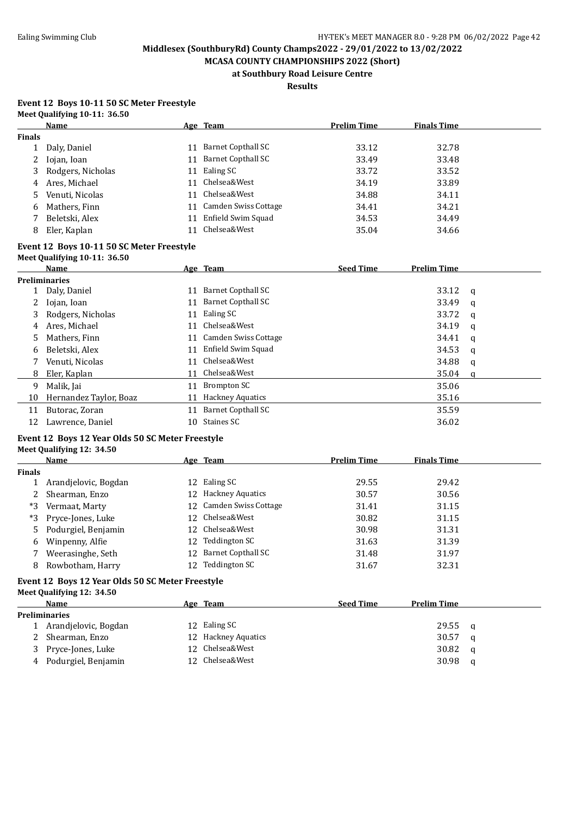**MCASA COUNTY CHAMPIONSHIPS 2022 (Short) at Southbury Road Leisure Centre**

**Results**

#### **Event 12 Boys 10-11 50 SC Meter Freestyle Meet Qualifying 10-11: 36.50**

|               | Name              |    | Age Team                | <b>Prelim Time</b> | <b>Finals Time</b> |  |
|---------------|-------------------|----|-------------------------|--------------------|--------------------|--|
| <b>Finals</b> |                   |    |                         |                    |                    |  |
|               | Daly, Daniel      | 11 | Barnet Copthall SC      | 33.12              | 32.78              |  |
| 2             | Iojan, Ioan       |    | 11 Barnet Copthall SC   | 33.49              | 33.48              |  |
| 3             | Rodgers, Nicholas |    | 11 Ealing SC            | 33.72              | 33.52              |  |
| 4             | Ares, Michael     | 11 | Chelsea&West            | 34.19              | 33.89              |  |
| 5.            | Venuti, Nicolas   |    | 11 Chelsea&West         | 34.88              | 34.11              |  |
| 6             | Mathers, Finn     |    | 11 Camden Swiss Cottage | 34.41              | 34.21              |  |
|               | Beletski, Alex    | 11 | Enfield Swim Squad      | 34.53              | 34.49              |  |
| 8             | Eler, Kaplan      | 11 | Chelsea&West            | 35.04              | 34.66              |  |

#### **Event 12 Boys 10-11 50 SC Meter Freestyle Meet Qualifying 10-11: 36.50**

|                      | Name                   |    | Age Team                  | <b>Seed Time</b> | <b>Prelim Time</b> |          |  |  |
|----------------------|------------------------|----|---------------------------|------------------|--------------------|----------|--|--|
|                      | <b>Preliminaries</b>   |    |                           |                  |                    |          |  |  |
|                      | 1 Daly, Daniel         | 11 | Barnet Copthall SC        |                  | 33.12              | <b>q</b> |  |  |
| $\mathbf{2}^{\circ}$ | Iojan, Ioan            | 11 | Barnet Copthall SC        |                  | 33.49              | q        |  |  |
| 3                    | Rodgers, Nicholas      | 11 | Ealing SC                 |                  | 33.72              | a        |  |  |
| 4                    | Ares, Michael          | 11 | Chelsea&West              |                  | 34.19              | q        |  |  |
| 5                    | Mathers, Finn          | 11 | Camden Swiss Cottage      |                  | 34.41              | a        |  |  |
| 6                    | Beletski, Alex         | 11 | Enfield Swim Squad        |                  | 34.53              | q        |  |  |
|                      | Venuti, Nicolas        | 11 | Chelsea&West              |                  | 34.88              | a        |  |  |
| 8                    | Eler, Kaplan           | 11 | Chelsea&West              |                  | 35.04              | a        |  |  |
| 9                    | Malik, Jai             | 11 | Brompton SC               |                  | 35.06              |          |  |  |
| 10                   | Hernandez Taylor, Boaz | 11 | <b>Hackney Aquatics</b>   |                  | 35.16              |          |  |  |
| 11                   | Butorac, Zoran         | 11 | <b>Barnet Copthall SC</b> |                  | 35.59              |          |  |  |
| 12                   | Lawrence, Daniel       | 10 | Staines SC                |                  | 36.02              |          |  |  |

#### **Event 12 Boys 12 Year Olds 50 SC Meter Freestyle**

#### **Meet Qualifying 12: 34.50**

|        | <b>Name</b>           | Age Team                | <b>Prelim Time</b> | <b>Finals Time</b> |
|--------|-----------------------|-------------------------|--------------------|--------------------|
| Finals |                       |                         |                    |                    |
|        | Arandjelovic, Bogdan  | 12 Ealing SC            | 29.55              | 29.42              |
|        | Shearman, Enzo        | 12 Hackney Aquatics     | 30.57              | 30.56              |
| *3     | Vermaat, Marty        | 12 Camden Swiss Cottage | 31.41              | 31.15              |
|        | *3 Pryce-Jones, Luke  | 12 Chelsea&West         | 30.82              | 31.15              |
|        | 5 Podurgiel, Benjamin | 12 Chelsea&West         | 30.98              | 31.31              |
| 6      | Winpenny, Alfie       | 12 Teddington SC        | 31.63              | 31.39              |
|        | Weerasinghe, Seth     | 12 Barnet Copthall SC   | 31.48              | 31.97              |
| 8      | Rowbotham, Harry      | Teddington SC           | 31.67              | 32.31              |

#### **Event 12 Boys 12 Year Olds 50 SC Meter Freestyle Meet Qualifying 12: 34.50**

|               | Name                 |  | <u>Age Team</u>     | <b>Seed Time</b> | <b>Prelim Time</b> |   |  |  |  |
|---------------|----------------------|--|---------------------|------------------|--------------------|---|--|--|--|
| Preliminaries |                      |  |                     |                  |                    |   |  |  |  |
|               | Arandjelovic, Bogdan |  | 12 Ealing SC        |                  | 29.55              | q |  |  |  |
|               | Shearman, Enzo       |  | 12 Hackney Aquatics |                  | 30.57              | a |  |  |  |
| 3             | Pryce-Jones, Luke    |  | 12 Chelsea&West     |                  | 30.82              | a |  |  |  |
| 4             | Podurgiel, Benjamin  |  | 12 Chelsea&West     |                  | 30.98              | a |  |  |  |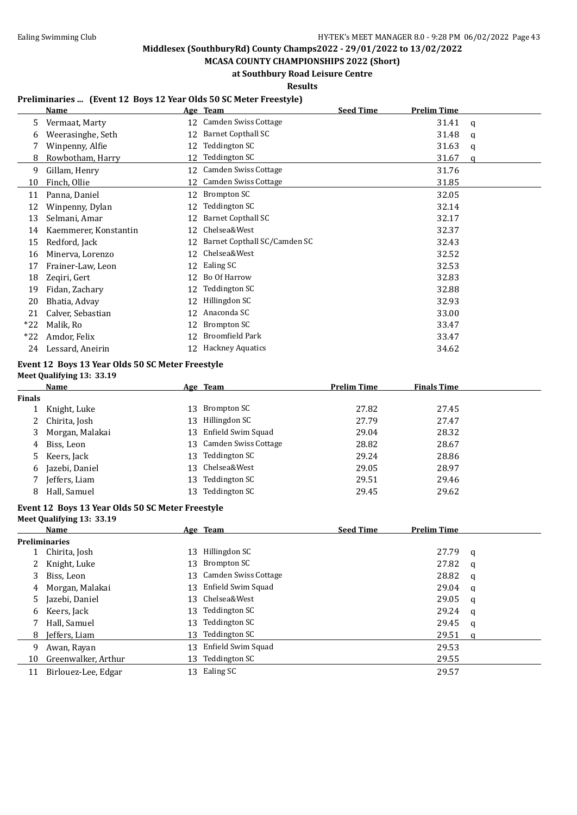**MCASA COUNTY CHAMPIONSHIPS 2022 (Short) at Southbury Road Leisure Centre**

**Results**

#### **Preliminaries ... (Event 12 Boys 12 Year Olds 50 SC Meter Freestyle)**

|       | Name                  |    | Age Team                     | <b>Seed Time</b> | <b>Prelim Time</b> |   |
|-------|-----------------------|----|------------------------------|------------------|--------------------|---|
| 5     | Vermaat, Marty        |    | 12 Camden Swiss Cottage      |                  | 31.41              | q |
| 6     | Weerasinghe, Seth     | 12 | <b>Barnet Copthall SC</b>    |                  | 31.48              | q |
|       | Winpenny, Alfie       | 12 | Teddington SC                |                  | 31.63              | q |
| 8     | Rowbotham, Harry      | 12 | Teddington SC                |                  | 31.67              | a |
| 9     | Gillam, Henry         | 12 | Camden Swiss Cottage         |                  | 31.76              |   |
| 10    | Finch, Ollie          | 12 | Camden Swiss Cottage         |                  | 31.85              |   |
| 11    | Panna, Daniel         | 12 | Brompton SC                  |                  | 32.05              |   |
| 12    | Winpenny, Dylan       | 12 | Teddington SC                |                  | 32.14              |   |
| 13    | Selmani, Amar         | 12 | <b>Barnet Copthall SC</b>    |                  | 32.17              |   |
| 14    | Kaemmerer, Konstantin | 12 | Chelsea&West                 |                  | 32.37              |   |
| 15    | Redford, Jack         | 12 | Barnet Copthall SC/Camden SC |                  | 32.43              |   |
| 16    | Minerva, Lorenzo      | 12 | Chelsea&West                 |                  | 32.52              |   |
| 17    | Frainer-Law, Leon     | 12 | Ealing SC                    |                  | 32.53              |   |
| 18    | Zeqiri, Gert          | 12 | Bo Of Harrow                 |                  | 32.83              |   |
| 19    | Fidan, Zachary        | 12 | Teddington SC                |                  | 32.88              |   |
| 20    | Bhatia, Advay         | 12 | Hillingdon SC                |                  | 32.93              |   |
| 21    | Calver, Sebastian     | 12 | Anaconda SC                  |                  | 33.00              |   |
| $*22$ | Malik, Ro             | 12 | <b>Brompton SC</b>           |                  | 33.47              |   |
| $*22$ | Amdor, Felix          | 12 | <b>Broomfield Park</b>       |                  | 33.47              |   |
| 24    | Lessard, Aneirin      |    | 12 Hackney Aquatics          |                  | 34.62              |   |

## **Event 12 Boys 13 Year Olds 50 SC Meter Freestyle**

**Meet Qualifying 13: 33.19**

|               | Name            |     | Age Team                | <b>Prelim Time</b> | <b>Finals Time</b> |  |
|---------------|-----------------|-----|-------------------------|--------------------|--------------------|--|
| <b>Finals</b> |                 |     |                         |                    |                    |  |
|               | Knight, Luke    | 13  | Brompton SC             | 27.82              | 27.45              |  |
|               | 2 Chirita, Josh | 13  | Hillingdon SC           | 27.79              | 27.47              |  |
| 3             | Morgan, Malakai |     | 13 Enfield Swim Squad   | 29.04              | 28.32              |  |
| 4             | Biss, Leon      |     | 13 Camden Swiss Cottage | 28.82              | 28.67              |  |
|               | 5 Keers, Jack   | 13. | Teddington SC           | 29.24              | 28.86              |  |
| 6             | Jazebi, Daniel  |     | 13 Chelsea&West         | 29.05              | 28.97              |  |
|               | Jeffers, Liam   | 13  | Teddington SC           | 29.51              | 29.46              |  |
| 8             | Hall, Samuel    |     | Teddington SC           | 29.45              | 29.62              |  |

#### **Event 12 Boys 13 Year Olds 50 SC Meter Freestyle Meet Qualifying 13: 33.19**

|    | <b>Name</b>          |     | Age Team                | <b>Seed Time</b> | <b>Prelim Time</b> |   |
|----|----------------------|-----|-------------------------|------------------|--------------------|---|
|    | <b>Preliminaries</b> |     |                         |                  |                    |   |
|    | 1 Chirita, Josh      | 13  | Hillingdon SC           |                  | 27.79              | a |
|    | Knight, Luke         |     | 13 Brompton SC          |                  | 27.82              | a |
| 3  | Biss, Leon           |     | 13 Camden Swiss Cottage |                  | 28.82              | q |
| 4  | Morgan, Malakai      |     | 13 Enfield Swim Squad   |                  | 29.04              | q |
| 5. | Jazebi, Daniel       |     | 13 Chelsea&West         |                  | 29.05              | q |
| 6  | Keers, Jack          | 13  | Teddington SC           |                  | 29.24              | q |
|    | Hall, Samuel         | 13. | Teddington SC           |                  | 29.45              | q |
| 8  | Jeffers, Liam        | 13  | Teddington SC           |                  | 29.51              | a |
| 9  | Awan, Rayan          | 13- | Enfield Swim Squad      |                  | 29.53              |   |
| 10 | Greenwalker, Arthur  | 13  | Teddington SC           |                  | 29.55              |   |
| 11 | Birlouez-Lee, Edgar  | 13  | Ealing SC               |                  | 29.57              |   |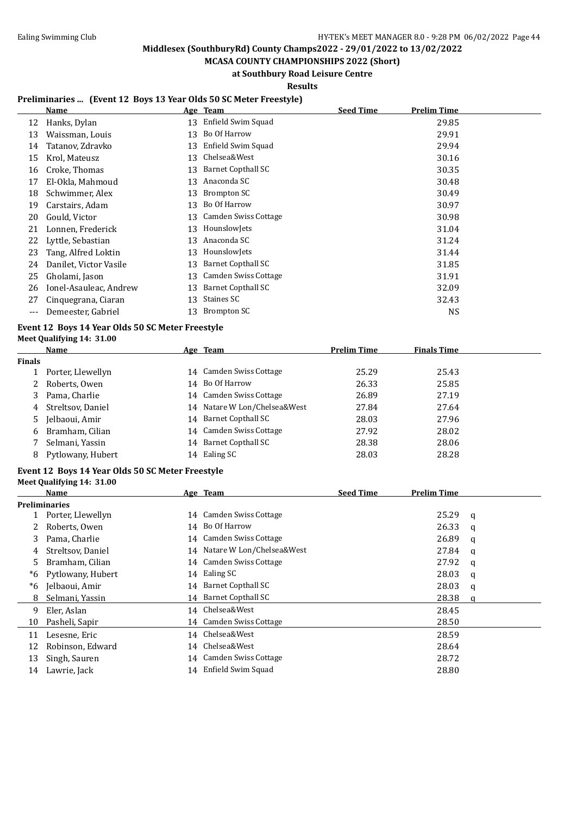**MCASA COUNTY CHAMPIONSHIPS 2022 (Short) at Southbury Road Leisure Centre**

**Results**

#### **Preliminaries ... (Event 12 Boys 13 Year Olds 50 SC Meter Freestyle)**

|     | Name                   |    | Age Team             | <b>Seed Time</b> | <b>Prelim Time</b> |
|-----|------------------------|----|----------------------|------------------|--------------------|
| 12  | Hanks, Dylan           | 13 | Enfield Swim Squad   |                  | 29.85              |
| 13  | Waissman, Louis        | 13 | Bo Of Harrow         |                  | 29.91              |
| 14  | Tatanov, Zdravko       | 13 | Enfield Swim Squad   |                  | 29.94              |
| 15  | Krol, Mateusz          | 13 | Chelsea&West         |                  | 30.16              |
| 16  | Croke, Thomas          | 13 | Barnet Copthall SC   |                  | 30.35              |
| 17  | El-Okla, Mahmoud       | 13 | Anaconda SC          |                  | 30.48              |
| 18  | Schwimmer, Alex        | 13 | Brompton SC          |                  | 30.49              |
| 19  | Carstairs, Adam        | 13 | Bo Of Harrow         |                  | 30.97              |
| 20  | Gould, Victor          | 13 | Camden Swiss Cottage |                  | 30.98              |
| 21  | Lonnen, Frederick      | 13 | HounslowJets         |                  | 31.04              |
| 22  | Lyttle, Sebastian      | 13 | Anaconda SC          |                  | 31.24              |
| 23  | Tang, Alfred Loktin    | 13 | HounslowJets         |                  | 31.44              |
| 24  | Danilet, Victor Vasile | 13 | Barnet Copthall SC   |                  | 31.85              |
| 25  | Gholami, Jason         | 13 | Camden Swiss Cottage |                  | 31.91              |
| 26  | Ionel-Asauleac, Andrew | 13 | Barnet Copthall SC   |                  | 32.09              |
| 27  | Cinquegrana, Ciaran    | 13 | Staines SC           |                  | 32.43              |
| --- | Demeester, Gabriel     | 13 | Brompton SC          |                  | <b>NS</b>          |

#### **Event 12 Boys 14 Year Olds 50 SC Meter Freestyle Meet Qualifying 14: 31.00**

| <b>Name</b>       |  | <b>Prelim Time</b>                                                                                                                                                                                             | <b>Finals Time</b> |
|-------------------|--|----------------------------------------------------------------------------------------------------------------------------------------------------------------------------------------------------------------|--------------------|
|                   |  |                                                                                                                                                                                                                |                    |
| Porter, Llewellyn |  | 25.29                                                                                                                                                                                                          | 25.43              |
| Roberts, Owen     |  | 26.33                                                                                                                                                                                                          | 25.85              |
| Pama, Charlie     |  | 26.89                                                                                                                                                                                                          | 27.19              |
| Streltsov, Daniel |  | 27.84                                                                                                                                                                                                          | 27.64              |
| Jelbaoui, Amir    |  | 28.03                                                                                                                                                                                                          | 27.96              |
| Bramham, Cilian   |  | 27.92                                                                                                                                                                                                          | 28.02              |
| Selmani, Yassin   |  | 28.38                                                                                                                                                                                                          | 28.06              |
| Pytlowany, Hubert |  | 28.03                                                                                                                                                                                                          | 28.28              |
|                   |  | Age Team<br>14 Camden Swiss Cottage<br>14 Bo Of Harrow<br>14 Camden Swiss Cottage<br>14 Natare W Lon/Chelsea&West<br>14 Barnet Copthall SC<br>14 Camden Swiss Cottage<br>14 Barnet Copthall SC<br>14 Ealing SC |                    |

#### **Event 12 Boys 14 Year Olds 50 SC Meter Freestyle Meet Qualifying 14: 31.00**

|    | Name                 |    | Age Team                     | <b>Seed Time</b> | Prelim Time |   |
|----|----------------------|----|------------------------------|------------------|-------------|---|
|    | <b>Preliminaries</b> |    |                              |                  |             |   |
|    | Porter, Llewellyn    |    | 14 Camden Swiss Cottage      |                  | 25.29       | q |
|    | Roberts, Owen        |    | 14 Bo Of Harrow              |                  | 26.33       | a |
| 3  | Pama, Charlie        |    | 14 Camden Swiss Cottage      |                  | 26.89       | q |
| 4  | Streltsov, Daniel    |    | 14 Natare W Lon/Chelsea&West |                  | 27.84       | a |
| 5. | Bramham, Cilian      |    | 14 Camden Swiss Cottage      |                  | 27.92       | q |
| *6 | Pytlowany, Hubert    |    | 14 Ealing SC                 |                  | 28.03       | a |
| *6 | Jelbaoui, Amir       |    | 14 Barnet Copthall SC        |                  | 28.03       | q |
| 8  | Selmani, Yassin      |    | 14 Barnet Copthall SC        |                  | 28.38       | a |
| 9  | Eler, Aslan          |    | 14 Chelsea&West              |                  | 28.45       |   |
| 10 | Pasheli, Sapir       |    | 14 Camden Swiss Cottage      |                  | 28.50       |   |
| 11 | Lesesne, Eric        |    | 14 Chelsea&West              |                  | 28.59       |   |
| 12 | Robinson, Edward     | 14 | Chelsea&West                 |                  | 28.64       |   |
| 13 | Singh, Sauren        |    | 14 Camden Swiss Cottage      |                  | 28.72       |   |
| 14 | Lawrie, Jack         | 14 | Enfield Swim Squad           |                  | 28.80       |   |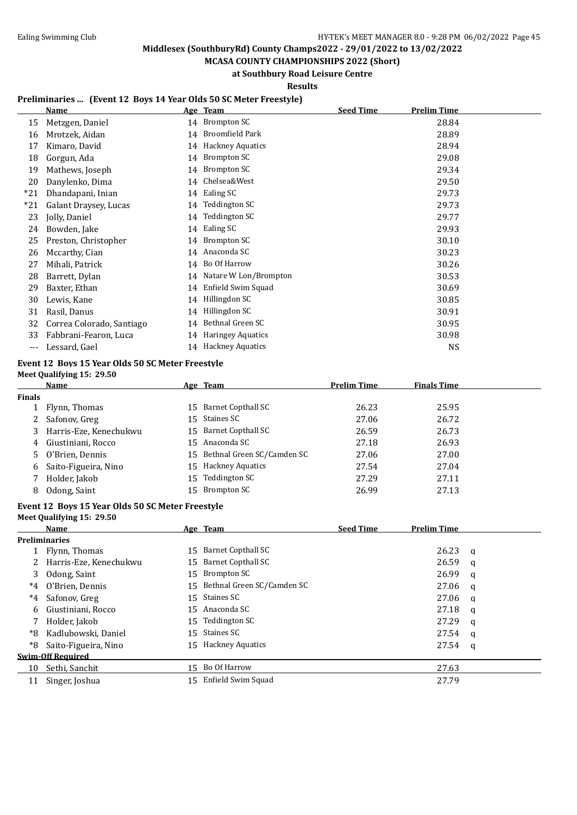**MCASA COUNTY CHAMPIONSHIPS 2022 (Short) at Southbury Road Leisure Centre**

**Results**

#### **Preliminaries ... (Event 12 Boys 14 Year Olds 50 SC Meter Freestyle)**

|       | Name                      |    | Age Team                 | <b>Seed Time</b> | <b>Prelim Time</b> |
|-------|---------------------------|----|--------------------------|------------------|--------------------|
| 15    | Metzgen, Daniel           |    | 14 Brompton SC           |                  | 28.84              |
| 16    | Mrotzek, Aidan            | 14 | Broomfield Park          |                  | 28.89              |
| 17    | Kimaro, David             | 14 | <b>Hackney Aquatics</b>  |                  | 28.94              |
| 18    | Gorgun, Ada               | 14 | Brompton SC              |                  | 29.08              |
| 19    | Mathews, Joseph           | 14 | Brompton SC              |                  | 29.34              |
| 20    | Danylenko, Dima           | 14 | Chelsea&West             |                  | 29.50              |
| $*21$ | Dhandapani, Inian         | 14 | Ealing SC                |                  | 29.73              |
| *21   | Galant Draysey, Lucas     | 14 | Teddington SC            |                  | 29.73              |
| 23    | Jolly, Daniel             | 14 | <b>Teddington SC</b>     |                  | 29.77              |
| 24    | Bowden, Jake              | 14 | Ealing SC                |                  | 29.93              |
| 25    | Preston, Christopher      | 14 | Brompton SC              |                  | 30.10              |
| 26    | Mccarthy, Cian            | 14 | Anaconda SC              |                  | 30.23              |
| 27    | Mihali, Patrick           | 14 | Bo Of Harrow             |                  | 30.26              |
| 28    | Barrett, Dylan            | 14 | Natare W Lon/Brompton    |                  | 30.53              |
| 29    | Baxter, Ethan             | 14 | Enfield Swim Squad       |                  | 30.69              |
| 30    | Lewis, Kane               | 14 | Hillingdon SC            |                  | 30.85              |
| 31    | Rasil, Danus              | 14 | Hillingdon SC            |                  | 30.91              |
| 32    | Correa Colorado, Santiago | 14 | Bethnal Green SC         |                  | 30.95              |
| 33    | Fabbrani-Fearon, Luca     | 14 | <b>Haringey Aquatics</b> |                  | 30.98              |
| ---   | Lessard, Gael             |    | 14 Hackney Aquatics      |                  | <b>NS</b>          |

## **Event 12 Boys 15 Year Olds 50 SC Meter Freestyle**

**Meet Qualifying 15: 29.50**

|               | Name                     |    | Age Team                      | <b>Prelim Time</b> | <b>Finals Time</b> |  |
|---------------|--------------------------|----|-------------------------------|--------------------|--------------------|--|
| <b>Finals</b> |                          |    |                               |                    |                    |  |
|               | 1 Flynn, Thomas          |    | 15 Barnet Copthall SC         | 26.23              | 25.95              |  |
|               | 2 Safonov, Greg          |    | 15 Staines SC                 | 27.06              | 26.72              |  |
|               | 3 Harris-Eze, Kenechukwu |    | 15 Barnet Copthall SC         | 26.59              | 26.73              |  |
|               | 4 Giustiniani, Rocco     |    | 15 Anaconda SC                | 27.18              | 26.93              |  |
|               | 5 O'Brien, Dennis        |    | 15 Bethnal Green SC/Camden SC | 27.06              | 27.00              |  |
| 6             | Saito-Figueira, Nino     |    | 15 Hackney Aquatics           | 27.54              | 27.04              |  |
|               | Holder, Jakob            | 15 | Teddington SC                 | 27.29              | 27.11              |  |
|               | Odong, Saint             |    | 15 Brompton SC                | 26.99              | 27.13              |  |

## **Event 12 Boys 15 Year Olds 50 SC Meter Freestyle**

**Meet Qualifying 15: 29.50**

|       | Name                     |    | Age Team                      | <b>Seed Time</b> | <b>Prelim Time</b> |   |
|-------|--------------------------|----|-------------------------------|------------------|--------------------|---|
|       | <b>Preliminaries</b>     |    |                               |                  |                    |   |
|       | Flynn, Thomas            |    | 15 Barnet Copthall SC         |                  | 26.23              | a |
|       | Harris-Eze, Kenechukwu   |    | 15 Barnet Copthall SC         |                  | 26.59              | q |
| 3     | Odong, Saint             |    | 15 Brompton SC                |                  | 26.99              | q |
| $^*4$ | O'Brien, Dennis          |    | 15 Bethnal Green SC/Camden SC |                  | 27.06              | q |
| $^*4$ | Safonov, Greg            |    | 15 Staines SC                 |                  | 27.06              | q |
| 6     | Giustiniani, Rocco       |    | 15 Anaconda SC                |                  | 27.18              | a |
|       | Holder, Jakob            |    | 15 Teddington SC              |                  | 27.29              | a |
| *8    | Kadlubowski, Daniel      |    | 15 Staines SC                 |                  | 27.54              | q |
| *8    | Saito-Figueira, Nino     |    | 15 Hackney Aquatics           |                  | 27.54              | q |
|       | <b>Swim-Off Required</b> |    |                               |                  |                    |   |
| 10    | Sethi, Sanchit           |    | 15 Bo Of Harrow               |                  | 27.63              |   |
| 11    | Singer, Joshua           | 15 | Enfield Swim Squad            |                  | 27.79              |   |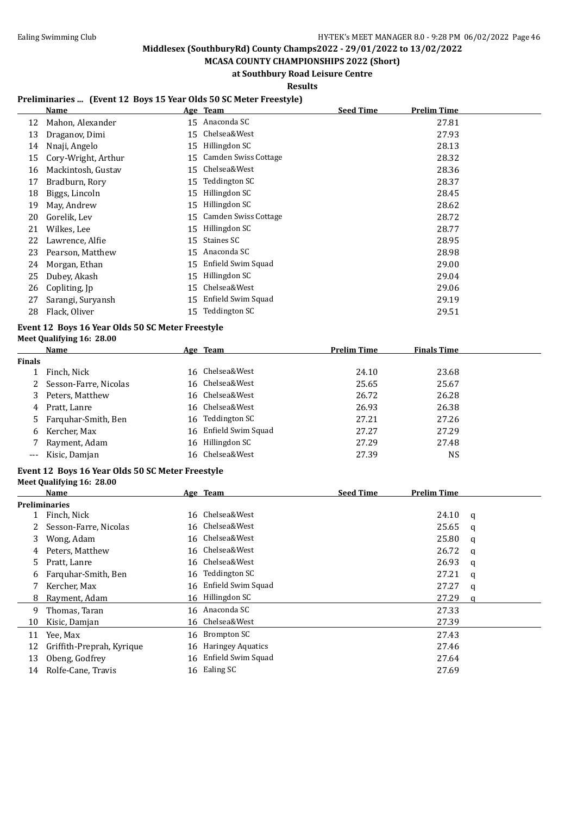**MCASA COUNTY CHAMPIONSHIPS 2022 (Short) at Southbury Road Leisure Centre**

**Results**

#### **Preliminaries ... (Event 12 Boys 15 Year Olds 50 SC Meter Freestyle)**

|    | Name                |    | Age Team             | <b>Seed Time</b> | <b>Prelim Time</b> |
|----|---------------------|----|----------------------|------------------|--------------------|
| 12 | Mahon, Alexander    | 15 | Anaconda SC          |                  | 27.81              |
| 13 | Draganov, Dimi      | 15 | Chelsea&West         |                  | 27.93              |
| 14 | Nnaji, Angelo       | 15 | Hillingdon SC        |                  | 28.13              |
| 15 | Cory-Wright, Arthur | 15 | Camden Swiss Cottage |                  | 28.32              |
| 16 | Mackintosh, Gustav  | 15 | Chelsea&West         |                  | 28.36              |
| 17 | Bradburn, Rory      | 15 | Teddington SC        |                  | 28.37              |
| 18 | Biggs, Lincoln      | 15 | Hillingdon SC        |                  | 28.45              |
| 19 | May, Andrew         | 15 | Hillingdon SC        |                  | 28.62              |
| 20 | Gorelik, Lev        | 15 | Camden Swiss Cottage |                  | 28.72              |
| 21 | Wilkes, Lee         | 15 | Hillingdon SC        |                  | 28.77              |
| 22 | Lawrence, Alfie     | 15 | Staines SC           |                  | 28.95              |
| 23 | Pearson, Matthew    | 15 | Anaconda SC          |                  | 28.98              |
| 24 | Morgan, Ethan       | 15 | Enfield Swim Squad   |                  | 29.00              |
| 25 | Dubey, Akash        | 15 | Hillingdon SC        |                  | 29.04              |
| 26 | Copliting, Jp       | 15 | Chelsea&West         |                  | 29.06              |
| 27 | Sarangi, Suryansh   | 15 | Enfield Swim Squad   |                  | 29.19              |
| 28 | Flack, Oliver       | 15 | Teddington SC        |                  | 29.51              |

#### **Event 12 Boys 16 Year Olds 50 SC Meter Freestyle Meet Qualifying 16: 28.00**

|        | Name                  | <u>Age Team</u>       | <b>Prelim Time</b> | <b>Finals Time</b> |
|--------|-----------------------|-----------------------|--------------------|--------------------|
| Finals |                       |                       |                    |                    |
|        | Finch, Nick           | 16 Chelsea&West       | 24.10              | 23.68              |
| 2      | Sesson-Farre, Nicolas | 16 Chelsea&West       | 25.65              | 25.67              |
| 3      | Peters, Matthew       | 16 Chelsea&West       | 26.72              | 26.28              |
| 4      | Pratt, Lanre          | 16 Chelsea&West       | 26.93              | 26.38              |
|        | 5 Farguhar-Smith, Ben | 16 Teddington SC      | 27.21              | 27.26              |
| 6      | Kercher, Max          | 16 Enfield Swim Squad | 27.27              | 27.29              |
|        | Rayment, Adam         | 16 Hillingdon SC      | 27.29              | 27.48              |
|        | Kisic, Damjan         | 16 Chelsea&West       | 27.39              | NS                 |

#### **Event 12 Boys 16 Year Olds 50 SC Meter Freestyle Meet Qualifying 16: 28.00**

|    | Name                      |    | Age Team                 | <b>Seed Time</b> | <b>Prelim Time</b> |   |
|----|---------------------------|----|--------------------------|------------------|--------------------|---|
|    | Preliminaries             |    |                          |                  |                    |   |
|    | Finch, Nick               | 16 | Chelsea&West             |                  | 24.10              | a |
|    | Sesson-Farre, Nicolas     |    | 16 Chelsea&West          |                  | 25.65              | a |
| 3  | Wong, Adam                |    | 16 Chelsea&West          |                  | 25.80              | q |
| 4  | Peters, Matthew           | 16 | Chelsea&West             |                  | 26.72              | a |
| 5. | Pratt, Lanre              | 16 | Chelsea&West             |                  | 26.93              | a |
| 6  | Farquhar-Smith, Ben       |    | 16 Teddington SC         |                  | 27.21              | a |
|    | Kercher, Max              | 16 | Enfield Swim Squad       |                  | 27.27              | q |
| 8  | Rayment, Adam             |    | 16 Hillingdon SC         |                  | 27.29              | a |
| 9  | Thomas, Taran             |    | 16 Anaconda SC           |                  | 27.33              |   |
| 10 | Kisic, Damjan             |    | 16 Chelsea&West          |                  | 27.39              |   |
| 11 | Yee, Max                  |    | 16 Brompton SC           |                  | 27.43              |   |
| 12 | Griffith-Preprah, Kyrique | 16 | <b>Haringey Aquatics</b> |                  | 27.46              |   |
| 13 | Obeng, Godfrey            | 16 | Enfield Swim Squad       |                  | 27.64              |   |
| 14 | Rolfe-Cane, Travis        |    | 16 Ealing SC             |                  | 27.69              |   |
|    |                           |    |                          |                  |                    |   |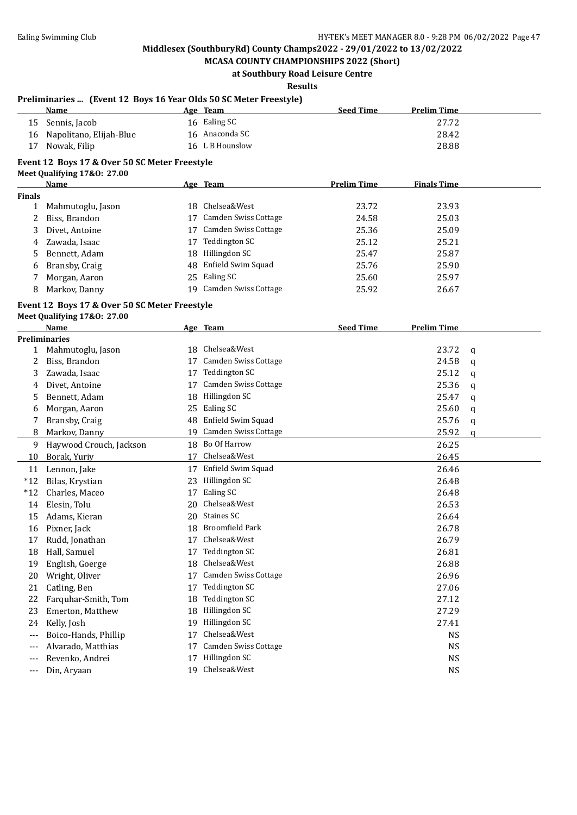**MCASA COUNTY CHAMPIONSHIPS 2022 (Short) at Southbury Road Leisure Centre**

**Results**

#### **Preliminaries ... (Event 12 Boys 16 Year Olds 50 SC Meter Freestyle)**

| <b>Name</b>                | Age Team        | <b>Seed Time</b> | <b>Prelim Time</b> |
|----------------------------|-----------------|------------------|--------------------|
| 15 Sennis, Jacob           | 16 Ealing SC    |                  | 27.72              |
| 16 Napolitano, Elijah-Blue | 16 Anaconda SC  |                  | 28.42              |
| 17 Nowak, Filip            | 16 L B Hounslow |                  | 28.88              |

### **Event 12 Boys 17 & Over 50 SC Meter Freestyle**

**Meet Qualifying 17&O: 27.00**

|               | Name              |    | Age Team                    | <b>Prelim Time</b> | <b>Finals Time</b> |  |
|---------------|-------------------|----|-----------------------------|--------------------|--------------------|--|
| <b>Finals</b> |                   |    |                             |                    |                    |  |
|               | Mahmutoglu, Jason | 18 | Chelsea&West                | 23.72              | 23.93              |  |
|               | Biss, Brandon     | 17 | Camden Swiss Cottage        | 24.58              | 25.03              |  |
|               | Divet, Antoine    |    | <b>Camden Swiss Cottage</b> | 25.36              | 25.09              |  |
| 4             | Zawada, Isaac     |    | Teddington SC               | 25.12              | 25.21              |  |
| 5             | Bennett, Adam     | 18 | Hillingdon SC               | 25.47              | 25.87              |  |
| 6             | Bransby, Craig    |    | 48 Enfield Swim Squad       | 25.76              | 25.90              |  |
|               | Morgan, Aaron     |    | 25 Ealing SC                | 25.60              | 25.97              |  |
| 8             | Markov, Danny     | 19 | Camden Swiss Cottage        | 25.92              | 26.67              |  |
|               |                   |    |                             |                    |                    |  |

## **Event 12 Boys 17 & Over 50 SC Meter Freestyle**

**Meet Qualifying 17&O: 27.00**

|              | <b>Name</b>             |    | Age Team                    | <b>Seed Time</b> | <b>Prelim Time</b> |              |
|--------------|-------------------------|----|-----------------------------|------------------|--------------------|--------------|
|              | <b>Preliminaries</b>    |    |                             |                  |                    |              |
| $\mathbf{1}$ | Mahmutoglu, Jason       | 18 | Chelsea&West                |                  | 23.72              | $\mathsf{q}$ |
| 2            | Biss, Brandon           | 17 | Camden Swiss Cottage        |                  | 24.58              | q            |
| 3            | Zawada, Isaac           | 17 | <b>Teddington SC</b>        |                  | 25.12              | a            |
| 4            | Divet, Antoine          | 17 | Camden Swiss Cottage        |                  | 25.36              | q            |
| 5            | Bennett, Adam           | 18 | Hillingdon SC               |                  | 25.47              | a            |
| 6            | Morgan, Aaron           | 25 | Ealing SC                   |                  | 25.60              | q            |
| 7            | Bransby, Craig          | 48 | Enfield Swim Squad          |                  | 25.76              | q            |
| 8            | Markov, Danny           | 19 | Camden Swiss Cottage        |                  | 25.92              | a            |
| 9            | Haywood Crouch, Jackson | 18 | Bo Of Harrow                |                  | 26.25              |              |
| 10           | Borak, Yuriy            | 17 | Chelsea&West                |                  | 26.45              |              |
| 11           | Lennon, Jake            | 17 | Enfield Swim Squad          |                  | 26.46              |              |
| $*12$        | Bilas, Krystian         | 23 | Hillingdon SC               |                  | 26.48              |              |
| $*12$        | Charles, Maceo          | 17 | Ealing SC                   |                  | 26.48              |              |
| 14           | Elesin, Tolu            | 20 | Chelsea&West                |                  | 26.53              |              |
| 15           | Adams, Kieran           | 20 | Staines SC                  |                  | 26.64              |              |
| 16           | Pixner, Jack            | 18 | <b>Broomfield Park</b>      |                  | 26.78              |              |
| 17           | Rudd, Jonathan          | 17 | Chelsea&West                |                  | 26.79              |              |
| 18           | Hall, Samuel            | 17 | <b>Teddington SC</b>        |                  | 26.81              |              |
| 19           | English, Goerge         | 18 | Chelsea&West                |                  | 26.88              |              |
| 20           | Wright, Oliver          | 17 | Camden Swiss Cottage        |                  | 26.96              |              |
| 21           | Catling, Ben            | 17 | <b>Teddington SC</b>        |                  | 27.06              |              |
| 22           | Farquhar-Smith, Tom     | 18 | Teddington SC               |                  | 27.12              |              |
| 23           | Emerton, Matthew        | 18 | Hillingdon SC               |                  | 27.29              |              |
| 24           | Kelly, Josh             | 19 | Hillingdon SC               |                  | 27.41              |              |
| $---$        | Boico-Hands, Phillip    | 17 | Chelsea&West                |                  | <b>NS</b>          |              |
| $---$        | Alvarado, Matthias      | 17 | <b>Camden Swiss Cottage</b> |                  | <b>NS</b>          |              |
| ---          | Revenko, Andrei         | 17 | Hillingdon SC               |                  | <b>NS</b>          |              |
| $---$        | Din, Aryaan             | 19 | Chelsea&West                |                  | <b>NS</b>          |              |
|              |                         |    |                             |                  |                    |              |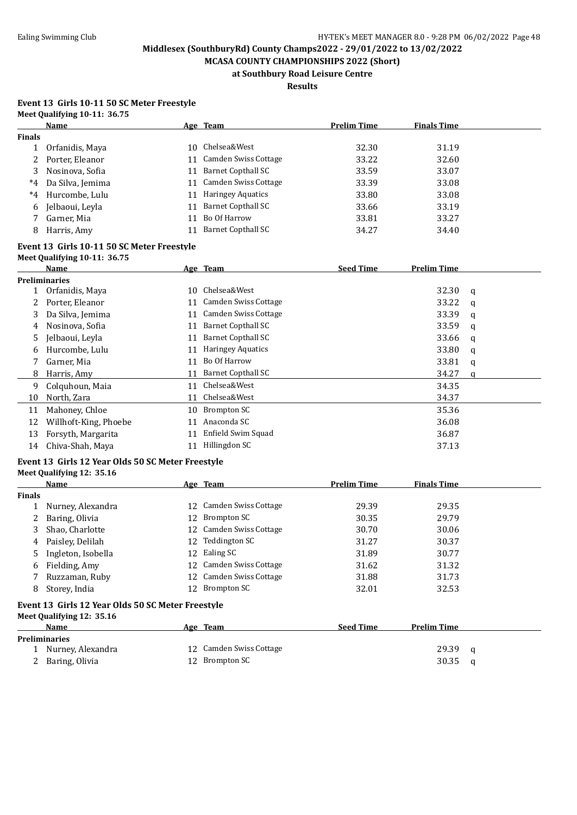**MCASA COUNTY CHAMPIONSHIPS 2022 (Short) at Southbury Road Leisure Centre**

**Results**

#### **Event 13 Girls 10-11 50 SC Meter Freestyle Meet Qualifying 10-11: 36.75**

|               | <b>Name</b>                                                                    |    | Age Team                    | <b>Prelim Time</b> | <b>Finals Time</b> |   |
|---------------|--------------------------------------------------------------------------------|----|-----------------------------|--------------------|--------------------|---|
| <b>Finals</b> |                                                                                |    |                             |                    |                    |   |
| $\mathbf{1}$  | Orfanidis, Maya                                                                |    | 10 Chelsea&West             | 32.30              | 31.19              |   |
| 2             | Porter, Eleanor                                                                |    | 11 Camden Swiss Cottage     | 33.22              | 32.60              |   |
| 3             | Nosinova, Sofia                                                                | 11 | <b>Barnet Copthall SC</b>   | 33.59              | 33.07              |   |
| $^*4$         | Da Silva, Jemima                                                               | 11 | <b>Camden Swiss Cottage</b> | 33.39              | 33.08              |   |
| $^{\ast}4$    | Hurcombe, Lulu                                                                 | 11 | <b>Haringey Aquatics</b>    | 33.80              | 33.08              |   |
| 6             | Jelbaoui, Leyla                                                                | 11 | <b>Barnet Copthall SC</b>   | 33.66              | 33.19              |   |
| 7             | Garner, Mia                                                                    | 11 | Bo Of Harrow                | 33.81              | 33.27              |   |
| 8             | Harris, Amy                                                                    | 11 | <b>Barnet Copthall SC</b>   | 34.27              | 34.40              |   |
|               | Event 13 Girls 10-11 50 SC Meter Freestyle                                     |    |                             |                    |                    |   |
|               | Meet Qualifying 10-11: 36.75                                                   |    |                             |                    |                    |   |
|               | Name                                                                           |    | Age Team                    | <b>Seed Time</b>   | <b>Prelim Time</b> |   |
|               | <b>Preliminaries</b>                                                           |    |                             |                    |                    |   |
| 1             | Orfanidis, Maya                                                                |    | 10 Chelsea&West             |                    | 32.30              | q |
| 2             | Porter, Eleanor                                                                | 11 | Camden Swiss Cottage        |                    | 33.22              | q |
| 3             | Da Silva, Jemima                                                               | 11 | Camden Swiss Cottage        |                    | 33.39              | q |
| 4             | Nosinova, Sofia                                                                |    | 11 Barnet Copthall SC       |                    | 33.59              | q |
| 5             | Jelbaoui, Leyla                                                                |    | 11 Barnet Copthall SC       |                    | 33.66              | q |
| 6             | Hurcombe, Lulu                                                                 |    | 11 Haringey Aquatics        |                    | 33.80              | q |
| 7             | Garner, Mia                                                                    |    | 11 Bo Of Harrow             |                    | 33.81              | q |
| 8             | Harris, Amy                                                                    |    | 11 Barnet Copthall SC       |                    | 34.27              | a |
| 9             | Colquhoun, Maia                                                                |    | 11 Chelsea&West             |                    | 34.35              |   |
| 10            | North, Zara                                                                    |    | 11 Chelsea&West             |                    | 34.37              |   |
| 11            | Mahoney, Chloe                                                                 |    | 10 Brompton SC              |                    | 35.36              |   |
| 12            | Willhoft-King, Phoebe                                                          | 11 | Anaconda SC                 |                    | 36.08              |   |
| 13            | Forsyth, Margarita                                                             | 11 | Enfield Swim Squad          |                    | 36.87              |   |
| 14            | Chiva-Shah, Maya                                                               |    | 11 Hillingdon SC            |                    | 37.13              |   |
|               | Event 13 Girls 12 Year Olds 50 SC Meter Freestyle                              |    |                             |                    |                    |   |
|               | Meet Qualifying 12: 35.16                                                      |    |                             |                    |                    |   |
|               | Name                                                                           |    | Age Team                    | <b>Prelim Time</b> | <b>Finals Time</b> |   |
| <b>Finals</b> |                                                                                |    | 12 Camden Swiss Cottage     |                    |                    |   |
| $\mathbf{1}$  | Nurney, Alexandra                                                              |    | <b>Brompton SC</b>          | 29.39              | 29.35              |   |
| 2             | Baring, Olivia                                                                 | 12 | Camden Swiss Cottage        | 30.35              | 29.79              |   |
| 3             | Shao, Charlotte                                                                | 12 | 12 Teddington SC            | 30.70              | 30.06              |   |
| 4             | Paisley, Delilah                                                               |    |                             | 31.27              | 30.37              |   |
|               | 5 Ingleton, Isobella                                                           |    | 12 Ealing SC                | 31.89              | 30.77              |   |
|               | 6 Fielding, Amy                                                                |    | 12 Camden Swiss Cottage     | 31.62              | 31.32              |   |
| 7             | Ruzzaman, Ruby                                                                 |    | 12 Camden Swiss Cottage     | 31.88              | 31.73              |   |
| 8             | Storey, India                                                                  |    | 12 Brompton SC              | 32.01              | 32.53              |   |
|               | Event 13 Girls 12 Year Olds 50 SC Meter Freestyle<br>Meet Qualifying 12: 35.16 |    |                             |                    |                    |   |
|               | Name                                                                           |    | Age Team                    | <b>Seed Time</b>   | <b>Prelim Time</b> |   |
|               | <b>Preliminaries</b>                                                           |    |                             |                    |                    |   |
|               | 1 Nurney, Alexandra                                                            |    | 12 Camden Swiss Cottage     |                    | 29.39              | q |
|               | 2 Baring, Olivia                                                               |    | 12 Brompton SC              |                    | 30.35              | q |
|               |                                                                                |    |                             |                    |                    |   |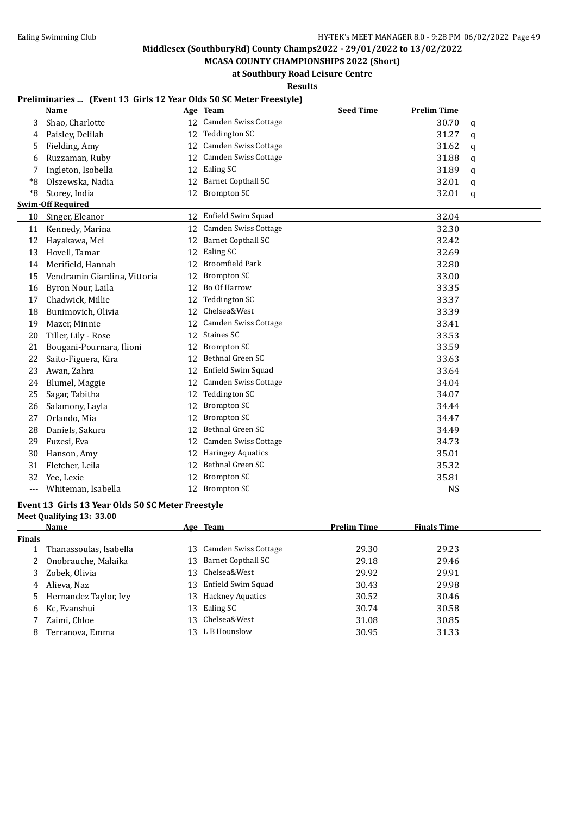**MCASA COUNTY CHAMPIONSHIPS 2022 (Short) at Southbury Road Leisure Centre**

**Results**

#### **Preliminaries ... (Event 13 Girls 12 Year Olds 50 SC Meter Freestyle)**

|       | Name                         |    | Age Team                    | <b>Seed Time</b> | <b>Prelim Time</b> |              |
|-------|------------------------------|----|-----------------------------|------------------|--------------------|--------------|
| 3     | Shao, Charlotte              |    | 12 Camden Swiss Cottage     |                  | 30.70              | $\mathbf q$  |
| 4     | Paisley, Delilah             | 12 | <b>Teddington SC</b>        |                  | 31.27              | $\mathbf q$  |
| 5     | Fielding, Amy                | 12 | Camden Swiss Cottage        |                  | 31.62              | q            |
| 6     | Ruzzaman, Ruby               | 12 | <b>Camden Swiss Cottage</b> |                  | 31.88              | q            |
| 7     | Ingleton, Isobella           | 12 | Ealing SC                   |                  | 31.89              | $\mathbf{q}$ |
| *8    | Olszewska, Nadia             | 12 | <b>Barnet Copthall SC</b>   |                  | 32.01              | $\mathbf q$  |
| *8    | Storey, India                | 12 | <b>Brompton SC</b>          |                  | 32.01              | $\mathbf q$  |
|       | <b>Swim-Off Required</b>     |    |                             |                  |                    |              |
| 10    | Singer, Eleanor              | 12 | Enfield Swim Squad          |                  | 32.04              |              |
| 11    | Kennedy, Marina              | 12 | Camden Swiss Cottage        |                  | 32.30              |              |
| 12    | Hayakawa, Mei                | 12 | <b>Barnet Copthall SC</b>   |                  | 32.42              |              |
| 13    | Hovell, Tamar                | 12 | Ealing SC                   |                  | 32.69              |              |
| 14    | Merifield, Hannah            | 12 | <b>Broomfield Park</b>      |                  | 32.80              |              |
| 15    | Vendramin Giardina, Vittoria | 12 | <b>Brompton SC</b>          |                  | 33.00              |              |
| 16    | Byron Nour, Laila            | 12 | Bo Of Harrow                |                  | 33.35              |              |
| 17    | Chadwick, Millie             | 12 | <b>Teddington SC</b>        |                  | 33.37              |              |
| 18    | Bunimovich, Olivia           | 12 | Chelsea&West                |                  | 33.39              |              |
| 19    | Mazer, Minnie                | 12 | Camden Swiss Cottage        |                  | 33.41              |              |
| 20    | Tiller, Lily - Rose          | 12 | <b>Staines SC</b>           |                  | 33.53              |              |
| 21    | Bougani-Pournara, Ilioni     | 12 | <b>Brompton SC</b>          |                  | 33.59              |              |
| 22    | Saito-Figuera, Kira          | 12 | Bethnal Green SC            |                  | 33.63              |              |
| 23    | Awan, Zahra                  | 12 | Enfield Swim Squad          |                  | 33.64              |              |
| 24    | Blumel, Maggie               | 12 | Camden Swiss Cottage        |                  | 34.04              |              |
| 25    | Sagar, Tabitha               | 12 | <b>Teddington SC</b>        |                  | 34.07              |              |
| 26    | Salamony, Layla              | 12 | <b>Brompton SC</b>          |                  | 34.44              |              |
| 27    | Orlando, Mia                 | 12 | <b>Brompton SC</b>          |                  | 34.47              |              |
| 28    | Daniels, Sakura              | 12 | Bethnal Green SC            |                  | 34.49              |              |
| 29    | Fuzesi, Eva                  | 12 | <b>Camden Swiss Cottage</b> |                  | 34.73              |              |
| 30    | Hanson, Amy                  | 12 | <b>Haringey Aquatics</b>    |                  | 35.01              |              |
| 31    | Fletcher, Leila              | 12 | Bethnal Green SC            |                  | 35.32              |              |
| 32    | Yee, Lexie                   | 12 | <b>Brompton SC</b>          |                  | 35.81              |              |
| $---$ | Whiteman, Isabella           | 12 | Brompton SC                 |                  | <b>NS</b>          |              |

#### **Event 13 Girls 13 Year Olds 50 SC Meter Freestyle**

#### **Meet Qualifying 13: 33.00**

|        | Name                   | Age Team                | <b>Prelim Time</b> | <b>Finals Time</b> |
|--------|------------------------|-------------------------|--------------------|--------------------|
| Finals |                        |                         |                    |                    |
|        | Thanassoulas, Isabella | 13 Camden Swiss Cottage | 29.30              | 29.23              |
| 2      | Onobrauche, Malaika    | 13 Barnet Copthall SC   | 29.18              | 29.46              |
| 3      | Zobek, Olivia          | 13 Chelsea&West         | 29.92              | 29.91              |
| 4      | Alieva, Naz            | 13 Enfield Swim Squad   | 30.43              | 29.98              |
| 5.     | Hernandez Taylor, Ivy  | 13 Hackney Aquatics     | 30.52              | 30.46              |
| 6      | Kc, Evanshui           | 13 Ealing SC            | 30.74              | 30.58              |
|        | Zaimi, Chloe           | 13 Chelsea&West         | 31.08              | 30.85              |
| 8      | Terranova, Emma        | 13 L B Hounslow         | 30.95              | 31.33              |
|        |                        |                         |                    |                    |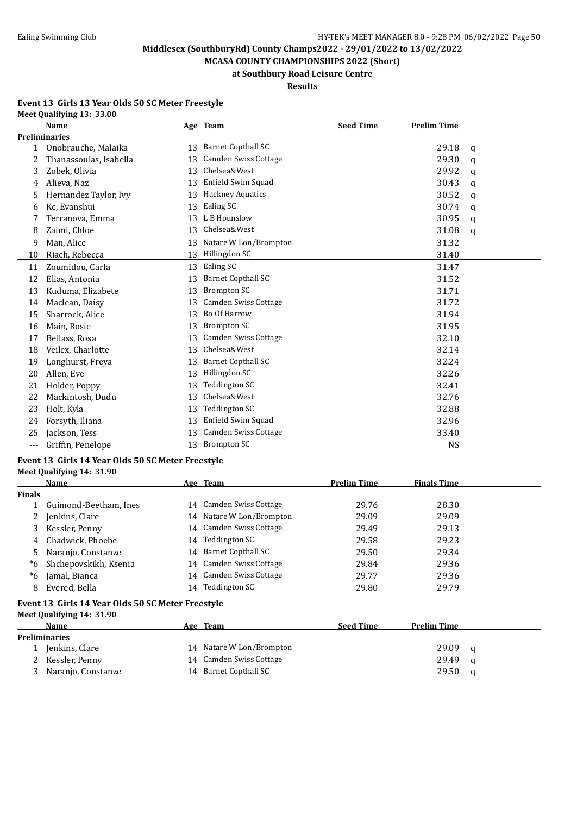**MCASA COUNTY CHAMPIONSHIPS 2022 (Short) at Southbury Road Leisure Centre**

### **Results**

#### **Event 13 Girls 13 Year Olds 50 SC Meter Freestyle Meet Qualifying 13: 33.00**

|              | Name                   |    | Age Team                    | <b>Seed Time</b> | <b>Prelim Time</b> |              |
|--------------|------------------------|----|-----------------------------|------------------|--------------------|--------------|
|              | <b>Preliminaries</b>   |    |                             |                  |                    |              |
| $\mathbf{1}$ | Onobrauche, Malaika    | 13 | <b>Barnet Copthall SC</b>   |                  | 29.18              | q            |
| 2            | Thanassoulas, Isabella | 13 | <b>Camden Swiss Cottage</b> |                  | 29.30              | q            |
| 3            | Zobek, Olivia          | 13 | Chelsea&West                |                  | 29.92              | $\mathbf{q}$ |
| 4            | Alieva. Naz            | 13 | Enfield Swim Squad          |                  | 30.43              | q            |
| 5            | Hernandez Taylor, Ivy  | 13 | <b>Hackney Aquatics</b>     |                  | 30.52              | q            |
| 6            | Kc, Evanshui           | 13 | Ealing SC                   |                  | 30.74              | q            |
| 7            | Terranova, Emma        | 13 | L B Hounslow                |                  | 30.95              | $\mathbf{q}$ |
| 8            | Zaimi, Chloe           | 13 | Chelsea&West                |                  | 31.08              | a            |
| 9            | Man, Alice             | 13 | Natare W Lon/Brompton       |                  | 31.32              |              |
| 10           | Riach, Rebecca         | 13 | Hillingdon SC               |                  | 31.40              |              |
| 11           | Zoumidou, Carla        | 13 | Ealing SC                   |                  | 31.47              |              |
| 12           | Elias. Antonia         | 13 | <b>Barnet Copthall SC</b>   |                  | 31.52              |              |
| 13           | Kuduma, Elizabete      | 13 | <b>Brompton SC</b>          |                  | 31.71              |              |
| 14           | Maclean, Daisy         | 13 | Camden Swiss Cottage        |                  | 31.72              |              |
| 15           | Sharrock, Alice        | 13 | <b>Bo Of Harrow</b>         |                  | 31.94              |              |
| 16           | Main, Rosie            | 13 | <b>Brompton SC</b>          |                  | 31.95              |              |
| 17           | Bellass, Rosa          | 13 | <b>Camden Swiss Cottage</b> |                  | 32.10              |              |
| 18           | Veilex, Charlotte      | 13 | Chelsea&West                |                  | 32.14              |              |
| 19           | Longhurst, Freya       | 13 | <b>Barnet Copthall SC</b>   |                  | 32.24              |              |
| 20           | Allen, Eve             | 13 | Hillingdon SC               |                  | 32.26              |              |
| 21           | Holder, Poppy          | 13 | <b>Teddington SC</b>        |                  | 32.41              |              |
| 22           | Mackintosh, Dudu       | 13 | Chelsea&West                |                  | 32.76              |              |
| 23           | Holt, Kyla             | 13 | Teddington SC               |                  | 32.88              |              |
| 24           | Forsyth, Iliana        | 13 | Enfield Swim Squad          |                  | 32.96              |              |
| 25           | Jackson, Tess          | 13 | Camden Swiss Cottage        |                  | 33.40              |              |
| $---$        | Griffin, Penelope      | 13 | <b>Brompton SC</b>          |                  | <b>NS</b>          |              |

#### **Event 13 Girls 14 Year Olds 50 SC Meter Freestyle Meet Qualifying 14: 31.90**

|               | Name                                                                           |    | Age Team                 | <b>Prelim Time</b> | <b>Finals Time</b> |  |  |
|---------------|--------------------------------------------------------------------------------|----|--------------------------|--------------------|--------------------|--|--|
| <b>Finals</b> |                                                                                |    |                          |                    |                    |  |  |
|               | Guimond-Beetham, Ines                                                          |    | 14 Camden Swiss Cottage  | 29.76              | 28.30              |  |  |
| 2             | Jenkins, Clare                                                                 |    | 14 Natare W Lon/Brompton | 29.09              | 29.09              |  |  |
| 3             | Kessler, Penny                                                                 |    | 14 Camden Swiss Cottage  | 29.49              | 29.13              |  |  |
| 4             | Chadwick, Phoebe                                                               | 14 | Teddington SC            | 29.58              | 29.23              |  |  |
| 5.            | Naranjo, Constanze                                                             |    | 14 Barnet Copthall SC    | 29.50              | 29.34              |  |  |
| *6            | Shchepovskikh, Ksenia                                                          |    | 14 Camden Swiss Cottage  | 29.84              | 29.36              |  |  |
| *6            | Jamal, Bianca                                                                  |    | 14 Camden Swiss Cottage  | 29.77              | 29.36              |  |  |
| 8             | Evered, Bella                                                                  | 14 | Teddington SC            | 29.80              | 29.79              |  |  |
|               | Event 13 Girls 14 Year Olds 50 SC Meter Freestyle<br>Meet Oualifying 14: 31.90 |    |                          |                    |                    |  |  |

| Name               | Age Team                 | <b>Seed Time</b> | <b>Prelim Time</b> |   |
|--------------------|--------------------------|------------------|--------------------|---|
| Preliminaries      |                          |                  |                    |   |
| Jenkins, Clare     | 14 Natare W Lon/Brompton |                  | 29.09              | a |
| Kessler, Penny     | 14 Camden Swiss Cottage  |                  | 29.49              | a |
| Naranjo, Constanze | 14 Barnet Copthall SC    |                  | 29.50              | a |
|                    |                          |                  |                    |   |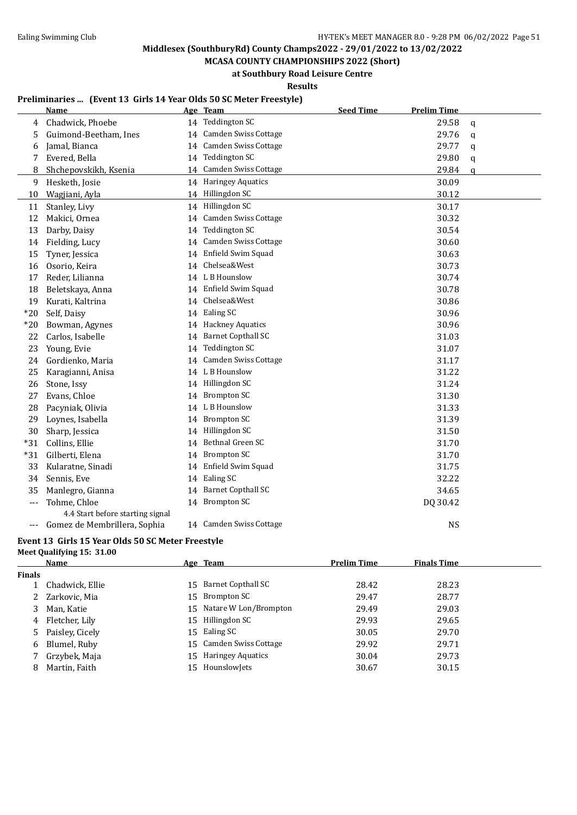**MCASA COUNTY CHAMPIONSHIPS 2022 (Short) at Southbury Road Leisure Centre**

**Results**

#### **Preliminaries ... (Event 13 Girls 14 Year Olds 50 SC Meter Freestyle)**

|       | <b>Name</b>                      |    | Age Team                  | <b>Seed Time</b> | <b>Prelim Time</b> |             |
|-------|----------------------------------|----|---------------------------|------------------|--------------------|-------------|
| 4     | Chadwick, Phoebe                 |    | 14 Teddington SC          |                  | 29.58              | $\mathbf q$ |
| 5     | Guimond-Beetham, Ines            | 14 | Camden Swiss Cottage      |                  | 29.76              | q           |
| 6     | Jamal, Bianca                    | 14 | Camden Swiss Cottage      |                  | 29.77              | q           |
| 7     | Evered, Bella                    |    | 14 Teddington SC          |                  | 29.80              | q           |
| 8     | Shchepovskikh, Ksenia            | 14 | Camden Swiss Cottage      |                  | 29.84              | q           |
| 9     | Hesketh, Josie                   |    | 14 Haringey Aquatics      |                  | 30.09              |             |
| 10    | Wagjiani, Ayla                   |    | 14 Hillingdon SC          |                  | 30.12              |             |
| 11    | Stanley, Livy                    |    | 14 Hillingdon SC          |                  | 30.17              |             |
| 12    | Makici, Ornea                    | 14 | Camden Swiss Cottage      |                  | 30.32              |             |
| 13    | Darby, Daisy                     | 14 | <b>Teddington SC</b>      |                  | 30.54              |             |
| 14    | Fielding, Lucy                   | 14 | Camden Swiss Cottage      |                  | 30.60              |             |
| 15    | Tyner, Jessica                   | 14 | Enfield Swim Squad        |                  | 30.63              |             |
| 16    | Osorio, Keira                    | 14 | Chelsea&West              |                  | 30.73              |             |
| 17    | Reder, Lilianna                  |    | 14 L B Hounslow           |                  | 30.74              |             |
| 18    | Beletskaya, Anna                 |    | 14 Enfield Swim Squad     |                  | 30.78              |             |
| 19    | Kurati, Kaltrina                 |    | 14 Chelsea&West           |                  | 30.86              |             |
| $*20$ | Self, Daisy                      |    | 14 Ealing SC              |                  | 30.96              |             |
| $*20$ | Bowman, Agynes                   |    | 14 Hackney Aquatics       |                  | 30.96              |             |
| 22    | Carlos, Isabelle                 |    | 14 Barnet Copthall SC     |                  | 31.03              |             |
| 23    | Young, Evie                      | 14 | <b>Teddington SC</b>      |                  | 31.07              |             |
| 24    | Gordienko, Maria                 | 14 | Camden Swiss Cottage      |                  | 31.17              |             |
| 25    | Karagianni, Anisa                |    | 14 L B Hounslow           |                  | 31.22              |             |
| 26    | Stone, Issy                      |    | 14 Hillingdon SC          |                  | 31.24              |             |
| 27    | Evans, Chloe                     |    | 14 Brompton SC            |                  | 31.30              |             |
| 28    | Pacyniak, Olivia                 |    | 14 L B Hounslow           |                  | 31.33              |             |
| 29    | Loynes, Isabella                 |    | 14 Brompton SC            |                  | 31.39              |             |
| 30    | Sharp, Jessica                   |    | 14 Hillingdon SC          |                  | 31.50              |             |
| $*31$ | Collins, Ellie                   | 14 | Bethnal Green SC          |                  | 31.70              |             |
| $*31$ | Gilberti, Elena                  |    | 14 Brompton SC            |                  | 31.70              |             |
| 33    | Kularatne, Sinadi                |    | 14 Enfield Swim Squad     |                  | 31.75              |             |
| 34    | Sennis, Eve                      |    | 14 Ealing SC              |                  | 32.22              |             |
| 35    | Manlegro, Gianna                 | 14 | <b>Barnet Copthall SC</b> |                  | 34.65              |             |
| $---$ | Tohme, Chloe                     |    | 14 Brompton SC            |                  | DQ 30.42           |             |
|       | 4.4 Start before starting signal |    |                           |                  |                    |             |
| ---   | Gomez de Membrillera, Sophia     |    | 14 Camden Swiss Cottage   |                  | <b>NS</b>          |             |

#### **Event 13 Girls 15 Year Olds 50 SC Meter Freestyle Meet Qualifying 15: 31.00**

|        | Name              | <u>Age Team</u>          | <b>Prelim Time</b> | <b>Finals Time</b> |
|--------|-------------------|--------------------------|--------------------|--------------------|
| Finals |                   |                          |                    |                    |
|        | Chadwick, Ellie   | 15 Barnet Copthall SC    | 28.42              | 28.23              |
| 2      | Zarkovic, Mia     | 15 Brompton SC           | 29.47              | 28.77              |
| 3      | Man, Katie        | 15 Natare W Lon/Brompton | 29.49              | 29.03              |
| 4      | Fletcher, Lily    | 15 Hillingdon SC         | 29.93              | 29.65              |
|        | 5 Paisley, Cicely | 15 Ealing SC             | 30.05              | 29.70              |
| 6      | Blumel, Ruby      | 15 Camden Swiss Cottage  | 29.92              | 29.71              |
|        | Grzybek, Maja     | 15 Haringey Aquatics     | 30.04              | 29.73              |
| 8      | Martin, Faith     | 15 HounslowJets          | 30.67              | 30.15              |
|        |                   |                          |                    |                    |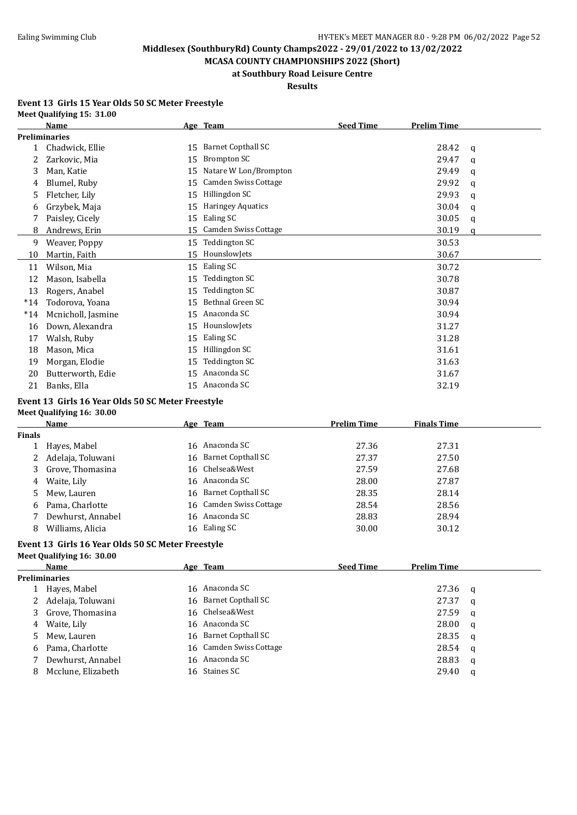**MCASA COUNTY CHAMPIONSHIPS 2022 (Short) at Southbury Road Leisure Centre**

### **Results**

#### **Event 13 Girls 15 Year Olds 50 SC Meter Freestyle Meet Qualifying 15: 31.00**

|              | Name                 |    | Age Team                    | <b>Seed Time</b> | <b>Prelim Time</b> |   |
|--------------|----------------------|----|-----------------------------|------------------|--------------------|---|
|              | <b>Preliminaries</b> |    |                             |                  |                    |   |
| $\mathbf{1}$ | Chadwick, Ellie      | 15 | Barnet Copthall SC          |                  | 28.42              | q |
| 2            | Zarkovic, Mia        | 15 | <b>Brompton SC</b>          |                  | 29.47              | q |
| 3            | Man, Katie           | 15 | Natare W Lon/Brompton       |                  | 29.49              | a |
| 4            | Blumel, Ruby         | 15 | Camden Swiss Cottage        |                  | 29.92              | q |
| 5            | Fletcher, Lily       | 15 | Hillingdon SC               |                  | 29.93              | a |
| 6            | Grzybek, Maja        | 15 | <b>Haringey Aquatics</b>    |                  | 30.04              | q |
|              | Paisley, Cicely      | 15 | Ealing SC                   |                  | 30.05              | q |
| 8            | Andrews, Erin        | 15 | <b>Camden Swiss Cottage</b> |                  | 30.19              | a |
| 9            | Weaver, Poppy        | 15 | Teddington SC               |                  | 30.53              |   |
| 10           | Martin, Faith        | 15 | HounslowJets                |                  | 30.67              |   |
| 11           | Wilson, Mia          | 15 | Ealing SC                   |                  | 30.72              |   |
| 12           | Mason, Isabella      | 15 | Teddington SC               |                  | 30.78              |   |
| 13           | Rogers, Anabel       | 15 | Teddington SC               |                  | 30.87              |   |
| $*14$        | Todorova, Yoana      | 15 | Bethnal Green SC            |                  | 30.94              |   |
| $*14$        | Mcnicholl, Jasmine   | 15 | Anaconda SC                 |                  | 30.94              |   |
| 16           | Down, Alexandra      | 15 | HounslowJets                |                  | 31.27              |   |
| 17           | Walsh, Ruby          | 15 | Ealing SC                   |                  | 31.28              |   |
| 18           | Mason, Mica          | 15 | Hillingdon SC               |                  | 31.61              |   |
| 19           | Morgan, Elodie       | 15 | Teddington SC               |                  | 31.63              |   |
| 20           | Butterworth, Edie    | 15 | Anaconda SC                 |                  | 31.67              |   |
| 21           | Banks, Ella          | 15 | Anaconda SC                 |                  | 32.19              |   |

#### **Event 13 Girls 16 Year Olds 50 SC Meter Freestyle Meet Qualifying 16: 30.00**

|               | Name               | Age Team                | <b>Prelim Time</b> | <b>Finals Time</b> |
|---------------|--------------------|-------------------------|--------------------|--------------------|
| <b>Finals</b> |                    |                         |                    |                    |
|               | Hayes, Mabel       | 16 Anaconda SC          | 27.36              | 27.31              |
|               | Adelaja, Toluwani  | 16 Barnet Copthall SC   | 27.37              | 27.50              |
|               | 3 Grove, Thomasina | 16 Chelsea&West         | 27.59              | 27.68              |
| 4             | Waite, Lily        | 16 Anaconda SC          | 28.00              | 27.87              |
|               | 5 Mew, Lauren      | 16 Barnet Copthall SC   | 28.35              | 28.14              |
| 6             | Pama, Charlotte    | 16 Camden Swiss Cottage | 28.54              | 28.56              |
|               | Dewhurst, Annabel  | 16 Anaconda SC          | 28.83              | 28.94              |
|               | Williams, Alicia   | 16 Ealing SC            | 30.00              | 30.12              |

#### **Event 13 Girls 16 Year Olds 50 SC Meter Freestyle Meet Qualifying 16: 30.00**

|    | Name                 |  | Age Team                | <b>Seed Time</b> | <b>Prelim Time</b> |     |
|----|----------------------|--|-------------------------|------------------|--------------------|-----|
|    | <b>Preliminaries</b> |  |                         |                  |                    |     |
|    | Hayes, Mabel         |  | 16 Anaconda SC          |                  | $27.36$ q          |     |
| 2  | Adelaja, Toluwani    |  | 16 Barnet Copthall SC   |                  | 27.37              | a   |
|    | 3 Grove, Thomasina   |  | 16 Chelsea&West         |                  | 27.59              | q   |
| 4  | Waite, Lily          |  | 16 Anaconda SC          |                  | 28.00              | q   |
| 5. | Mew, Lauren          |  | 16 Barnet Copthall SC   |                  | 28.35              | - a |
| 6  | Pama, Charlotte      |  | 16 Camden Swiss Cottage |                  | 28.54              | - q |
|    | Dewhurst, Annabel    |  | 16 Anaconda SC          |                  | 28.83              | a   |
| 8  | Mcclune, Elizabeth   |  | 16 Staines SC           |                  | 29.40              | q   |
|    |                      |  |                         |                  |                    |     |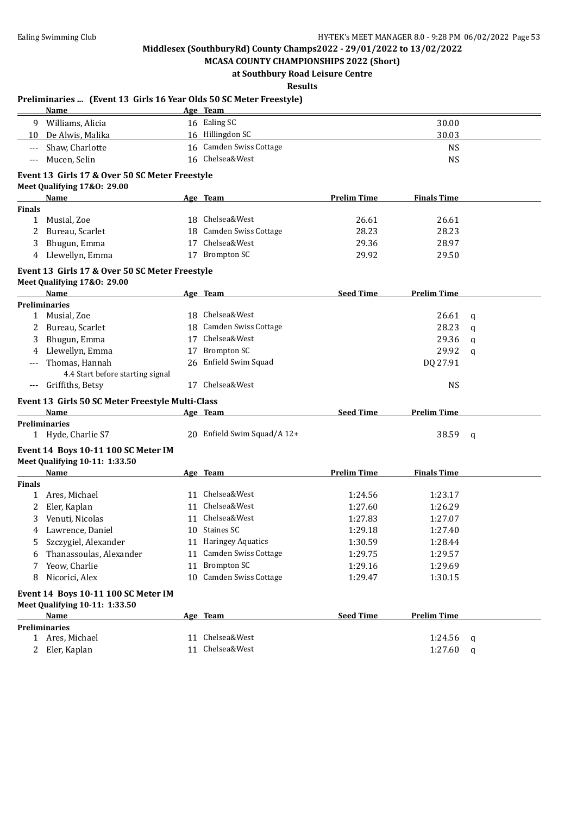**MCASA COUNTY CHAMPIONSHIPS 2022 (Short) at Southbury Road Leisure Centre**

**Results**

### **Preliminaries ... (Event 13 Girls 16 Year Olds 50 SC Meter Freestyle) Name Age Team** 9 Williams, Alicia 16 Ealing SC 30.00 10 De Alwis, Malika 16 Hillingdon SC 30.03 --- Shaw, Charlotte 16 Camden Swiss Cottage 16 Campus Shaw, Charlotte NS --- Mucen, Selin 16 Chelsea&West 2008 and the USS of the MS **Event 13 Girls 17 & Over 50 SC Meter Freestyle Meet Qualifying 17&O: 29.00 Name Age Team Prelim Time Finals Time Finals** 1 Musial, Zoe 18 Chelsea&West 26.61 26.61 26.61 2 Bureau, Scarlet 18 Camden Swiss Cottage 28.23 28.23 3 Bhugun, Emma 17 Chelsea&West 29.36 28.97 4 Llewellyn, Emma 17 Brompton SC 29.92 29.50 **Event 13 Girls 17 & Over 50 SC Meter Freestyle Meet Qualifying 17&O: 29.00 Name Age Team Seed Time Prelim Time Preliminaries** 1 Musial, Zoe 18 Chelsea&West 26.61 q 2 Bureau, Scarlet 28.23 q 28.23 q 3 Bhugun, Emma 17 Chelsea&West 29.36 q 4 Llewellyn, Emma 17 Brompton SC 29.92 q --- Thomas, Hannah 26 Enfield Swim Squad DQ 27.91 4.4 Start before starting signal --- Griffiths, Betsy 17 Chelsea&West 2008 Chelsea Chelsea & MS **Event 13 Girls 50 SC Meter Freestyle Multi-Class Age Team Seed Time Prelim Time Preliminaries** 1 Hyde, Charlie S7 20 Enfield Swim Squad/A 12+ 38.59 q **Event 14 Boys 10-11 100 SC Meter IM Meet Qualifying 10-11: 1:33.50 Name Age Team Prelim Time Finals Time Finals** 1 Ares, Michael 11 Chelsea&West 1:24.56 1:23.17 2 Eler, Kaplan 11 Chelsea&West 1:27.60 1:26.29 3 Venuti, Nicolas 11 Chelsea&West 1:27.83 1:27.07 4 Lawrence, Daniel 10 Staines SC 1:29.18 1:27.40 5 Szczygiel, Alexander 11 Haringey Aquatics 1:30.59 1:28.44 6 Thanassoulas, Alexander 11 Camden Swiss Cottage 1:29.75 1:29.57 7 Yeow, Charlie 11 Brompton SC 1:29.16 1:29.69 8 Nicorici, Alex 10 Camden Swiss Cottage 1:29.47 1:30.15 **Event 14 Boys 10-11 100 SC Meter IM Meet Qualifying 10-11: 1:33.50 Name Age Team Seed Time Prelim Time Preliminaries** 1 Ares, Michael 11 Chelsea&West 11 Chelsea and 1:24.56 q 2 Eler, Kaplan 11 Chelsea&West 1:27.60 q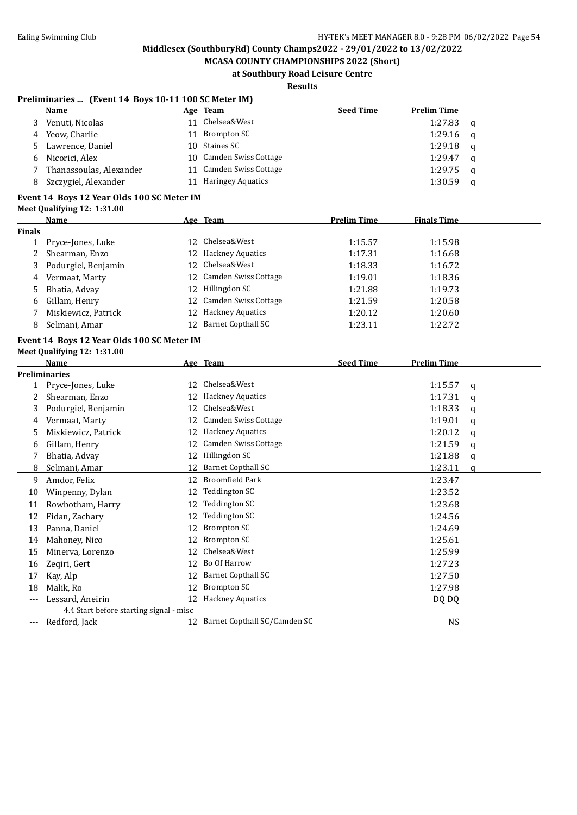**MCASA COUNTY CHAMPIONSHIPS 2022 (Short) at Southbury Road Leisure Centre**

### **Results**

#### **Preliminaries ... (Event 14 Boys 10-11 100 SC Meter IM)**

|    | Name                    |    | Age Team                | <b>Seed Time</b> | <b>Prelim Time</b> |          |
|----|-------------------------|----|-------------------------|------------------|--------------------|----------|
|    | Venuti, Nicolas         | 11 | Chelsea&West            |                  | 1:27.83            | q        |
| 4  | Yeow, Charlie           |    | 11 Brompton SC          |                  | 1:29.16            | $\alpha$ |
| 5. | Lawrence, Daniel        |    | 10 Staines SC           |                  | 1:29.18            | a        |
|    | 6 Nicorici, Alex        |    | 10 Camden Swiss Cottage |                  | 1:29.47            | a        |
|    | Thanassoulas, Alexander | 11 | Camden Swiss Cottage    |                  | 1:29.75            | a        |
|    | Szczygiel, Alexander    | 11 | Haringey Aquatics       |                  | 1:30.59            | q        |
|    |                         |    |                         |                  |                    |          |

## **Event 14 Boys 12 Year Olds 100 SC Meter IM**

| <b>Meet Qualifying 12: 1:31.00</b> |  |
|------------------------------------|--|
|------------------------------------|--|

|        | Name                  | Age Team                | <b>Prelim Time</b> | <b>Finals Time</b> |  |
|--------|-----------------------|-------------------------|--------------------|--------------------|--|
| Finals |                       |                         |                    |                    |  |
|        | 1 Pryce-Jones, Luke   | 12 Chelsea&West         | 1:15.57            | 1:15.98            |  |
|        | 2 Shearman, Enzo      | 12 Hackney Aquatics     | 1:17.31            | 1:16.68            |  |
|        | 3 Podurgiel, Benjamin | 12 Chelsea&West         | 1:18.33            | 1:16.72            |  |
|        | 4 Vermaat, Marty      | 12 Camden Swiss Cottage | 1:19.01            | 1:18.36            |  |
|        | 5 Bhatia, Advay       | 12 Hillingdon SC        | 1:21.88            | 1:19.73            |  |
|        | 6 Gillam, Henry       | 12 Camden Swiss Cottage | 1:21.59            | 1:20.58            |  |
|        | Miskiewicz, Patrick   | 12 Hackney Aquatics     | 1:20.12            | 1:20.60            |  |
| 8      | Selmani, Amar         | 12 Barnet Copthall SC   | 1:23.11            | 1:22.72            |  |
|        |                       |                         |                    |                    |  |

#### **Event 14 Boys 12 Year Olds 100 SC Meter IM Meet Qualifying 12: 1:31.00**

|     | <b>Name</b>                             |    | Age Team                     | <b>Seed Time</b> | <b>Prelim Time</b> |   |
|-----|-----------------------------------------|----|------------------------------|------------------|--------------------|---|
|     | <b>Preliminaries</b>                    |    |                              |                  |                    |   |
|     | 1 Pryce-Jones, Luke                     | 12 | Chelsea&West                 |                  | 1:15.57            | q |
| 2   | Shearman, Enzo                          | 12 | <b>Hackney Aquatics</b>      |                  | 1:17.31            | a |
| 3   | Podurgiel, Benjamin                     | 12 | Chelsea&West                 |                  | 1:18.33            | a |
| 4   | Vermaat, Marty                          | 12 | <b>Camden Swiss Cottage</b>  |                  | 1:19.01            | a |
| 5.  | Miskiewicz, Patrick                     | 12 | <b>Hackney Aquatics</b>      |                  | 1:20.12            | q |
| 6   | Gillam, Henry                           | 12 | <b>Camden Swiss Cottage</b>  |                  | 1:21.59            | a |
|     | Bhatia, Advay                           | 12 | Hillingdon SC                |                  | 1:21.88            | a |
| 8   | Selmani, Amar                           | 12 | <b>Barnet Copthall SC</b>    |                  | 1:23.11            | a |
| 9   | Amdor, Felix                            | 12 | Broomfield Park              |                  | 1:23.47            |   |
| 10  | Winpenny, Dylan                         | 12 | Teddington SC                |                  | 1:23.52            |   |
| 11  | Rowbotham, Harry                        | 12 | Teddington SC                |                  | 1:23.68            |   |
| 12  | Fidan, Zachary                          | 12 | Teddington SC                |                  | 1:24.56            |   |
| 13  | Panna, Daniel                           | 12 | <b>Brompton SC</b>           |                  | 1:24.69            |   |
| 14  | Mahoney, Nico                           | 12 | <b>Brompton SC</b>           |                  | 1:25.61            |   |
| 15  | Minerva, Lorenzo                        | 12 | Chelsea&West                 |                  | 1:25.99            |   |
| 16  | Zeqiri, Gert                            | 12 | Bo Of Harrow                 |                  | 1:27.23            |   |
| 17  | Kay, Alp                                | 12 | Barnet Copthall SC           |                  | 1:27.50            |   |
| 18  | Malik, Ro                               | 12 | <b>Brompton SC</b>           |                  | 1:27.98            |   |
|     | Lessard, Aneirin                        | 12 | <b>Hackney Aquatics</b>      |                  | DQ DQ              |   |
|     | 4.4 Start before starting signal - misc |    |                              |                  |                    |   |
| --- | Redford, Jack                           | 12 | Barnet Copthall SC/Camden SC |                  | <b>NS</b>          |   |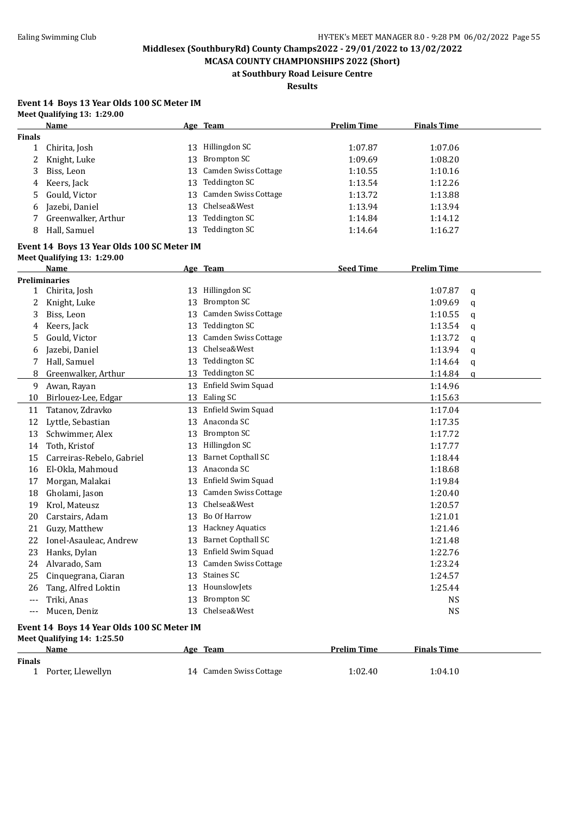**MCASA COUNTY CHAMPIONSHIPS 2022 (Short) at Southbury Road Leisure Centre**

**Results**

#### **Event 14 Boys 13 Year Olds 100 SC Meter IM Meet Qualifying 13: 1:29.00**

|               | <b>Name</b>                                |    | Age Team                                             | <b>Prelim Time</b> | <b>Finals Time</b> |        |
|---------------|--------------------------------------------|----|------------------------------------------------------|--------------------|--------------------|--------|
| <b>Finals</b> |                                            |    |                                                      |                    |                    |        |
| $\mathbf{1}$  | Chirita, Josh                              | 13 | Hillingdon SC                                        | 1:07.87            | 1:07.06            |        |
| 2             | Knight, Luke                               | 13 | <b>Brompton SC</b>                                   | 1:09.69            | 1:08.20            |        |
| 3             | Biss, Leon                                 | 13 | Camden Swiss Cottage                                 | 1:10.55            | 1:10.16            |        |
| 4             | Keers, Jack                                | 13 | <b>Teddington SC</b>                                 | 1:13.54            | 1:12.26            |        |
| 5             | Gould, Victor                              | 13 | Camden Swiss Cottage                                 | 1:13.72            | 1:13.88            |        |
| 6             | Jazebi, Daniel                             | 13 | Chelsea&West                                         | 1:13.94            | 1:13.94            |        |
| 7             | Greenwalker, Arthur                        | 13 | <b>Teddington SC</b>                                 | 1:14.84            | 1:14.12            |        |
| 8             | Hall, Samuel                               | 13 | <b>Teddington SC</b>                                 | 1:14.64            | 1:16.27            |        |
|               | Event 14 Boys 13 Year Olds 100 SC Meter IM |    |                                                      |                    |                    |        |
|               | Meet Qualifying 13: 1:29.00<br>Name        |    |                                                      | <b>Seed Time</b>   | <b>Prelim Time</b> |        |
|               | <b>Preliminaries</b>                       |    | Age Team                                             |                    |                    |        |
| $\mathbf{1}$  | Chirita, Josh                              |    | 13 Hillingdon SC                                     |                    | 1:07.87            | q      |
| 2             | Knight, Luke                               | 13 | <b>Brompton SC</b>                                   |                    | 1:09.69            | q      |
| 3             | Biss, Leon                                 | 13 | Camden Swiss Cottage                                 |                    | 1:10.55            | q      |
| 4             | Keers, Jack                                | 13 | <b>Teddington SC</b>                                 |                    | 1:13.54            | q      |
| 5             | Gould, Victor                              | 13 | Camden Swiss Cottage                                 |                    | 1:13.72            | q      |
| 6             | Jazebi, Daniel                             | 13 | Chelsea&West                                         |                    | 1:13.94            | q      |
| 7             | Hall, Samuel                               | 13 | <b>Teddington SC</b>                                 |                    | 1:14.64            |        |
| 8             | Greenwalker, Arthur                        | 13 | <b>Teddington SC</b>                                 |                    | 1:14.84            | q<br>a |
|               |                                            | 13 | Enfield Swim Squad                                   |                    | 1:14.96            |        |
| 9<br>10       | Awan, Rayan                                |    | 13 Ealing SC                                         |                    | 1:15.63            |        |
|               | Birlouez-Lee, Edgar                        |    | Enfield Swim Squad                                   |                    |                    |        |
| 11            | Tatanov, Zdravko                           | 13 | 13 Anaconda SC                                       |                    | 1:17.04            |        |
| 12            | Lyttle, Sebastian                          | 13 | <b>Brompton SC</b>                                   |                    | 1:17.35            |        |
| 13            | Schwimmer, Alex                            |    | Hillingdon SC                                        |                    | 1:17.72            |        |
| 14            | Toth, Kristof                              | 13 | <b>Barnet Copthall SC</b>                            |                    | 1:17.77            |        |
| 15            | Carreiras-Rebelo, Gabriel                  | 13 | Anaconda SC                                          |                    | 1:18.44            |        |
| 16            | El-Okla, Mahmoud                           | 13 | Enfield Swim Squad                                   |                    | 1:18.68            |        |
| 17            | Morgan, Malakai                            | 13 | Camden Swiss Cottage                                 |                    | 1:19.84            |        |
| 18            | Gholami, Jason                             | 13 | Chelsea&West                                         |                    | 1:20.40            |        |
| 19            | Krol, Mateusz                              | 13 | Bo Of Harrow                                         |                    | 1:20.57            |        |
| 20            | Carstairs, Adam                            | 13 |                                                      |                    | 1:21.01            |        |
| 21            | Guzy, Matthew                              | 13 | <b>Hackney Aquatics</b><br><b>Barnet Copthall SC</b> |                    | 1:21.46            |        |
| 22            | Ionel-Asauleac, Andrew                     | 13 | Enfield Swim Squad                                   |                    | 1:21.48            |        |
| 23            | Hanks, Dylan                               | 13 |                                                      |                    | 1:22.76            |        |
|               | 24 Alvarado, Sam                           |    | 13 Camden Swiss Cottage<br>13 Staines SC             |                    | 1:23.24            |        |
| 25            | Cinquegrana, Ciaran                        |    |                                                      |                    | 1:24.57            |        |
| 26            | Tang, Alfred Loktin                        |    | 13 HounslowJets                                      |                    | 1:25.44            |        |
| $---$         | Triki, Anas                                |    | 13 Brompton SC                                       |                    | <b>NS</b>          |        |
| $---$         | Mucen, Deniz                               |    | 13 Chelsea&West                                      |                    | <b>NS</b>          |        |
|               | Event 14 Boys 14 Year Olds 100 SC Meter IM |    |                                                      |                    |                    |        |
|               | Meet Qualifying 14: 1:25.50                |    |                                                      |                    |                    |        |
|               | Name                                       |    | Age Team                                             | <b>Prelim Time</b> | <b>Finals Time</b> |        |
| <b>Finals</b> |                                            |    |                                                      |                    |                    |        |
|               | 1 Porter, Llewellyn                        |    | 14 Camden Swiss Cottage                              | 1:02.40            | 1:04.10            |        |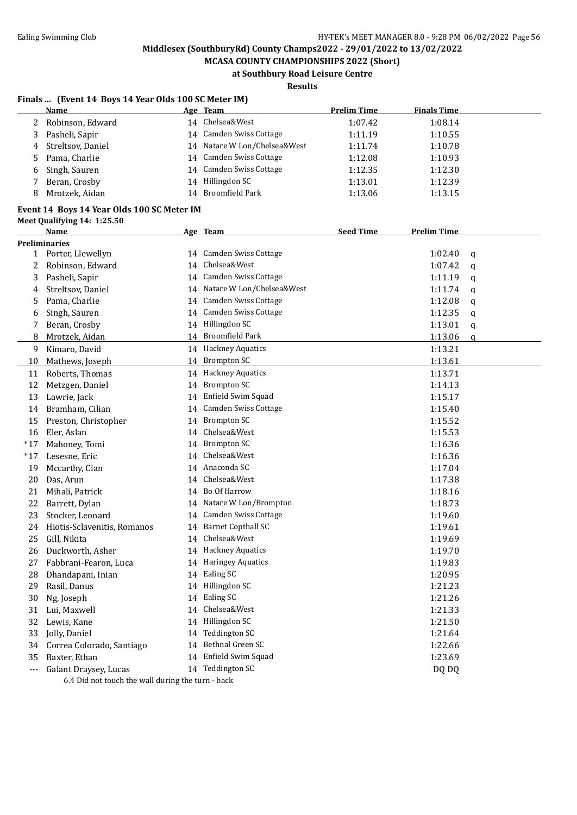**MCASA COUNTY CHAMPIONSHIPS 2022 (Short) at Southbury Road Leisure Centre**

## **Results**

## **Finals ... (Event 14 Boys 14 Year Olds 100 SC Meter IM)**

|    | Name                |    | Age Team                     | <b>Prelim Time</b> | <b>Finals Time</b> |
|----|---------------------|----|------------------------------|--------------------|--------------------|
|    | 2 Robinson, Edward  | 14 | Chelsea&West                 | 1:07.42            | 1:08.14            |
|    | Pasheli, Sapir      |    | 14 Camden Swiss Cottage      | 1:11.19            | 1:10.55            |
|    | 4 Streltsov, Daniel |    | 14 Natare W Lon/Chelsea&West | 1:11.74            | 1:10.78            |
|    | 5 Pama, Charlie     | 14 | Camden Swiss Cottage         | 1:12.08            | 1:10.93            |
| -6 | Singh, Sauren       |    | 14 Camden Swiss Cottage      | 1:12.35            | 1:12.30            |
|    | Beran, Crosby       | 14 | Hillingdon SC                | 1:13.01            | 1:12.39            |
|    | Mrotzek, Aidan      | 14 | Broomfield Park              | 1:13.06            | 1:13.15            |

## **Event 14 Boys 14 Year Olds 100 SC Meter IM**

**Meet Qualifying 14: 1:25.50**

|       | <b>Name</b>                                         |    | Age Team                     | <b>Seed Time</b> | <b>Prelim Time</b> |              |
|-------|-----------------------------------------------------|----|------------------------------|------------------|--------------------|--------------|
|       | <b>Preliminaries</b>                                |    |                              |                  |                    |              |
|       | 1 Porter, Llewellyn                                 |    | 14 Camden Swiss Cottage      |                  | 1:02.40            | $\mathbf q$  |
| 2     | Robinson, Edward                                    | 14 | Chelsea&West                 |                  | 1:07.42            | q            |
| 3     | Pasheli, Sapir                                      |    | 14 Camden Swiss Cottage      |                  | 1:11.19            | a            |
| 4     | Streltsov, Daniel                                   |    | 14 Natare W Lon/Chelsea&West |                  | 1:11.74            | $\mathbf q$  |
| 5     | Pama, Charlie                                       |    | 14 Camden Swiss Cottage      |                  | 1:12.08            | q            |
| 6     | Singh, Sauren                                       |    | 14 Camden Swiss Cottage      |                  | 1:12.35            | $\mathbf q$  |
| 7     | Beran, Crosby                                       |    | 14 Hillingdon SC             |                  | 1:13.01            | q            |
| 8     | Mrotzek, Aidan                                      |    | 14 Broomfield Park           |                  | 1:13.06            | $\mathbf{q}$ |
| 9     | Kimaro, David                                       |    | 14 Hackney Aquatics          |                  | 1:13.21            |              |
| 10    | Mathews, Joseph                                     |    | 14 Brompton SC               |                  | 1:13.61            |              |
| 11    | Roberts, Thomas                                     |    | 14 Hackney Aquatics          |                  | 1:13.71            |              |
| 12    | Metzgen, Daniel                                     | 14 | <b>Brompton SC</b>           |                  | 1:14.13            |              |
| 13    | Lawrie, Jack                                        |    | 14 Enfield Swim Squad        |                  | 1:15.17            |              |
| 14    | Bramham, Cilian                                     |    | 14 Camden Swiss Cottage      |                  | 1:15.40            |              |
| 15    | Preston, Christopher                                | 14 | <b>Brompton SC</b>           |                  | 1:15.52            |              |
| 16    | Eler, Aslan                                         |    | 14 Chelsea&West              |                  | 1:15.53            |              |
| $*17$ | Mahoney, Tomi                                       |    | 14 Brompton SC               |                  | 1:16.36            |              |
| $*17$ | Lesesne, Eric                                       | 14 | Chelsea&West                 |                  | 1:16.36            |              |
| 19    | Mccarthy, Cian                                      | 14 | Anaconda SC                  |                  | 1:17.04            |              |
| 20    | Das, Arun                                           | 14 | Chelsea&West                 |                  | 1:17.38            |              |
| 21    | Mihali, Patrick                                     | 14 | Bo Of Harrow                 |                  | 1:18.16            |              |
| 22    | Barrett, Dylan                                      |    | 14 Natare W Lon/Brompton     |                  | 1:18.73            |              |
| 23    | Stocker, Leonard                                    | 14 | Camden Swiss Cottage         |                  | 1:19.60            |              |
| 24    | Hiotis-Sclavenitis, Romanos                         | 14 | <b>Barnet Copthall SC</b>    |                  | 1:19.61            |              |
| 25    | Gill, Nikita                                        |    | 14 Chelsea&West              |                  | 1:19.69            |              |
| 26    | Duckworth, Asher                                    |    | 14 Hackney Aquatics          |                  | 1:19.70            |              |
| 27    | Fabbrani-Fearon, Luca                               |    | 14 Haringey Aquatics         |                  | 1:19.83            |              |
| 28    | Dhandapani, Inian                                   |    | 14 Ealing SC                 |                  | 1:20.95            |              |
| 29    | Rasil, Danus                                        |    | 14 Hillingdon SC             |                  | 1:21.23            |              |
| 30    | Ng, Joseph                                          | 14 | Ealing SC                    |                  | 1:21.26            |              |
| 31    | Lui, Maxwell                                        | 14 | Chelsea&West                 |                  | 1:21.33            |              |
| 32    | Lewis, Kane                                         |    | 14 Hillingdon SC             |                  | 1:21.50            |              |
| 33    | Jolly, Daniel                                       | 14 | Teddington SC                |                  | 1:21.64            |              |
| 34    | Correa Colorado, Santiago                           | 14 | Bethnal Green SC             |                  | 1:22.66            |              |
| 35    | Baxter, Ethan                                       |    | 14 Enfield Swim Squad        |                  | 1:23.69            |              |
| ---   | Galant Draysey, Lucas                               |    | 14 Teddington SC             |                  | DQ DQ              |              |
|       | $6.4$ Did not tough the urall during the turn healt |    |                              |                  |                    |              |

6.4 Did not touch the wall during the turn - back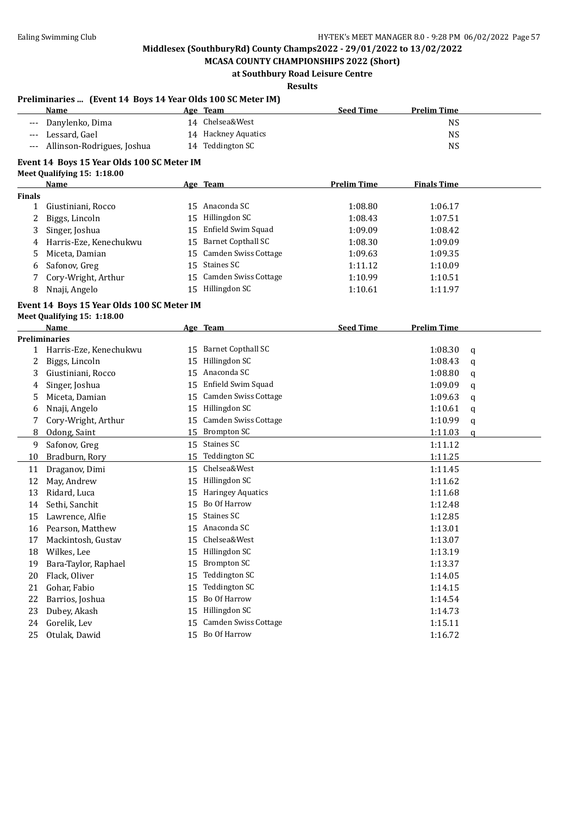**Preliminaries ... (Event 14 Boys 14 Year Olds 100 SC Meter IM)**

## **Middlesex (SouthburyRd) County Champs2022 - 29/01/2022 to 13/02/2022**

**MCASA COUNTY CHAMPIONSHIPS 2022 (Short) at Southbury Road Leisure Centre**

#### **Results**

#### **Name Age Team Seed Time Prelim Time** --- Danylenko, Dima 14 Chelsea&West NS --- Lessard, Gael 14 Hackney Aquatics 14 Hackney Aquatics NS --- Allinson-Rodrigues, Joshua 14 Teddington SC NS **Event 14 Boys 15 Year Olds 100 SC Meter IM Meet Qualifying 15: 1:18.00 Name Age Team Prelim Time Finals Time Finals** 1 Giustiniani, Rocco 15 Anaconda SC 1:08.80 1:06.17 2 Biggs, Lincoln 15 Hillingdon SC 1:08.43 1:07.51 3 Singer, Joshua 15 Enfield Swim Squad 1:09.09 1:08.42 4 Harris-Eze, Kenechukwu 15 Barnet Copthall SC 1:08.30 1:09.09 5 Miceta, Damian 15 Camden Swiss Cottage 1:09.63 1:09.35 6 Safonov, Greg 15 Staines SC 1:11.12 1:10.09 7 Cory-Wright, Arthur 15 Camden Swiss Cottage 1:10.99 1:10.51 8 Nnaji, Angelo 15 Hillingdon SC 1:10.61 1:11.97 **Event 14 Boys 15 Year Olds 100 SC Meter IM Meet Qualifying 15: 1:18.00 Name Age Team Seed Time Prelim Time Preliminaries** 1 Harris-Eze, Kenechukwu 15 Barnet Copthall SC 1:08.30 q 2 Biggs, Lincoln 15 Hillingdon SC 1:08.43 q 3 Giustiniani, Rocco 15 Anaconda SC 1:08.80 q 4 Singer, Joshua 15 Enfield Swim Squad 1:09.09 q 5 Miceta, Damian 15 Camden Swiss Cottage 1:09.63 q 6 Nnaji, Angelo 15 Hillingdon SC 1:10.61 q 7 Cory-Wright, Arthur 15 Camden Swiss Cottage 1:10.99 q 8 Odong, Saint 15 Brompton SC 1:11.03 q 9 Safonov, Greg 15 Staines SC 1:11.12 10 Bradburn, Rory 15 Teddington SC 1:11.25 11 Draganov, Dimi 15 Chelsea&West 1:11.45 12 May, Andrew 15 Hillingdon SC 1:11.62 13 Ridard, Luca 15 Haringey Aquatics 1:11.68 14 Sethi, Sanchit 15 Bo Of Harrow 1:12.48 15 Lawrence, Alfie 15 Staines SC 1:12.85 16 Pearson, Matthew 15 Anaconda SC 1:13.01 17 Mackintosh, Gustav 15 Chelsea&West 1:13.07 Mackintosh, Gustav 1:13.07 18 Wilkes, Lee 21:13.19 15 Hillingdon SC 2012 1:13.19 19 Bara-Taylor, Raphael 15 Brompton SC 1:13.37 20 Flack, Oliver 15 Teddington SC 1:14.05 21 Gohar, Fabio 15 Teddington SC 15 Teddington SC 1:14.15 22 Barrios, Joshua 15 Bo Of Harrow 1:14.54 23 Dubey, Akash 15 Hillingdon SC 1:14.73 24 Gorelik, Lev 15 Camden Swiss Cottage 1:15.11 25 Otulak, Dawid 15 Bo Of Harrow 1:16.72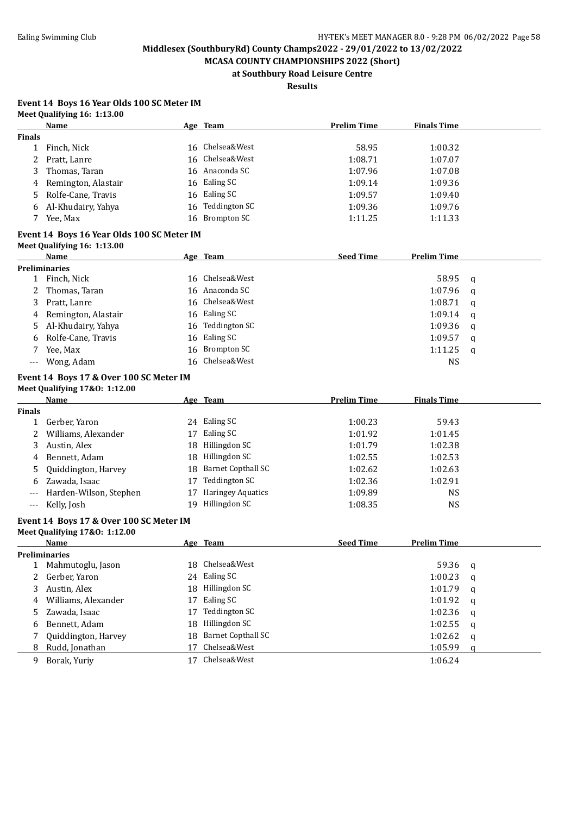**MCASA COUNTY CHAMPIONSHIPS 2022 (Short) at Southbury Road Leisure Centre**

**Results**

## **Event 14 Boys 16 Year Olds 100 SC Meter IM Meet Qualifying 16: 1:13.00**

|               | Name                                       |          | Age Team                  | <b>Prelim Time</b> | <b>Finals Time</b> |   |
|---------------|--------------------------------------------|----------|---------------------------|--------------------|--------------------|---|
| <b>Finals</b> |                                            |          |                           |                    |                    |   |
| 1             | Finch, Nick                                |          | 16 Chelsea&West           | 58.95              | 1:00.32            |   |
| 2             | Pratt, Lanre                               | 16       | Chelsea&West              | 1:08.71            | 1:07.07            |   |
| 3             | Thomas, Taran                              |          | 16 Anaconda SC            | 1:07.96            | 1:07.08            |   |
| 4             | Remington, Alastair                        |          | 16 Ealing SC              | 1:09.14            | 1:09.36            |   |
| 5             | Rolfe-Cane, Travis                         |          | 16 Ealing SC              | 1:09.57            | 1:09.40            |   |
| 6             | Al-Khudairy, Yahya                         | 16       | Teddington SC             | 1:09.36            | 1:09.76            |   |
| 7             | Yee, Max                                   | 16       | <b>Brompton SC</b>        | 1:11.25            | 1:11.33            |   |
|               | Event 14 Boys 16 Year Olds 100 SC Meter IM |          |                           |                    |                    |   |
|               | Meet Qualifying 16: 1:13.00                |          |                           |                    |                    |   |
|               | Name                                       |          | Age Team                  | <b>Seed Time</b>   | <b>Prelim Time</b> |   |
|               | <b>Preliminaries</b>                       |          |                           |                    |                    |   |
|               | 1 Finch, Nick                              |          | 16 Chelsea&West           |                    | 58.95              | q |
| 2             | Thomas, Taran                              |          | 16 Anaconda SC            |                    | 1:07.96            | q |
| 3             | Pratt, Lanre                               |          | 16 Chelsea&West           |                    | 1:08.71            | q |
| 4             | Remington, Alastair                        |          | 16 Ealing SC              |                    | 1:09.14            | q |
| 5             | Al-Khudairy, Yahya                         |          | 16 Teddington SC          |                    | 1:09.36            | q |
| 6             | Rolfe-Cane, Travis                         | 16       | Ealing SC                 |                    | 1:09.57            | q |
| 7             | Yee, Max                                   | 16       | <b>Brompton SC</b>        |                    | 1:11.25            | q |
| $---$         | Wong, Adam                                 | 16       | Chelsea&West              |                    | <b>NS</b>          |   |
|               | Event 14 Boys 17 & Over 100 SC Meter IM    |          |                           |                    |                    |   |
|               | Meet Qualifying 17&0: 1:12.00              |          |                           |                    |                    |   |
|               | Name                                       |          | Age Team                  | <b>Prelim Time</b> | <b>Finals Time</b> |   |
| <b>Finals</b> |                                            |          |                           |                    |                    |   |
| 1             | Gerber, Yaron                              |          | 24 Ealing SC              | 1:00.23            | 59.43              |   |
| 2             | Williams, Alexander                        |          | 17 Ealing SC              | 1:01.92            | 1:01.45            |   |
| 3             | Austin, Alex                               | 18       | Hillingdon SC             | 1:01.79            | 1:02.38            |   |
| 4             | Bennett, Adam                              |          | 18 Hillingdon SC          | 1:02.55            | 1:02.53            |   |
| 5             | Quiddington, Harvey                        | 18       | <b>Barnet Copthall SC</b> | 1:02.62            | 1:02.63            |   |
| 6             | Zawada, Isaac                              | 17       | Teddington SC             | 1:02.36            | 1:02.91            |   |
| $---$         | Harden-Wilson, Stephen                     | 17       | <b>Haringey Aquatics</b>  | 1:09.89            | <b>NS</b>          |   |
| ---           | Kelly, Josh                                | 19       | Hillingdon SC             | 1:08.35            | <b>NS</b>          |   |
|               | Event 14 Boys 17 & Over 100 SC Meter IM    |          |                           |                    |                    |   |
|               | Meet Qualifying 17&0: 1:12.00              |          |                           |                    |                    |   |
|               | Name                                       |          | Age Team                  | <b>Seed Time</b>   | <b>Prelim Time</b> |   |
|               | <b>Preliminaries</b><br>Mahmutoglu, Jason  | 18       | Chelsea&West              |                    | 59.36              |   |
| 1<br>2        | Gerber, Yaron                              |          | 24 Ealing SC              |                    | 1:00.23            | q |
|               |                                            |          | Hillingdon SC             |                    |                    | q |
| 3             | Austin, Alex<br>Williams, Alexander        | 18<br>17 | Ealing SC                 |                    | 1:01.79            | q |
| 4             |                                            |          | <b>Teddington SC</b>      |                    | 1:01.92            | q |
| 5             | Zawada, Isaac                              | 17       |                           |                    | 1:02.36            | q |
| 6             | Bennett, Adam                              | 18       | Hillingdon SC             |                    | 1:02.55            | q |
| 7             | Quiddington, Harvey                        | 18       | <b>Barnet Copthall SC</b> |                    | 1:02.62            | q |
| 8             | Rudd, Jonathan                             | 17       | Chelsea&West              |                    | 1:05.99            | q |
| 9             | Borak, Yuriy                               |          | 17 Chelsea&West           |                    | 1:06.24            |   |